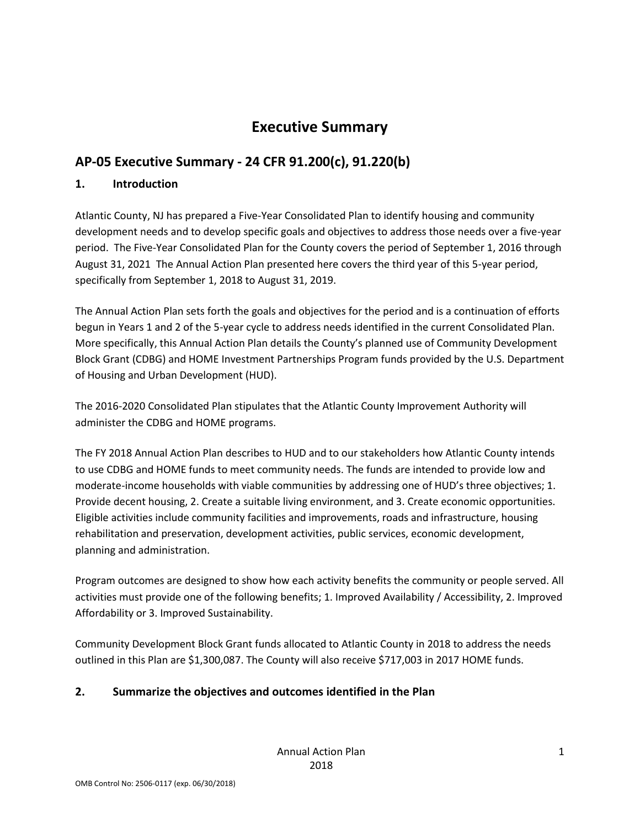# **Executive Summary**

# **AP-05 Executive Summary - 24 CFR 91.200(c), 91.220(b)**

# **1. Introduction**

Atlantic County, NJ has prepared a Five-Year Consolidated Plan to identify housing and community development needs and to develop specific goals and objectives to address those needs over a five-year period. The Five-Year Consolidated Plan for the County covers the period of September 1, 2016 through August 31, 2021 The Annual Action Plan presented here covers the third year of this 5-year period, specifically from September 1, 2018 to August 31, 2019.

The Annual Action Plan sets forth the goals and objectives for the period and is a continuation of efforts begun in Years 1 and 2 of the 5-year cycle to address needs identified in the current Consolidated Plan. More specifically, this Annual Action Plan details the County's planned use of Community Development Block Grant (CDBG) and HOME Investment Partnerships Program funds provided by the U.S. Department of Housing and Urban Development (HUD).

The 2016-2020 Consolidated Plan stipulates that the Atlantic County Improvement Authority will administer the CDBG and HOME programs.

The FY 2018 Annual Action Plan describes to HUD and to our stakeholders how Atlantic County intends to use CDBG and HOME funds to meet community needs. The funds are intended to provide low and moderate-income households with viable communities by addressing one of HUD's three objectives; 1. Provide decent housing, 2. Create a suitable living environment, and 3. Create economic opportunities. Eligible activities include community facilities and improvements, roads and infrastructure, housing rehabilitation and preservation, development activities, public services, economic development, planning and administration.

Program outcomes are designed to show how each activity benefits the community or people served. All activities must provide one of the following benefits; 1. Improved Availability / Accessibility, 2. Improved Affordability or 3. Improved Sustainability.

Community Development Block Grant funds allocated to Atlantic County in 2018 to address the needs outlined in this Plan are \$1,300,087. The County will also receive \$717,003 in 2017 HOME funds.

# **2. Summarize the objectives and outcomes identified in the Plan**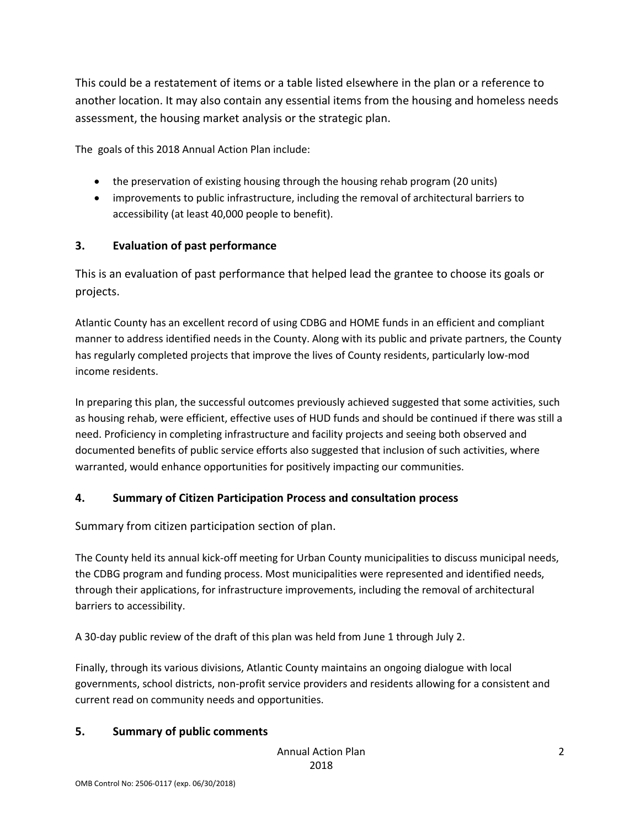This could be a restatement of items or a table listed elsewhere in the plan or a reference to another location. It may also contain any essential items from the housing and homeless needs assessment, the housing market analysis or the strategic plan.

The goals of this 2018 Annual Action Plan include:

- the preservation of existing housing through the housing rehab program (20 units)
- improvements to public infrastructure, including the removal of architectural barriers to accessibility (at least 40,000 people to benefit).

## **3. Evaluation of past performance**

This is an evaluation of past performance that helped lead the grantee to choose its goals or projects.

Atlantic County has an excellent record of using CDBG and HOME funds in an efficient and compliant manner to address identified needs in the County. Along with its public and private partners, the County has regularly completed projects that improve the lives of County residents, particularly low-mod income residents.

In preparing this plan, the successful outcomes previously achieved suggested that some activities, such as housing rehab, were efficient, effective uses of HUD funds and should be continued if there was still a need. Proficiency in completing infrastructure and facility projects and seeing both observed and documented benefits of public service efforts also suggested that inclusion of such activities, where warranted, would enhance opportunities for positively impacting our communities.

## **4. Summary of Citizen Participation Process and consultation process**

Summary from citizen participation section of plan.

The County held its annual kick-off meeting for Urban County municipalities to discuss municipal needs, the CDBG program and funding process. Most municipalities were represented and identified needs, through their applications, for infrastructure improvements, including the removal of architectural barriers to accessibility.

A 30-day public review of the draft of this plan was held from June 1 through July 2.

Finally, through its various divisions, Atlantic County maintains an ongoing dialogue with local governments, school districts, non-profit service providers and residents allowing for a consistent and current read on community needs and opportunities.

## **5. Summary of public comments**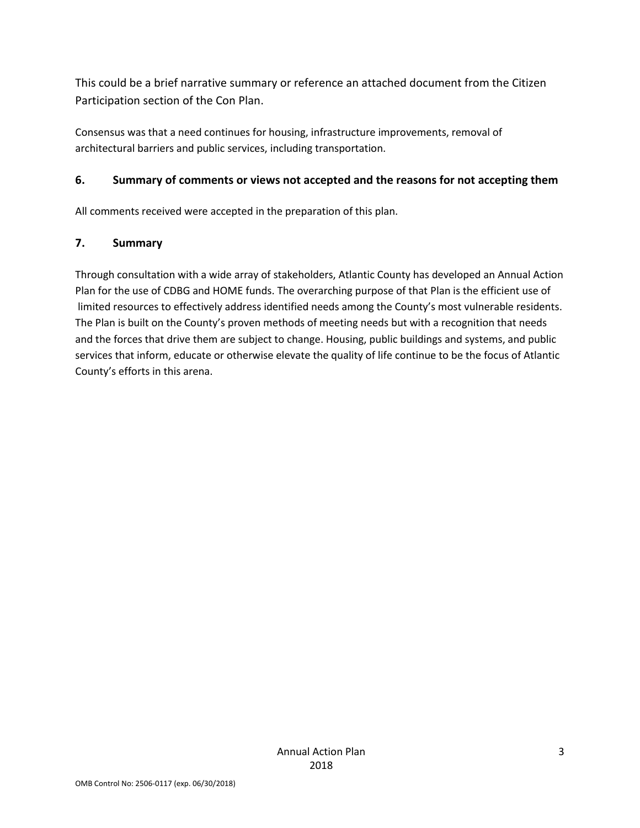This could be a brief narrative summary or reference an attached document from the Citizen Participation section of the Con Plan.

Consensus was that a need continues for housing, infrastructure improvements, removal of architectural barriers and public services, including transportation.

## **6. Summary of comments or views not accepted and the reasons for not accepting them**

All comments received were accepted in the preparation of this plan.

## **7. Summary**

Through consultation with a wide array of stakeholders, Atlantic County has developed an Annual Action Plan for the use of CDBG and HOME funds. The overarching purpose of that Plan is the efficient use of limited resources to effectively address identified needs among the County's most vulnerable residents. The Plan is built on the County's proven methods of meeting needs but with a recognition that needs and the forces that drive them are subject to change. Housing, public buildings and systems, and public services that inform, educate or otherwise elevate the quality of life continue to be the focus of Atlantic County's efforts in this arena.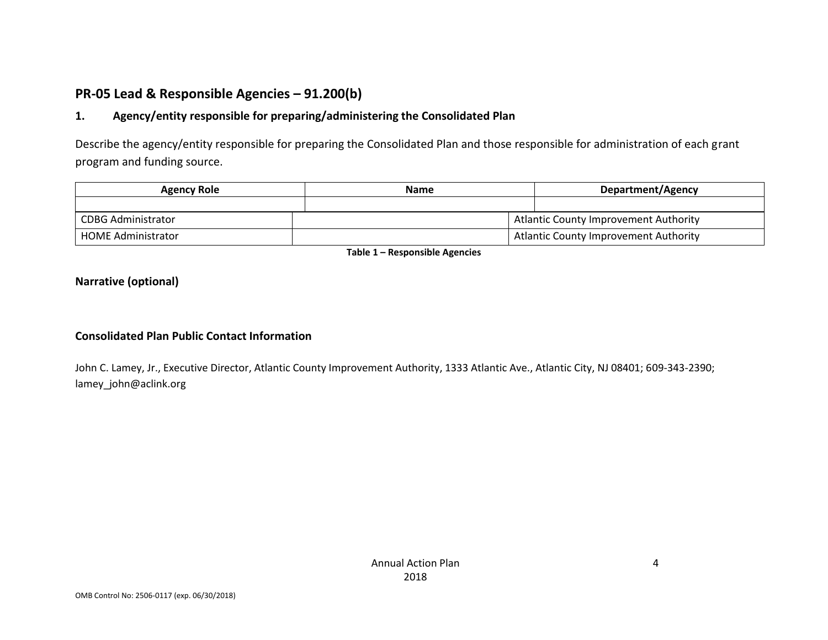# **PR-05 Lead & Responsible Agencies – 91.200(b)**

# **1. Agency/entity responsible for preparing/administering the Consolidated Plan**

Describe the agency/entity responsible for preparing the Consolidated Plan and those responsible for administration of each grant program and funding source.

| <b>Agency Role</b>        | <b>Name</b> | Department/Agency                            |
|---------------------------|-------------|----------------------------------------------|
|                           |             |                                              |
| <b>CDBG Administrator</b> |             | Atlantic County Improvement Authority        |
| <b>HOME Administrator</b> |             | <b>Atlantic County Improvement Authority</b> |

**Table 1 – Responsible Agencies**

### **Narrative (optional)**

#### **Consolidated Plan Public Contact Information**

John C. Lamey, Jr., Executive Director, Atlantic County Improvement Authority, 1333 Atlantic Ave., Atlantic City, NJ 08401; 609-343-2390; lamey\_john@aclink.org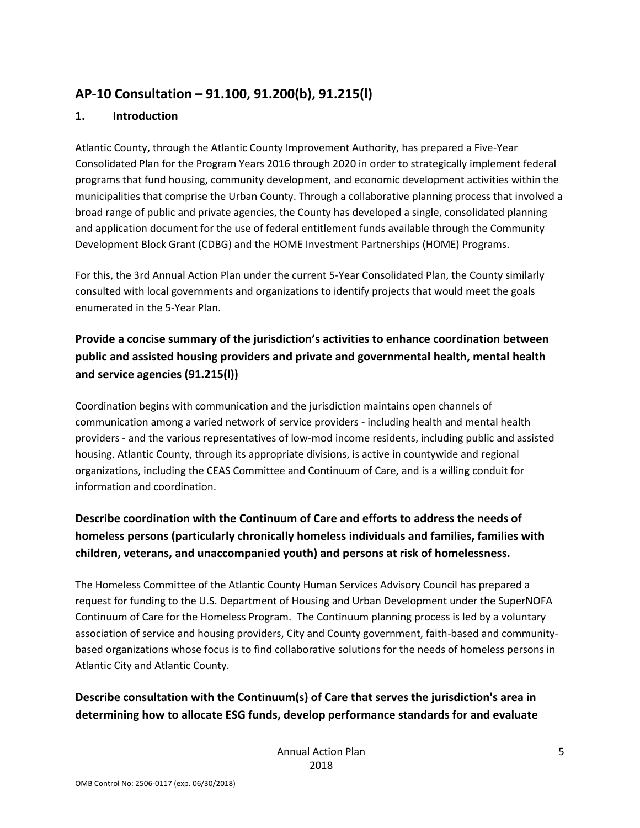# **AP-10 Consultation – 91.100, 91.200(b), 91.215(l)**

## **1. Introduction**

Atlantic County, through the Atlantic County Improvement Authority, has prepared a Five-Year Consolidated Plan for the Program Years 2016 through 2020 in order to strategically implement federal programs that fund housing, community development, and economic development activities within the municipalities that comprise the Urban County. Through a collaborative planning process that involved a broad range of public and private agencies, the County has developed a single, consolidated planning and application document for the use of federal entitlement funds available through the Community Development Block Grant (CDBG) and the HOME Investment Partnerships (HOME) Programs.

For this, the 3rd Annual Action Plan under the current 5-Year Consolidated Plan, the County similarly consulted with local governments and organizations to identify projects that would meet the goals enumerated in the 5-Year Plan.

# **Provide a concise summary of the jurisdiction's activities to enhance coordination between public and assisted housing providers and private and governmental health, mental health and service agencies (91.215(l))**

Coordination begins with communication and the jurisdiction maintains open channels of communication among a varied network of service providers - including health and mental health providers - and the various representatives of low-mod income residents, including public and assisted housing. Atlantic County, through its appropriate divisions, is active in countywide and regional organizations, including the CEAS Committee and Continuum of Care, and is a willing conduit for information and coordination.

# **Describe coordination with the Continuum of Care and efforts to address the needs of homeless persons (particularly chronically homeless individuals and families, families with children, veterans, and unaccompanied youth) and persons at risk of homelessness.**

The Homeless Committee of the Atlantic County Human Services Advisory Council has prepared a request for funding to the U.S. Department of Housing and Urban Development under the SuperNOFA Continuum of Care for the Homeless Program. The Continuum planning process is led by a voluntary association of service and housing providers, City and County government, faith-based and communitybased organizations whose focus is to find collaborative solutions for the needs of homeless persons in Atlantic City and Atlantic County.

# **Describe consultation with the Continuum(s) of Care that serves the jurisdiction's area in determining how to allocate ESG funds, develop performance standards for and evaluate**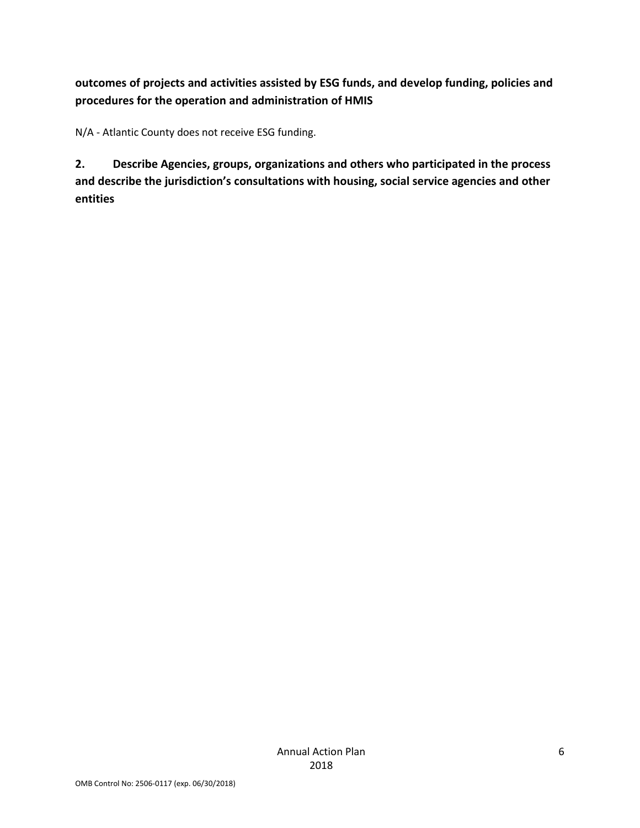# **outcomes of projects and activities assisted by ESG funds, and develop funding, policies and procedures for the operation and administration of HMIS**

N/A - Atlantic County does not receive ESG funding.

**2. Describe Agencies, groups, organizations and others who participated in the process and describe the jurisdiction's consultations with housing, social service agencies and other entities**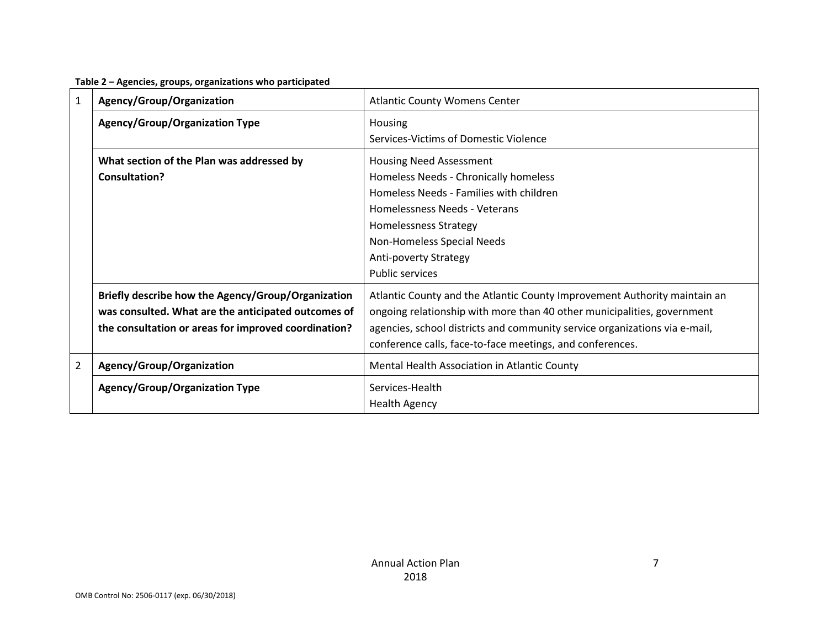| Table 2 - Agencies, groups, organizations who participated |  |  |
|------------------------------------------------------------|--|--|
|------------------------------------------------------------|--|--|

| $\mathbf{1}$   | Agency/Group/Organization                                                                                                                                         | <b>Atlantic County Womens Center</b>                                                                                                                                                                                                                                                            |
|----------------|-------------------------------------------------------------------------------------------------------------------------------------------------------------------|-------------------------------------------------------------------------------------------------------------------------------------------------------------------------------------------------------------------------------------------------------------------------------------------------|
|                | <b>Agency/Group/Organization Type</b>                                                                                                                             | Housing<br>Services-Victims of Domestic Violence                                                                                                                                                                                                                                                |
|                | What section of the Plan was addressed by<br><b>Consultation?</b>                                                                                                 | <b>Housing Need Assessment</b><br>Homeless Needs - Chronically homeless<br>Homeless Needs - Families with children<br>Homelessness Needs - Veterans<br>Homelessness Strategy<br>Non-Homeless Special Needs<br><b>Anti-poverty Strategy</b><br><b>Public services</b>                            |
|                | Briefly describe how the Agency/Group/Organization<br>was consulted. What are the anticipated outcomes of<br>the consultation or areas for improved coordination? | Atlantic County and the Atlantic County Improvement Authority maintain an<br>ongoing relationship with more than 40 other municipalities, government<br>agencies, school districts and community service organizations via e-mail,<br>conference calls, face-to-face meetings, and conferences. |
| $\overline{2}$ | Agency/Group/Organization                                                                                                                                         | Mental Health Association in Atlantic County                                                                                                                                                                                                                                                    |
|                | <b>Agency/Group/Organization Type</b>                                                                                                                             | Services-Health<br><b>Health Agency</b>                                                                                                                                                                                                                                                         |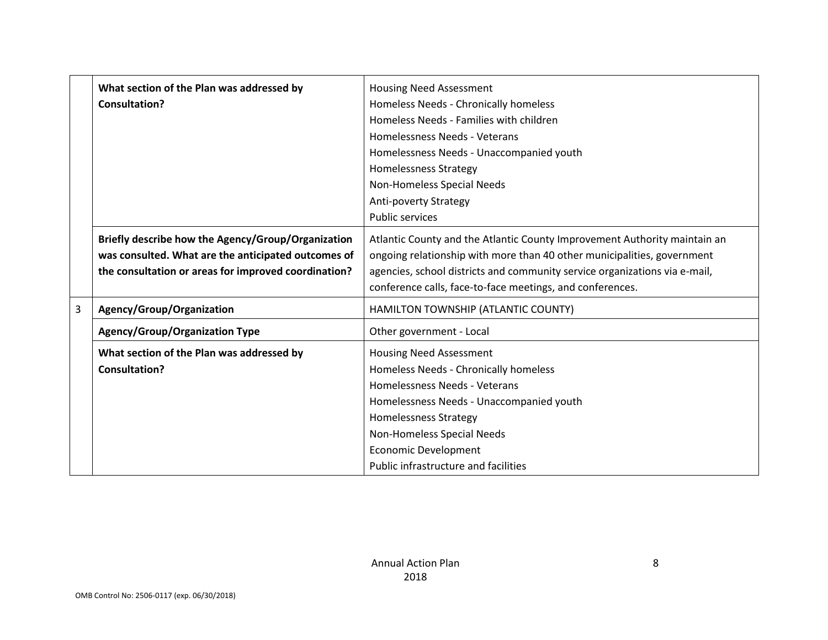|   | What section of the Plan was addressed by<br><b>Consultation?</b>                                                                                                 | <b>Housing Need Assessment</b><br>Homeless Needs - Chronically homeless<br>Homeless Needs - Families with children<br>Homelessness Needs - Veterans<br>Homelessness Needs - Unaccompanied youth<br><b>Homelessness Strategy</b><br>Non-Homeless Special Needs<br><b>Anti-poverty Strategy</b>   |
|---|-------------------------------------------------------------------------------------------------------------------------------------------------------------------|-------------------------------------------------------------------------------------------------------------------------------------------------------------------------------------------------------------------------------------------------------------------------------------------------|
|   |                                                                                                                                                                   | <b>Public services</b>                                                                                                                                                                                                                                                                          |
|   | Briefly describe how the Agency/Group/Organization<br>was consulted. What are the anticipated outcomes of<br>the consultation or areas for improved coordination? | Atlantic County and the Atlantic County Improvement Authority maintain an<br>ongoing relationship with more than 40 other municipalities, government<br>agencies, school districts and community service organizations via e-mail,<br>conference calls, face-to-face meetings, and conferences. |
| 3 | Agency/Group/Organization                                                                                                                                         | HAMILTON TOWNSHIP (ATLANTIC COUNTY)                                                                                                                                                                                                                                                             |
|   | <b>Agency/Group/Organization Type</b>                                                                                                                             | Other government - Local                                                                                                                                                                                                                                                                        |
|   | What section of the Plan was addressed by<br>Consultation?                                                                                                        | <b>Housing Need Assessment</b><br>Homeless Needs - Chronically homeless<br>Homelessness Needs - Veterans<br>Homelessness Needs - Unaccompanied youth<br><b>Homelessness Strategy</b><br>Non-Homeless Special Needs<br><b>Economic Development</b><br>Public infrastructure and facilities       |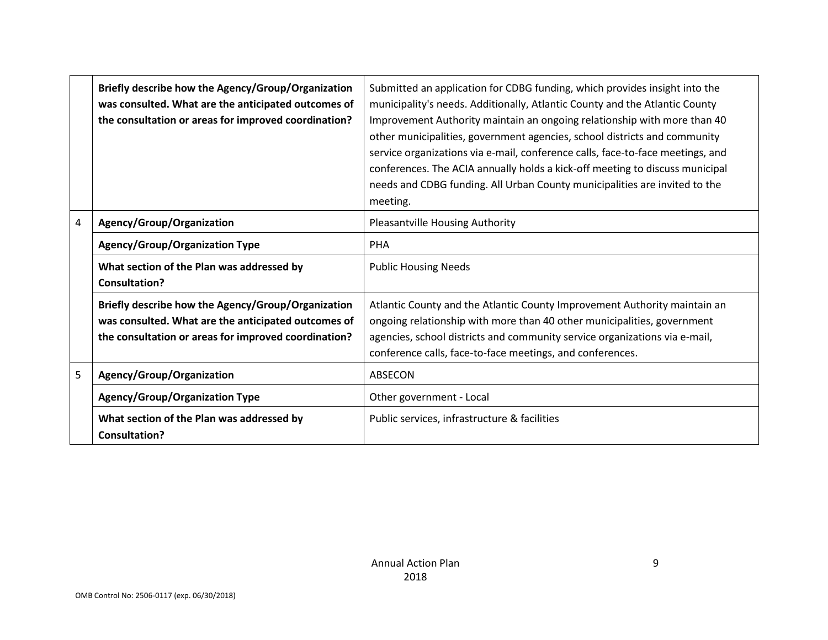|   | Briefly describe how the Agency/Group/Organization<br>was consulted. What are the anticipated outcomes of<br>the consultation or areas for improved coordination? | Submitted an application for CDBG funding, which provides insight into the<br>municipality's needs. Additionally, Atlantic County and the Atlantic County<br>Improvement Authority maintain an ongoing relationship with more than 40<br>other municipalities, government agencies, school districts and community<br>service organizations via e-mail, conference calls, face-to-face meetings, and<br>conferences. The ACIA annually holds a kick-off meeting to discuss municipal<br>needs and CDBG funding. All Urban County municipalities are invited to the<br>meeting. |
|---|-------------------------------------------------------------------------------------------------------------------------------------------------------------------|--------------------------------------------------------------------------------------------------------------------------------------------------------------------------------------------------------------------------------------------------------------------------------------------------------------------------------------------------------------------------------------------------------------------------------------------------------------------------------------------------------------------------------------------------------------------------------|
| 4 | Agency/Group/Organization                                                                                                                                         | <b>Pleasantville Housing Authority</b>                                                                                                                                                                                                                                                                                                                                                                                                                                                                                                                                         |
|   | <b>Agency/Group/Organization Type</b>                                                                                                                             | <b>PHA</b>                                                                                                                                                                                                                                                                                                                                                                                                                                                                                                                                                                     |
|   | What section of the Plan was addressed by<br><b>Consultation?</b>                                                                                                 | <b>Public Housing Needs</b>                                                                                                                                                                                                                                                                                                                                                                                                                                                                                                                                                    |
|   | Briefly describe how the Agency/Group/Organization<br>was consulted. What are the anticipated outcomes of<br>the consultation or areas for improved coordination? | Atlantic County and the Atlantic County Improvement Authority maintain an<br>ongoing relationship with more than 40 other municipalities, government<br>agencies, school districts and community service organizations via e-mail,<br>conference calls, face-to-face meetings, and conferences.                                                                                                                                                                                                                                                                                |
| 5 | Agency/Group/Organization                                                                                                                                         | ABSECON                                                                                                                                                                                                                                                                                                                                                                                                                                                                                                                                                                        |
|   | <b>Agency/Group/Organization Type</b>                                                                                                                             | Other government - Local                                                                                                                                                                                                                                                                                                                                                                                                                                                                                                                                                       |
|   | What section of the Plan was addressed by<br><b>Consultation?</b>                                                                                                 | Public services, infrastructure & facilities                                                                                                                                                                                                                                                                                                                                                                                                                                                                                                                                   |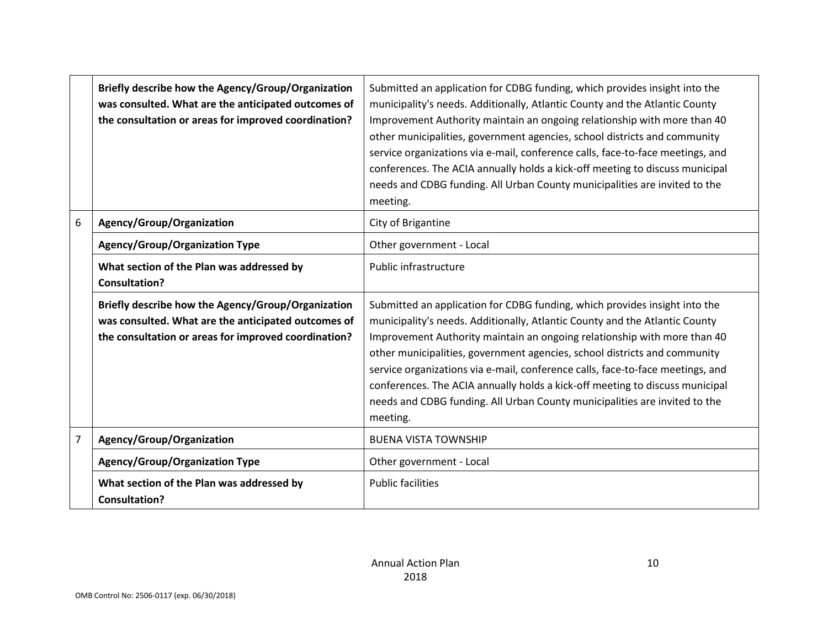|                | Briefly describe how the Agency/Group/Organization<br>was consulted. What are the anticipated outcomes of<br>the consultation or areas for improved coordination? | Submitted an application for CDBG funding, which provides insight into the<br>municipality's needs. Additionally, Atlantic County and the Atlantic County<br>Improvement Authority maintain an ongoing relationship with more than 40<br>other municipalities, government agencies, school districts and community<br>service organizations via e-mail, conference calls, face-to-face meetings, and<br>conferences. The ACIA annually holds a kick-off meeting to discuss municipal<br>needs and CDBG funding. All Urban County municipalities are invited to the<br>meeting. |
|----------------|-------------------------------------------------------------------------------------------------------------------------------------------------------------------|--------------------------------------------------------------------------------------------------------------------------------------------------------------------------------------------------------------------------------------------------------------------------------------------------------------------------------------------------------------------------------------------------------------------------------------------------------------------------------------------------------------------------------------------------------------------------------|
| 6              | Agency/Group/Organization                                                                                                                                         | City of Brigantine                                                                                                                                                                                                                                                                                                                                                                                                                                                                                                                                                             |
|                | <b>Agency/Group/Organization Type</b>                                                                                                                             | Other government - Local                                                                                                                                                                                                                                                                                                                                                                                                                                                                                                                                                       |
|                | What section of the Plan was addressed by<br><b>Consultation?</b>                                                                                                 | Public infrastructure                                                                                                                                                                                                                                                                                                                                                                                                                                                                                                                                                          |
|                | Briefly describe how the Agency/Group/Organization<br>was consulted. What are the anticipated outcomes of<br>the consultation or areas for improved coordination? | Submitted an application for CDBG funding, which provides insight into the<br>municipality's needs. Additionally, Atlantic County and the Atlantic County<br>Improvement Authority maintain an ongoing relationship with more than 40<br>other municipalities, government agencies, school districts and community<br>service organizations via e-mail, conference calls, face-to-face meetings, and<br>conferences. The ACIA annually holds a kick-off meeting to discuss municipal<br>needs and CDBG funding. All Urban County municipalities are invited to the<br>meeting. |
| $\overline{7}$ | Agency/Group/Organization                                                                                                                                         | <b>BUENA VISTA TOWNSHIP</b>                                                                                                                                                                                                                                                                                                                                                                                                                                                                                                                                                    |
|                | <b>Agency/Group/Organization Type</b>                                                                                                                             | Other government - Local                                                                                                                                                                                                                                                                                                                                                                                                                                                                                                                                                       |
|                | What section of the Plan was addressed by<br><b>Consultation?</b>                                                                                                 | <b>Public facilities</b>                                                                                                                                                                                                                                                                                                                                                                                                                                                                                                                                                       |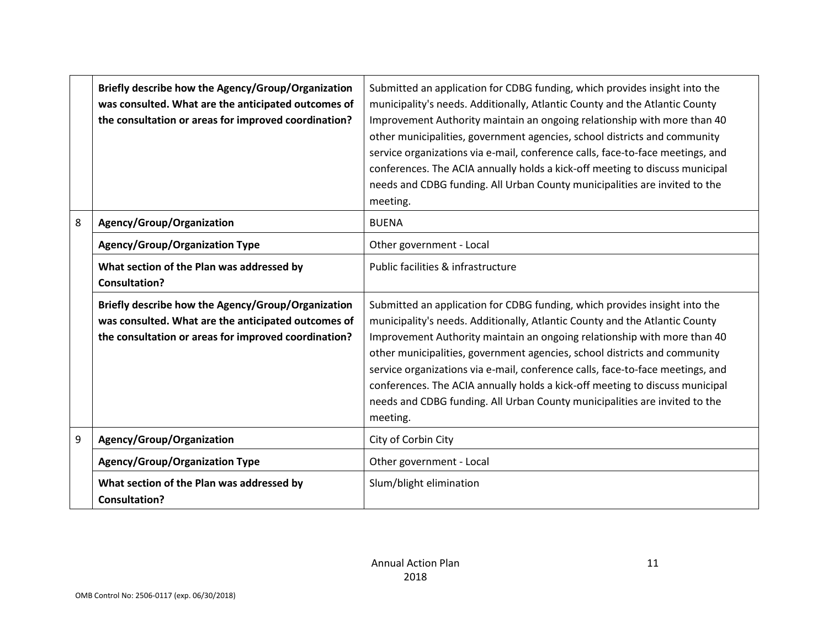|   | Briefly describe how the Agency/Group/Organization<br>was consulted. What are the anticipated outcomes of<br>the consultation or areas for improved coordination? | Submitted an application for CDBG funding, which provides insight into the<br>municipality's needs. Additionally, Atlantic County and the Atlantic County<br>Improvement Authority maintain an ongoing relationship with more than 40<br>other municipalities, government agencies, school districts and community<br>service organizations via e-mail, conference calls, face-to-face meetings, and<br>conferences. The ACIA annually holds a kick-off meeting to discuss municipal<br>needs and CDBG funding. All Urban County municipalities are invited to the<br>meeting. |
|---|-------------------------------------------------------------------------------------------------------------------------------------------------------------------|--------------------------------------------------------------------------------------------------------------------------------------------------------------------------------------------------------------------------------------------------------------------------------------------------------------------------------------------------------------------------------------------------------------------------------------------------------------------------------------------------------------------------------------------------------------------------------|
| 8 | Agency/Group/Organization                                                                                                                                         | <b>BUENA</b>                                                                                                                                                                                                                                                                                                                                                                                                                                                                                                                                                                   |
|   | <b>Agency/Group/Organization Type</b>                                                                                                                             | Other government - Local                                                                                                                                                                                                                                                                                                                                                                                                                                                                                                                                                       |
|   | What section of the Plan was addressed by<br><b>Consultation?</b>                                                                                                 | Public facilities & infrastructure                                                                                                                                                                                                                                                                                                                                                                                                                                                                                                                                             |
|   | Briefly describe how the Agency/Group/Organization<br>was consulted. What are the anticipated outcomes of<br>the consultation or areas for improved coordination? | Submitted an application for CDBG funding, which provides insight into the<br>municipality's needs. Additionally, Atlantic County and the Atlantic County<br>Improvement Authority maintain an ongoing relationship with more than 40<br>other municipalities, government agencies, school districts and community<br>service organizations via e-mail, conference calls, face-to-face meetings, and<br>conferences. The ACIA annually holds a kick-off meeting to discuss municipal<br>needs and CDBG funding. All Urban County municipalities are invited to the<br>meeting. |
| 9 | Agency/Group/Organization                                                                                                                                         | City of Corbin City                                                                                                                                                                                                                                                                                                                                                                                                                                                                                                                                                            |
|   | <b>Agency/Group/Organization Type</b>                                                                                                                             | Other government - Local                                                                                                                                                                                                                                                                                                                                                                                                                                                                                                                                                       |
|   | What section of the Plan was addressed by<br><b>Consultation?</b>                                                                                                 | Slum/blight elimination                                                                                                                                                                                                                                                                                                                                                                                                                                                                                                                                                        |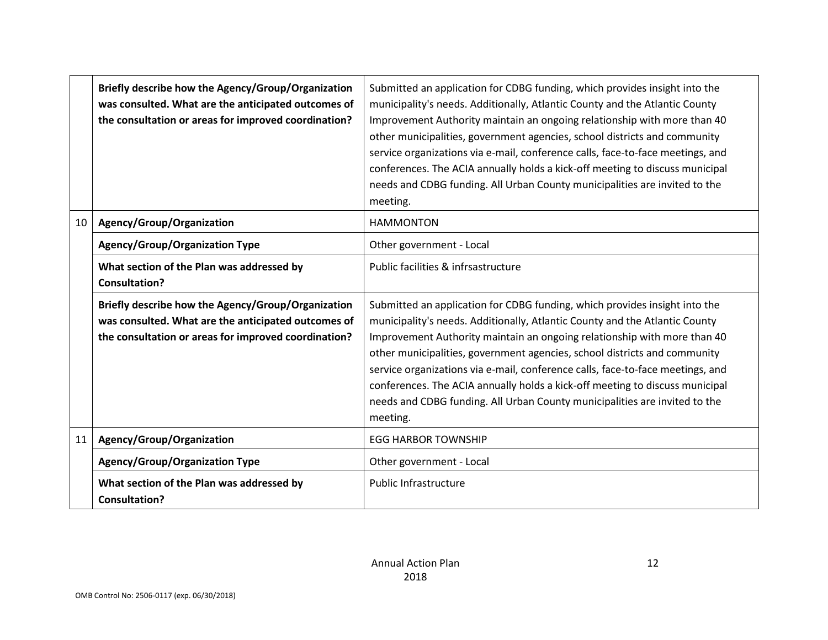|    | Briefly describe how the Agency/Group/Organization<br>was consulted. What are the anticipated outcomes of<br>the consultation or areas for improved coordination? | Submitted an application for CDBG funding, which provides insight into the<br>municipality's needs. Additionally, Atlantic County and the Atlantic County<br>Improvement Authority maintain an ongoing relationship with more than 40<br>other municipalities, government agencies, school districts and community<br>service organizations via e-mail, conference calls, face-to-face meetings, and<br>conferences. The ACIA annually holds a kick-off meeting to discuss municipal<br>needs and CDBG funding. All Urban County municipalities are invited to the<br>meeting. |
|----|-------------------------------------------------------------------------------------------------------------------------------------------------------------------|--------------------------------------------------------------------------------------------------------------------------------------------------------------------------------------------------------------------------------------------------------------------------------------------------------------------------------------------------------------------------------------------------------------------------------------------------------------------------------------------------------------------------------------------------------------------------------|
| 10 | Agency/Group/Organization                                                                                                                                         | <b>HAMMONTON</b>                                                                                                                                                                                                                                                                                                                                                                                                                                                                                                                                                               |
|    | <b>Agency/Group/Organization Type</b>                                                                                                                             | Other government - Local                                                                                                                                                                                                                                                                                                                                                                                                                                                                                                                                                       |
|    | What section of the Plan was addressed by<br><b>Consultation?</b>                                                                                                 | Public facilities & infrsastructure                                                                                                                                                                                                                                                                                                                                                                                                                                                                                                                                            |
|    | Briefly describe how the Agency/Group/Organization<br>was consulted. What are the anticipated outcomes of<br>the consultation or areas for improved coordination? | Submitted an application for CDBG funding, which provides insight into the<br>municipality's needs. Additionally, Atlantic County and the Atlantic County<br>Improvement Authority maintain an ongoing relationship with more than 40<br>other municipalities, government agencies, school districts and community<br>service organizations via e-mail, conference calls, face-to-face meetings, and<br>conferences. The ACIA annually holds a kick-off meeting to discuss municipal<br>needs and CDBG funding. All Urban County municipalities are invited to the<br>meeting. |
| 11 | Agency/Group/Organization                                                                                                                                         | <b>EGG HARBOR TOWNSHIP</b>                                                                                                                                                                                                                                                                                                                                                                                                                                                                                                                                                     |
|    | <b>Agency/Group/Organization Type</b>                                                                                                                             | Other government - Local                                                                                                                                                                                                                                                                                                                                                                                                                                                                                                                                                       |
|    | What section of the Plan was addressed by<br><b>Consultation?</b>                                                                                                 | <b>Public Infrastructure</b>                                                                                                                                                                                                                                                                                                                                                                                                                                                                                                                                                   |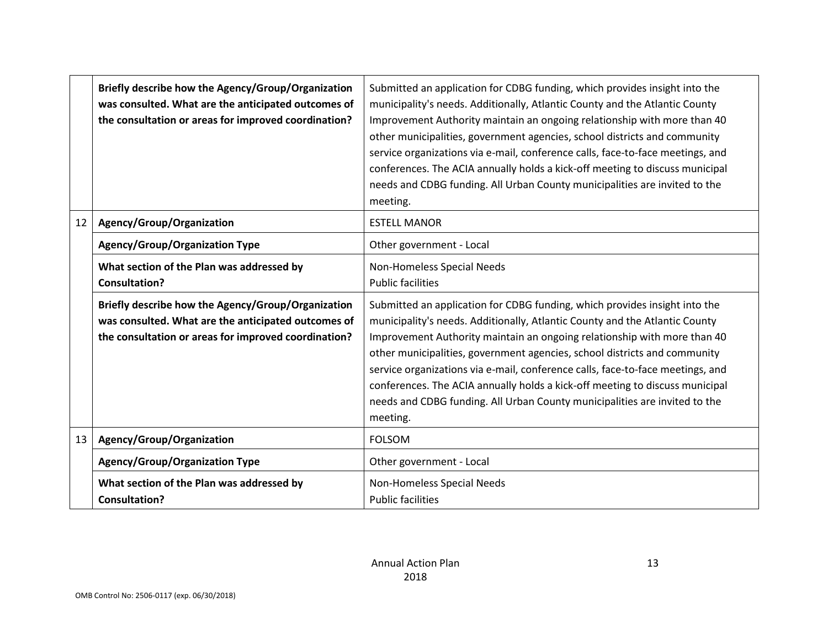|    | Briefly describe how the Agency/Group/Organization<br>was consulted. What are the anticipated outcomes of<br>the consultation or areas for improved coordination? | Submitted an application for CDBG funding, which provides insight into the<br>municipality's needs. Additionally, Atlantic County and the Atlantic County<br>Improvement Authority maintain an ongoing relationship with more than 40<br>other municipalities, government agencies, school districts and community<br>service organizations via e-mail, conference calls, face-to-face meetings, and<br>conferences. The ACIA annually holds a kick-off meeting to discuss municipal<br>needs and CDBG funding. All Urban County municipalities are invited to the<br>meeting. |
|----|-------------------------------------------------------------------------------------------------------------------------------------------------------------------|--------------------------------------------------------------------------------------------------------------------------------------------------------------------------------------------------------------------------------------------------------------------------------------------------------------------------------------------------------------------------------------------------------------------------------------------------------------------------------------------------------------------------------------------------------------------------------|
| 12 | Agency/Group/Organization                                                                                                                                         | <b>ESTELL MANOR</b>                                                                                                                                                                                                                                                                                                                                                                                                                                                                                                                                                            |
|    | <b>Agency/Group/Organization Type</b>                                                                                                                             | Other government - Local                                                                                                                                                                                                                                                                                                                                                                                                                                                                                                                                                       |
|    | What section of the Plan was addressed by<br><b>Consultation?</b>                                                                                                 | Non-Homeless Special Needs<br><b>Public facilities</b>                                                                                                                                                                                                                                                                                                                                                                                                                                                                                                                         |
|    | Briefly describe how the Agency/Group/Organization<br>was consulted. What are the anticipated outcomes of<br>the consultation or areas for improved coordination? | Submitted an application for CDBG funding, which provides insight into the<br>municipality's needs. Additionally, Atlantic County and the Atlantic County<br>Improvement Authority maintain an ongoing relationship with more than 40<br>other municipalities, government agencies, school districts and community<br>service organizations via e-mail, conference calls, face-to-face meetings, and<br>conferences. The ACIA annually holds a kick-off meeting to discuss municipal<br>needs and CDBG funding. All Urban County municipalities are invited to the<br>meeting. |
| 13 | Agency/Group/Organization                                                                                                                                         | <b>FOLSOM</b>                                                                                                                                                                                                                                                                                                                                                                                                                                                                                                                                                                  |
|    | <b>Agency/Group/Organization Type</b>                                                                                                                             | Other government - Local                                                                                                                                                                                                                                                                                                                                                                                                                                                                                                                                                       |
|    | What section of the Plan was addressed by<br><b>Consultation?</b>                                                                                                 | Non-Homeless Special Needs<br><b>Public facilities</b>                                                                                                                                                                                                                                                                                                                                                                                                                                                                                                                         |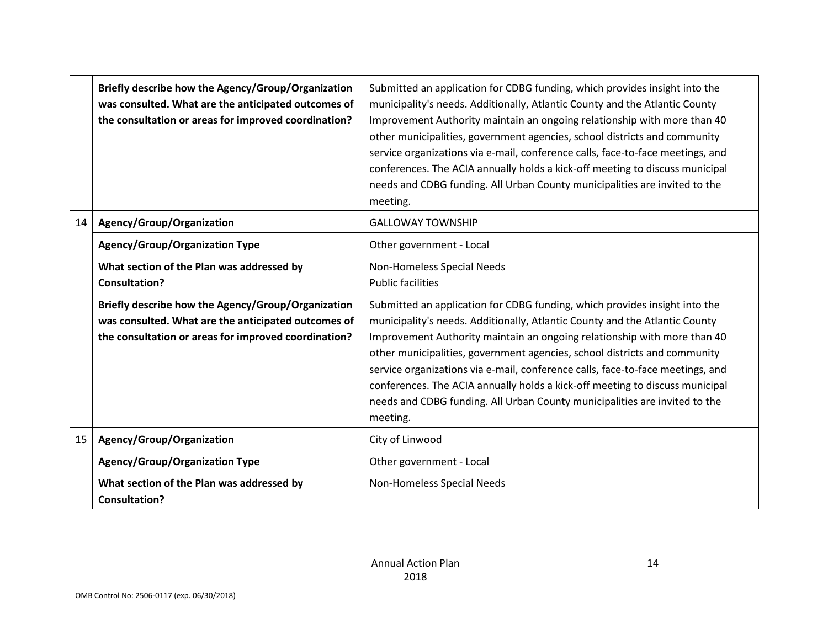|    | Briefly describe how the Agency/Group/Organization<br>was consulted. What are the anticipated outcomes of<br>the consultation or areas for improved coordination? | Submitted an application for CDBG funding, which provides insight into the<br>municipality's needs. Additionally, Atlantic County and the Atlantic County<br>Improvement Authority maintain an ongoing relationship with more than 40<br>other municipalities, government agencies, school districts and community<br>service organizations via e-mail, conference calls, face-to-face meetings, and<br>conferences. The ACIA annually holds a kick-off meeting to discuss municipal<br>needs and CDBG funding. All Urban County municipalities are invited to the<br>meeting. |
|----|-------------------------------------------------------------------------------------------------------------------------------------------------------------------|--------------------------------------------------------------------------------------------------------------------------------------------------------------------------------------------------------------------------------------------------------------------------------------------------------------------------------------------------------------------------------------------------------------------------------------------------------------------------------------------------------------------------------------------------------------------------------|
| 14 | Agency/Group/Organization                                                                                                                                         | <b>GALLOWAY TOWNSHIP</b>                                                                                                                                                                                                                                                                                                                                                                                                                                                                                                                                                       |
|    | <b>Agency/Group/Organization Type</b>                                                                                                                             | Other government - Local                                                                                                                                                                                                                                                                                                                                                                                                                                                                                                                                                       |
|    | What section of the Plan was addressed by<br><b>Consultation?</b>                                                                                                 | Non-Homeless Special Needs<br><b>Public facilities</b>                                                                                                                                                                                                                                                                                                                                                                                                                                                                                                                         |
|    | Briefly describe how the Agency/Group/Organization<br>was consulted. What are the anticipated outcomes of<br>the consultation or areas for improved coordination? | Submitted an application for CDBG funding, which provides insight into the<br>municipality's needs. Additionally, Atlantic County and the Atlantic County<br>Improvement Authority maintain an ongoing relationship with more than 40<br>other municipalities, government agencies, school districts and community<br>service organizations via e-mail, conference calls, face-to-face meetings, and<br>conferences. The ACIA annually holds a kick-off meeting to discuss municipal<br>needs and CDBG funding. All Urban County municipalities are invited to the<br>meeting. |
| 15 | Agency/Group/Organization                                                                                                                                         | City of Linwood                                                                                                                                                                                                                                                                                                                                                                                                                                                                                                                                                                |
|    | <b>Agency/Group/Organization Type</b>                                                                                                                             | Other government - Local                                                                                                                                                                                                                                                                                                                                                                                                                                                                                                                                                       |
|    | What section of the Plan was addressed by<br><b>Consultation?</b>                                                                                                 | Non-Homeless Special Needs                                                                                                                                                                                                                                                                                                                                                                                                                                                                                                                                                     |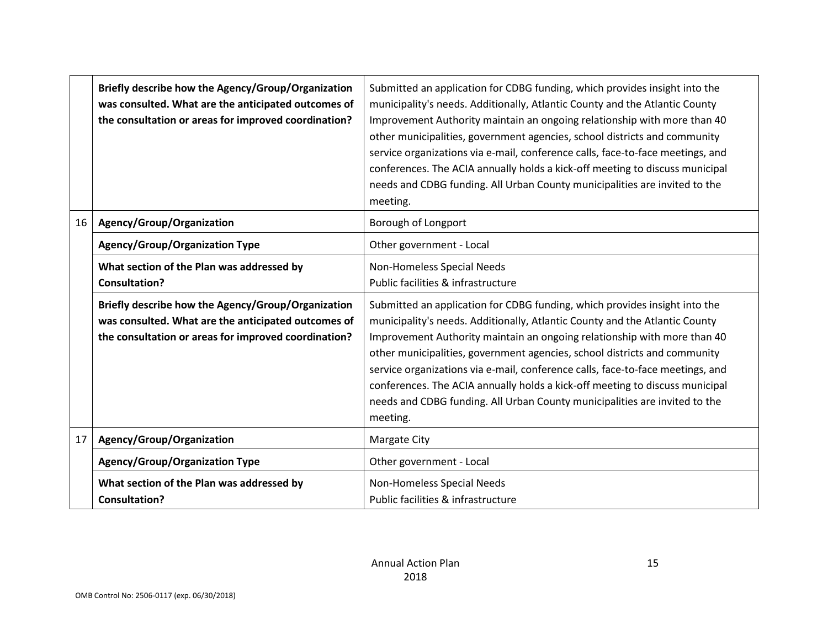|    | Briefly describe how the Agency/Group/Organization<br>was consulted. What are the anticipated outcomes of<br>the consultation or areas for improved coordination? | Submitted an application for CDBG funding, which provides insight into the<br>municipality's needs. Additionally, Atlantic County and the Atlantic County<br>Improvement Authority maintain an ongoing relationship with more than 40<br>other municipalities, government agencies, school districts and community<br>service organizations via e-mail, conference calls, face-to-face meetings, and<br>conferences. The ACIA annually holds a kick-off meeting to discuss municipal<br>needs and CDBG funding. All Urban County municipalities are invited to the<br>meeting. |
|----|-------------------------------------------------------------------------------------------------------------------------------------------------------------------|--------------------------------------------------------------------------------------------------------------------------------------------------------------------------------------------------------------------------------------------------------------------------------------------------------------------------------------------------------------------------------------------------------------------------------------------------------------------------------------------------------------------------------------------------------------------------------|
| 16 | Agency/Group/Organization                                                                                                                                         | Borough of Longport                                                                                                                                                                                                                                                                                                                                                                                                                                                                                                                                                            |
|    | <b>Agency/Group/Organization Type</b>                                                                                                                             | Other government - Local                                                                                                                                                                                                                                                                                                                                                                                                                                                                                                                                                       |
|    | What section of the Plan was addressed by<br><b>Consultation?</b>                                                                                                 | Non-Homeless Special Needs<br>Public facilities & infrastructure                                                                                                                                                                                                                                                                                                                                                                                                                                                                                                               |
|    | Briefly describe how the Agency/Group/Organization<br>was consulted. What are the anticipated outcomes of<br>the consultation or areas for improved coordination? | Submitted an application for CDBG funding, which provides insight into the<br>municipality's needs. Additionally, Atlantic County and the Atlantic County<br>Improvement Authority maintain an ongoing relationship with more than 40<br>other municipalities, government agencies, school districts and community<br>service organizations via e-mail, conference calls, face-to-face meetings, and<br>conferences. The ACIA annually holds a kick-off meeting to discuss municipal<br>needs and CDBG funding. All Urban County municipalities are invited to the<br>meeting. |
| 17 | Agency/Group/Organization                                                                                                                                         | Margate City                                                                                                                                                                                                                                                                                                                                                                                                                                                                                                                                                                   |
|    | <b>Agency/Group/Organization Type</b>                                                                                                                             | Other government - Local                                                                                                                                                                                                                                                                                                                                                                                                                                                                                                                                                       |
|    | What section of the Plan was addressed by<br><b>Consultation?</b>                                                                                                 | Non-Homeless Special Needs<br>Public facilities & infrastructure                                                                                                                                                                                                                                                                                                                                                                                                                                                                                                               |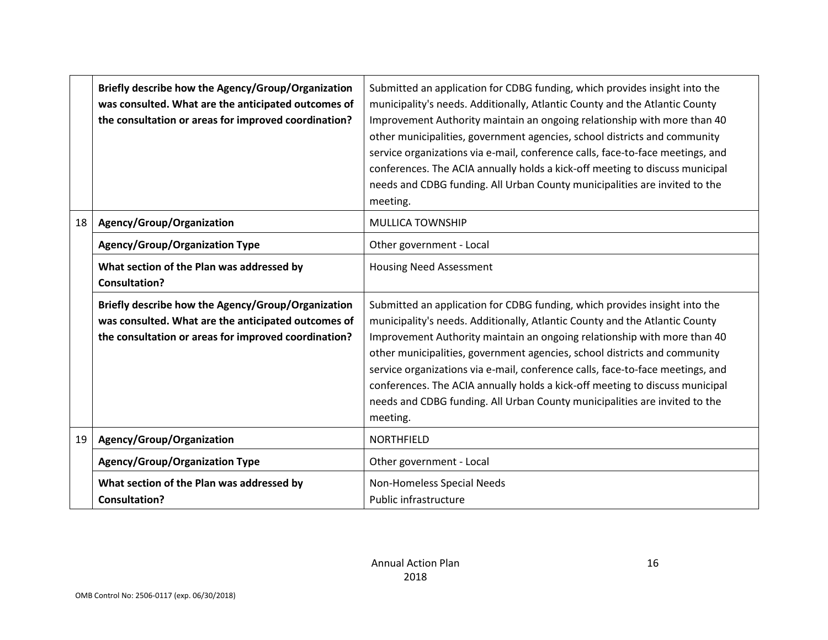|    | Briefly describe how the Agency/Group/Organization<br>was consulted. What are the anticipated outcomes of<br>the consultation or areas for improved coordination? | Submitted an application for CDBG funding, which provides insight into the<br>municipality's needs. Additionally, Atlantic County and the Atlantic County<br>Improvement Authority maintain an ongoing relationship with more than 40<br>other municipalities, government agencies, school districts and community<br>service organizations via e-mail, conference calls, face-to-face meetings, and<br>conferences. The ACIA annually holds a kick-off meeting to discuss municipal<br>needs and CDBG funding. All Urban County municipalities are invited to the<br>meeting. |
|----|-------------------------------------------------------------------------------------------------------------------------------------------------------------------|--------------------------------------------------------------------------------------------------------------------------------------------------------------------------------------------------------------------------------------------------------------------------------------------------------------------------------------------------------------------------------------------------------------------------------------------------------------------------------------------------------------------------------------------------------------------------------|
| 18 | Agency/Group/Organization                                                                                                                                         | <b>MULLICA TOWNSHIP</b>                                                                                                                                                                                                                                                                                                                                                                                                                                                                                                                                                        |
|    | <b>Agency/Group/Organization Type</b>                                                                                                                             | Other government - Local                                                                                                                                                                                                                                                                                                                                                                                                                                                                                                                                                       |
|    | What section of the Plan was addressed by<br><b>Consultation?</b>                                                                                                 | <b>Housing Need Assessment</b>                                                                                                                                                                                                                                                                                                                                                                                                                                                                                                                                                 |
|    | Briefly describe how the Agency/Group/Organization<br>was consulted. What are the anticipated outcomes of<br>the consultation or areas for improved coordination? | Submitted an application for CDBG funding, which provides insight into the<br>municipality's needs. Additionally, Atlantic County and the Atlantic County<br>Improvement Authority maintain an ongoing relationship with more than 40<br>other municipalities, government agencies, school districts and community<br>service organizations via e-mail, conference calls, face-to-face meetings, and<br>conferences. The ACIA annually holds a kick-off meeting to discuss municipal<br>needs and CDBG funding. All Urban County municipalities are invited to the<br>meeting. |
| 19 | Agency/Group/Organization                                                                                                                                         | <b>NORTHFIELD</b>                                                                                                                                                                                                                                                                                                                                                                                                                                                                                                                                                              |
|    | <b>Agency/Group/Organization Type</b>                                                                                                                             | Other government - Local                                                                                                                                                                                                                                                                                                                                                                                                                                                                                                                                                       |
|    | What section of the Plan was addressed by<br><b>Consultation?</b>                                                                                                 | Non-Homeless Special Needs<br>Public infrastructure                                                                                                                                                                                                                                                                                                                                                                                                                                                                                                                            |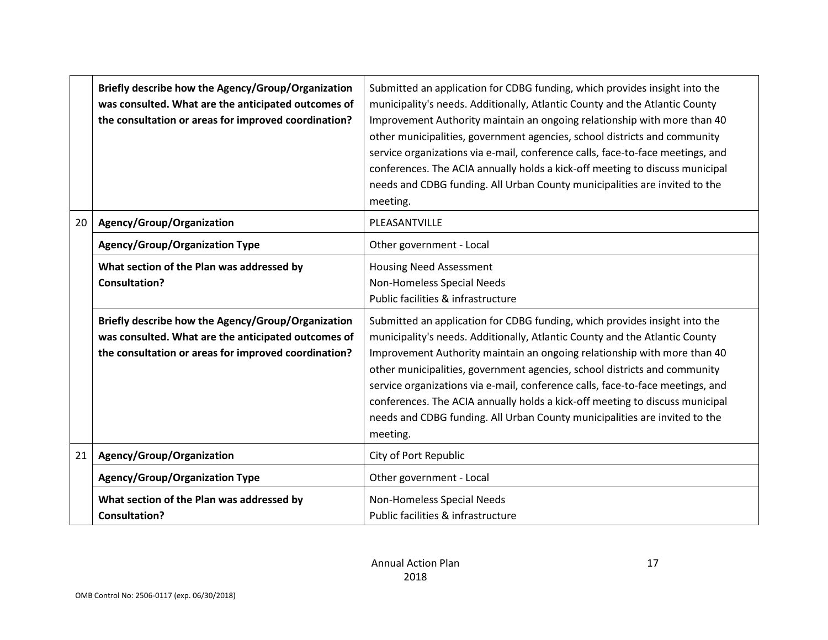|    | Briefly describe how the Agency/Group/Organization<br>was consulted. What are the anticipated outcomes of<br>the consultation or areas for improved coordination? | Submitted an application for CDBG funding, which provides insight into the<br>municipality's needs. Additionally, Atlantic County and the Atlantic County<br>Improvement Authority maintain an ongoing relationship with more than 40<br>other municipalities, government agencies, school districts and community<br>service organizations via e-mail, conference calls, face-to-face meetings, and<br>conferences. The ACIA annually holds a kick-off meeting to discuss municipal<br>needs and CDBG funding. All Urban County municipalities are invited to the<br>meeting. |
|----|-------------------------------------------------------------------------------------------------------------------------------------------------------------------|--------------------------------------------------------------------------------------------------------------------------------------------------------------------------------------------------------------------------------------------------------------------------------------------------------------------------------------------------------------------------------------------------------------------------------------------------------------------------------------------------------------------------------------------------------------------------------|
| 20 | Agency/Group/Organization                                                                                                                                         | PLEASANTVILLE                                                                                                                                                                                                                                                                                                                                                                                                                                                                                                                                                                  |
|    | <b>Agency/Group/Organization Type</b>                                                                                                                             | Other government - Local                                                                                                                                                                                                                                                                                                                                                                                                                                                                                                                                                       |
|    | What section of the Plan was addressed by<br><b>Consultation?</b>                                                                                                 | <b>Housing Need Assessment</b><br>Non-Homeless Special Needs<br>Public facilities & infrastructure                                                                                                                                                                                                                                                                                                                                                                                                                                                                             |
|    | Briefly describe how the Agency/Group/Organization<br>was consulted. What are the anticipated outcomes of<br>the consultation or areas for improved coordination? | Submitted an application for CDBG funding, which provides insight into the<br>municipality's needs. Additionally, Atlantic County and the Atlantic County<br>Improvement Authority maintain an ongoing relationship with more than 40<br>other municipalities, government agencies, school districts and community<br>service organizations via e-mail, conference calls, face-to-face meetings, and<br>conferences. The ACIA annually holds a kick-off meeting to discuss municipal<br>needs and CDBG funding. All Urban County municipalities are invited to the<br>meeting. |
| 21 | Agency/Group/Organization                                                                                                                                         | City of Port Republic                                                                                                                                                                                                                                                                                                                                                                                                                                                                                                                                                          |
|    | <b>Agency/Group/Organization Type</b>                                                                                                                             | Other government - Local                                                                                                                                                                                                                                                                                                                                                                                                                                                                                                                                                       |
|    | What section of the Plan was addressed by<br><b>Consultation?</b>                                                                                                 | Non-Homeless Special Needs<br>Public facilities & infrastructure                                                                                                                                                                                                                                                                                                                                                                                                                                                                                                               |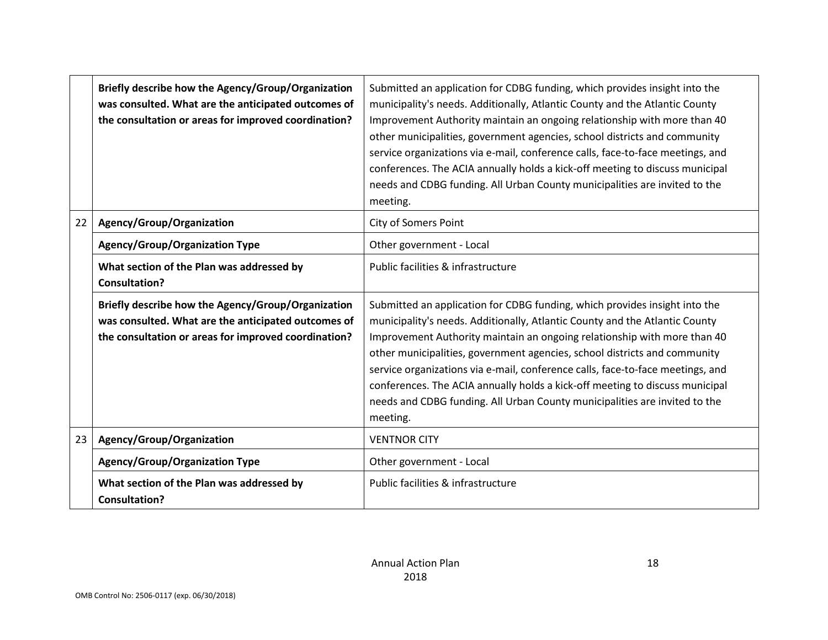|    | Briefly describe how the Agency/Group/Organization<br>was consulted. What are the anticipated outcomes of<br>the consultation or areas for improved coordination? | Submitted an application for CDBG funding, which provides insight into the<br>municipality's needs. Additionally, Atlantic County and the Atlantic County<br>Improvement Authority maintain an ongoing relationship with more than 40<br>other municipalities, government agencies, school districts and community<br>service organizations via e-mail, conference calls, face-to-face meetings, and<br>conferences. The ACIA annually holds a kick-off meeting to discuss municipal<br>needs and CDBG funding. All Urban County municipalities are invited to the<br>meeting. |
|----|-------------------------------------------------------------------------------------------------------------------------------------------------------------------|--------------------------------------------------------------------------------------------------------------------------------------------------------------------------------------------------------------------------------------------------------------------------------------------------------------------------------------------------------------------------------------------------------------------------------------------------------------------------------------------------------------------------------------------------------------------------------|
| 22 | Agency/Group/Organization                                                                                                                                         | <b>City of Somers Point</b>                                                                                                                                                                                                                                                                                                                                                                                                                                                                                                                                                    |
|    | <b>Agency/Group/Organization Type</b>                                                                                                                             | Other government - Local                                                                                                                                                                                                                                                                                                                                                                                                                                                                                                                                                       |
|    | What section of the Plan was addressed by<br><b>Consultation?</b>                                                                                                 | Public facilities & infrastructure                                                                                                                                                                                                                                                                                                                                                                                                                                                                                                                                             |
|    | Briefly describe how the Agency/Group/Organization<br>was consulted. What are the anticipated outcomes of<br>the consultation or areas for improved coordination? | Submitted an application for CDBG funding, which provides insight into the<br>municipality's needs. Additionally, Atlantic County and the Atlantic County<br>Improvement Authority maintain an ongoing relationship with more than 40<br>other municipalities, government agencies, school districts and community<br>service organizations via e-mail, conference calls, face-to-face meetings, and<br>conferences. The ACIA annually holds a kick-off meeting to discuss municipal<br>needs and CDBG funding. All Urban County municipalities are invited to the<br>meeting. |
| 23 | Agency/Group/Organization                                                                                                                                         | <b>VENTNOR CITY</b>                                                                                                                                                                                                                                                                                                                                                                                                                                                                                                                                                            |
|    | <b>Agency/Group/Organization Type</b>                                                                                                                             | Other government - Local                                                                                                                                                                                                                                                                                                                                                                                                                                                                                                                                                       |
|    | What section of the Plan was addressed by<br><b>Consultation?</b>                                                                                                 | Public facilities & infrastructure                                                                                                                                                                                                                                                                                                                                                                                                                                                                                                                                             |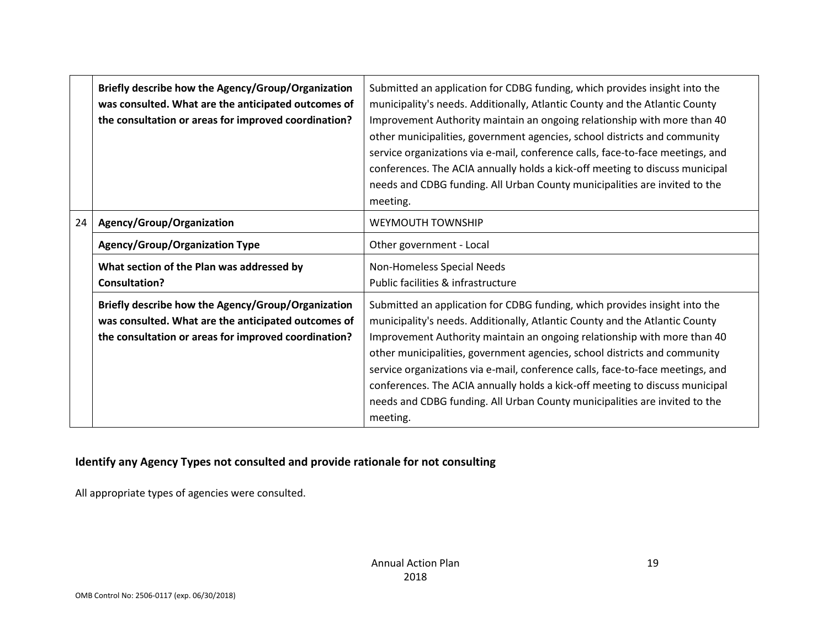|    | Briefly describe how the Agency/Group/Organization<br>was consulted. What are the anticipated outcomes of<br>the consultation or areas for improved coordination? | Submitted an application for CDBG funding, which provides insight into the<br>municipality's needs. Additionally, Atlantic County and the Atlantic County<br>Improvement Authority maintain an ongoing relationship with more than 40<br>other municipalities, government agencies, school districts and community<br>service organizations via e-mail, conference calls, face-to-face meetings, and<br>conferences. The ACIA annually holds a kick-off meeting to discuss municipal<br>needs and CDBG funding. All Urban County municipalities are invited to the<br>meeting. |
|----|-------------------------------------------------------------------------------------------------------------------------------------------------------------------|--------------------------------------------------------------------------------------------------------------------------------------------------------------------------------------------------------------------------------------------------------------------------------------------------------------------------------------------------------------------------------------------------------------------------------------------------------------------------------------------------------------------------------------------------------------------------------|
| 24 | Agency/Group/Organization                                                                                                                                         | <b>WEYMOUTH TOWNSHIP</b>                                                                                                                                                                                                                                                                                                                                                                                                                                                                                                                                                       |
|    | Agency/Group/Organization Type                                                                                                                                    | Other government - Local                                                                                                                                                                                                                                                                                                                                                                                                                                                                                                                                                       |
|    | What section of the Plan was addressed by<br><b>Consultation?</b>                                                                                                 | Non-Homeless Special Needs<br>Public facilities & infrastructure                                                                                                                                                                                                                                                                                                                                                                                                                                                                                                               |
|    | Briefly describe how the Agency/Group/Organization<br>was consulted. What are the anticipated outcomes of<br>the consultation or areas for improved coordination? | Submitted an application for CDBG funding, which provides insight into the<br>municipality's needs. Additionally, Atlantic County and the Atlantic County<br>Improvement Authority maintain an ongoing relationship with more than 40<br>other municipalities, government agencies, school districts and community<br>service organizations via e-mail, conference calls, face-to-face meetings, and<br>conferences. The ACIA annually holds a kick-off meeting to discuss municipal<br>needs and CDBG funding. All Urban County municipalities are invited to the<br>meeting. |

## **Identify any Agency Types not consulted and provide rationale for not consulting**

All appropriate types of agencies were consulted.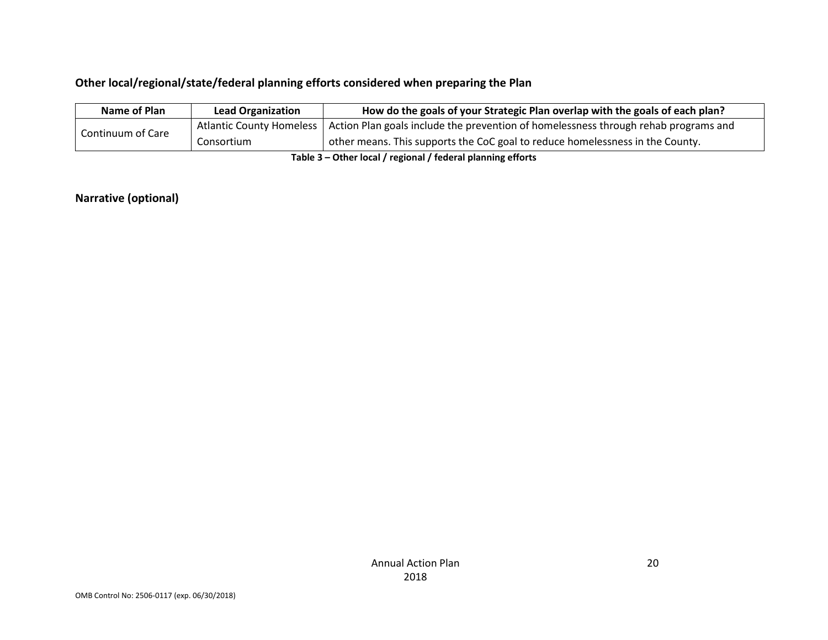# **Other local/regional/state/federal planning efforts considered when preparing the Plan**

| Name of Plan      | <b>Lead Organization</b> | How do the goals of your Strategic Plan overlap with the goals of each plan?                                   |
|-------------------|--------------------------|----------------------------------------------------------------------------------------------------------------|
|                   |                          | Atlantic County Homeless   Action Plan goals include the prevention of homelessness through rehab programs and |
| Continuum of Care | Consortium               | other means. This supports the CoC goal to reduce homelessness in the County.                                  |
|                   |                          |                                                                                                                |

**Table 3 – Other local / regional / federal planning efforts**

## **Narrative (optional)**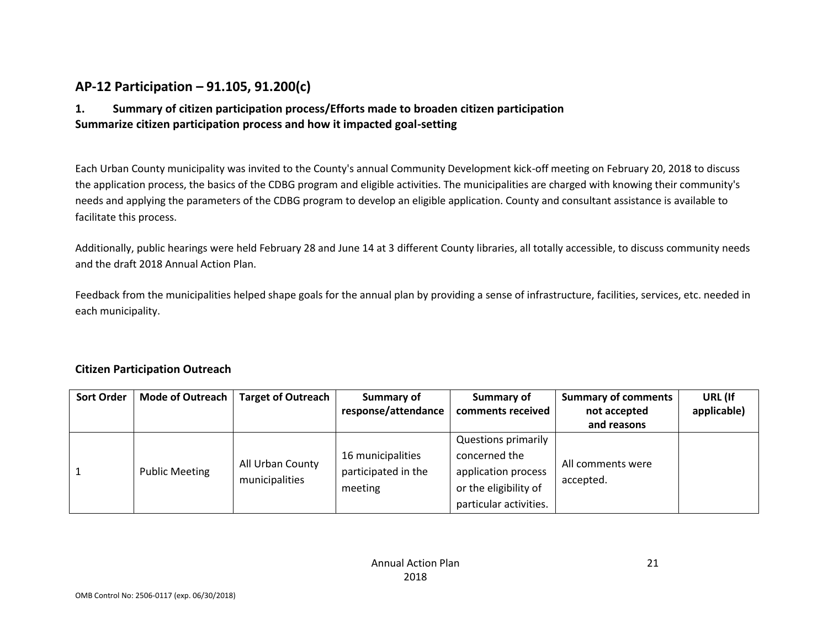# **AP-12 Participation – 91.105, 91.200(c)**

# **1. Summary of citizen participation process/Efforts made to broaden citizen participation Summarize citizen participation process and how it impacted goal-setting**

Each Urban County municipality was invited to the County's annual Community Development kick-off meeting on February 20, 2018 to discuss the application process, the basics of the CDBG program and eligible activities. The municipalities are charged with knowing their community's needs and applying the parameters of the CDBG program to develop an eligible application. County and consultant assistance is available to facilitate this process.

Additionally, public hearings were held February 28 and June 14 at 3 different County libraries, all totally accessible, to discuss community needs and the draft 2018 Annual Action Plan.

Feedback from the municipalities helped shape goals for the annual plan by providing a sense of infrastructure, facilities, services, etc. needed in each municipality.

### **Citizen Participation Outreach**

| <b>Sort Order</b> | <b>Mode of Outreach</b><br><b>Target of Outreach</b> |                                    | Summary of                         | Summary of                 | <b>Summary of comments</b> | URL (If     |
|-------------------|------------------------------------------------------|------------------------------------|------------------------------------|----------------------------|----------------------------|-------------|
|                   |                                                      |                                    | response/attendance                | comments received          | not accepted               | applicable) |
|                   |                                                      |                                    |                                    |                            | and reasons                |             |
|                   |                                                      |                                    |                                    | <b>Questions primarily</b> |                            |             |
|                   |                                                      | All Urban County<br>municipalities | 16 municipalities<br>concerned the | All comments were          |                            |             |
|                   | <b>Public Meeting</b>                                |                                    | participated in the                | application process        | accepted.                  |             |
|                   |                                                      |                                    | meeting                            | or the eligibility of      |                            |             |
|                   |                                                      |                                    |                                    | particular activities.     |                            |             |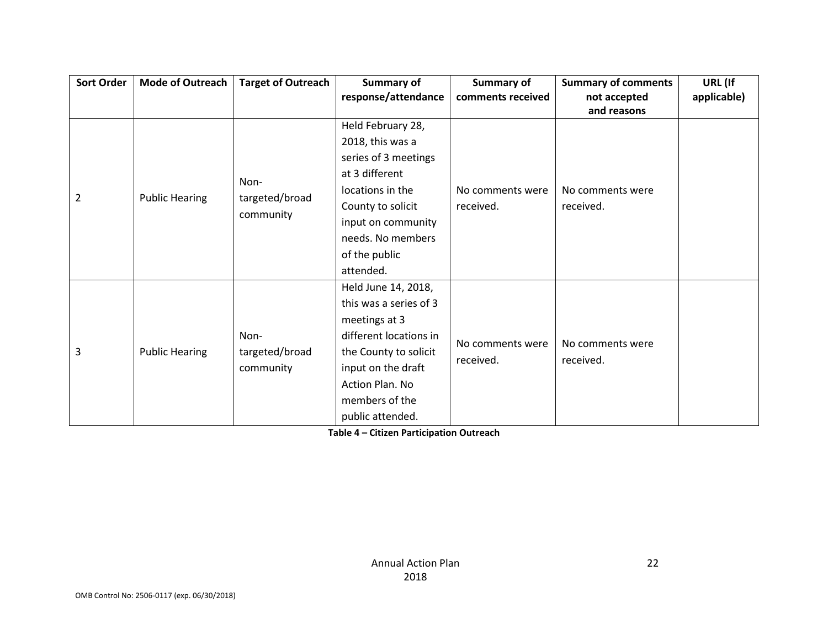| Sort Order     | Mode of Outreach      | <b>Target of Outreach</b>   | Summary of             | <b>Summary of</b> | <b>Summary of comments</b> | URL (If     |
|----------------|-----------------------|-----------------------------|------------------------|-------------------|----------------------------|-------------|
|                |                       |                             | response/attendance    | comments received | not accepted               | applicable) |
|                |                       |                             |                        |                   | and reasons                |             |
|                |                       |                             | Held February 28,      |                   |                            |             |
|                |                       |                             | 2018, this was a       |                   |                            |             |
|                |                       |                             | series of 3 meetings   |                   |                            |             |
|                |                       | Non-                        | at 3 different         |                   |                            |             |
| $\overline{2}$ |                       |                             | locations in the       | No comments were  | No comments were           |             |
|                | <b>Public Hearing</b> | targeted/broad<br>community | County to solicit      | received.         | received.                  |             |
|                |                       |                             | input on community     |                   |                            |             |
|                |                       |                             | needs. No members      |                   |                            |             |
|                |                       |                             | of the public          |                   |                            |             |
|                |                       |                             | attended.              |                   |                            |             |
|                |                       |                             | Held June 14, 2018,    |                   |                            |             |
|                |                       |                             | this was a series of 3 |                   |                            |             |
|                |                       |                             | meetings at 3          |                   |                            |             |
|                |                       | Non-                        | different locations in | No comments were  | No comments were           |             |
| 3              | <b>Public Hearing</b> | targeted/broad              | the County to solicit  | received.         |                            |             |
|                |                       | community                   | input on the draft     |                   | received.                  |             |
|                |                       |                             | Action Plan. No        |                   |                            |             |
|                |                       |                             | members of the         |                   |                            |             |
|                |                       |                             | public attended.       |                   |                            |             |

**Table 4 – Citizen Participation Outreach**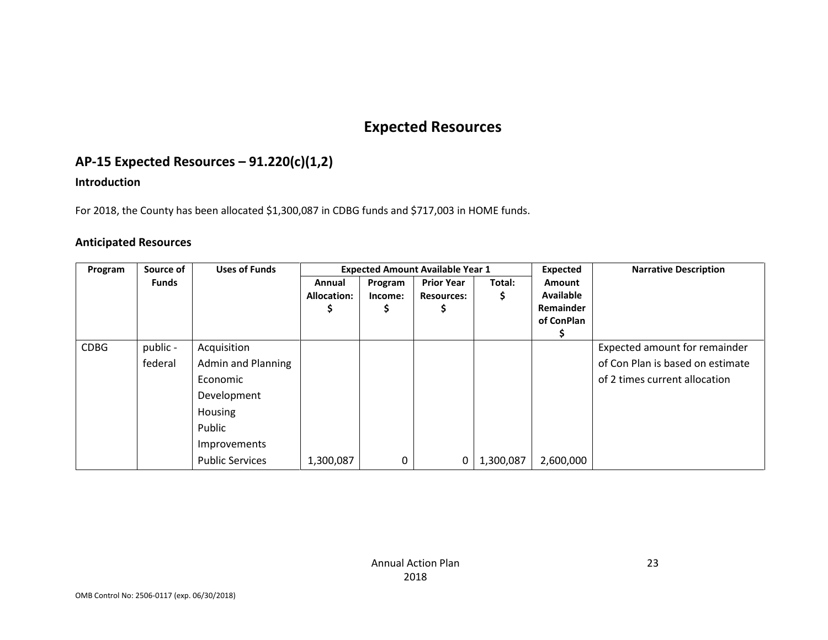# **Expected Resources**

# **AP-15 Expected Resources – 91.220(c)(1,2)**

### **Introduction**

For 2018, the County has been allocated \$1,300,087 in CDBG funds and \$717,003 in HOME funds.

#### **Anticipated Resources**

| Program     | Source of           | <b>Uses of Funds</b>                                                                                                               |                              |                    | <b>Expected Amount Available Year 1</b> |             | <b>Expected</b>                                              | <b>Narrative Description</b>                                                                       |
|-------------|---------------------|------------------------------------------------------------------------------------------------------------------------------------|------------------------------|--------------------|-----------------------------------------|-------------|--------------------------------------------------------------|----------------------------------------------------------------------------------------------------|
|             | Funds               |                                                                                                                                    | Annual<br><b>Allocation:</b> | Program<br>Income: | <b>Prior Year</b><br><b>Resources:</b>  | Total:<br>S | <b>Amount</b><br><b>Available</b><br>Remainder<br>of ConPlan |                                                                                                    |
| <b>CDBG</b> | public -<br>federal | Acquisition<br><b>Admin and Planning</b><br>Economic<br>Development<br>Housing<br>Public<br>Improvements<br><b>Public Services</b> | 1,300,087                    | 0                  | 0                                       | 1,300,087   | 2,600,000                                                    | Expected amount for remainder<br>of Con Plan is based on estimate<br>of 2 times current allocation |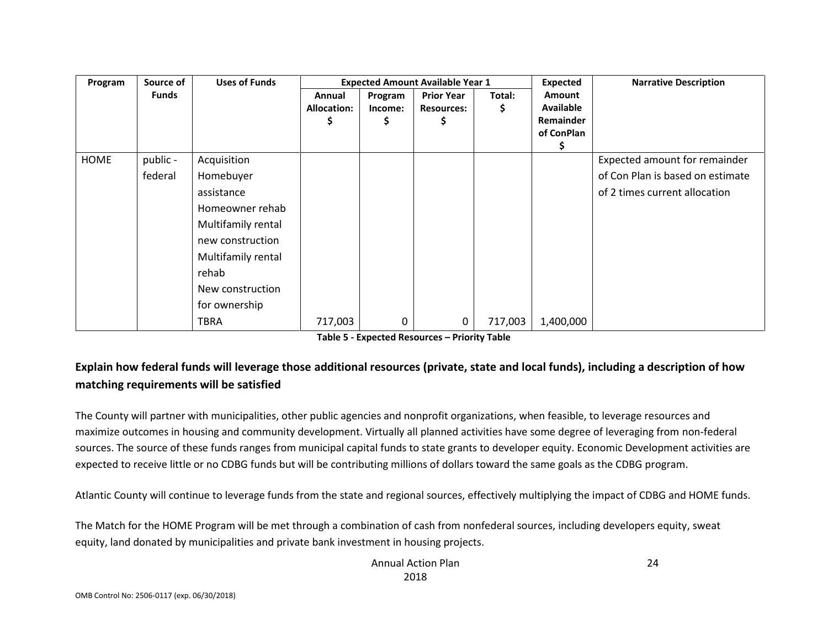| Program | Source of    | <b>Uses of Funds</b> |                    |         | <b>Expected Amount Available Year 1</b> |         | <b>Expected</b>  | <b>Narrative Description</b>     |
|---------|--------------|----------------------|--------------------|---------|-----------------------------------------|---------|------------------|----------------------------------|
|         | <b>Funds</b> |                      | Annual             | Program | <b>Prior Year</b>                       | Total:  | Amount           |                                  |
|         |              |                      | <b>Allocation:</b> | Income: | <b>Resources:</b>                       | Ş.      | <b>Available</b> |                                  |
|         |              |                      | Ş                  | Ş       | Ş                                       |         | Remainder        |                                  |
|         |              |                      |                    |         |                                         |         | of ConPlan       |                                  |
| HOME    | public -     | Acquisition          |                    |         |                                         |         |                  | Expected amount for remainder    |
|         | federal      | Homebuyer            |                    |         |                                         |         |                  | of Con Plan is based on estimate |
|         |              | assistance           |                    |         |                                         |         |                  | of 2 times current allocation    |
|         |              | Homeowner rehab      |                    |         |                                         |         |                  |                                  |
|         |              | Multifamily rental   |                    |         |                                         |         |                  |                                  |
|         |              | new construction     |                    |         |                                         |         |                  |                                  |
|         |              | Multifamily rental   |                    |         |                                         |         |                  |                                  |
|         |              | rehab                |                    |         |                                         |         |                  |                                  |
|         |              | New construction     |                    |         |                                         |         |                  |                                  |
|         |              | for ownership        |                    |         |                                         |         |                  |                                  |
|         |              | <b>TBRA</b>          | 717,003            | 0       | $\mathbf 0$                             | 717,003 | 1,400,000        |                                  |

# **Explain how federal funds will leverage those additional resources (private, state and local funds), including a description of how matching requirements will be satisfied**

The County will partner with municipalities, other public agencies and nonprofit organizations, when feasible, to leverage resources and maximize outcomes in housing and community development. Virtually all planned activities have some degree of leveraging from non-federal sources. The source of these funds ranges from municipal capital funds to state grants to developer equity. Economic Development activities are expected to receive little or no CDBG funds but will be contributing millions of dollars toward the same goals as the CDBG program.

Atlantic County will continue to leverage funds from the state and regional sources, effectively multiplying the impact of CDBG and HOME funds.

The Match for the HOME Program will be met through a combination of cash from nonfederal sources, including developers equity, sweat equity, land donated by municipalities and private bank investment in housing projects.

> Annual Action Plan 2018

24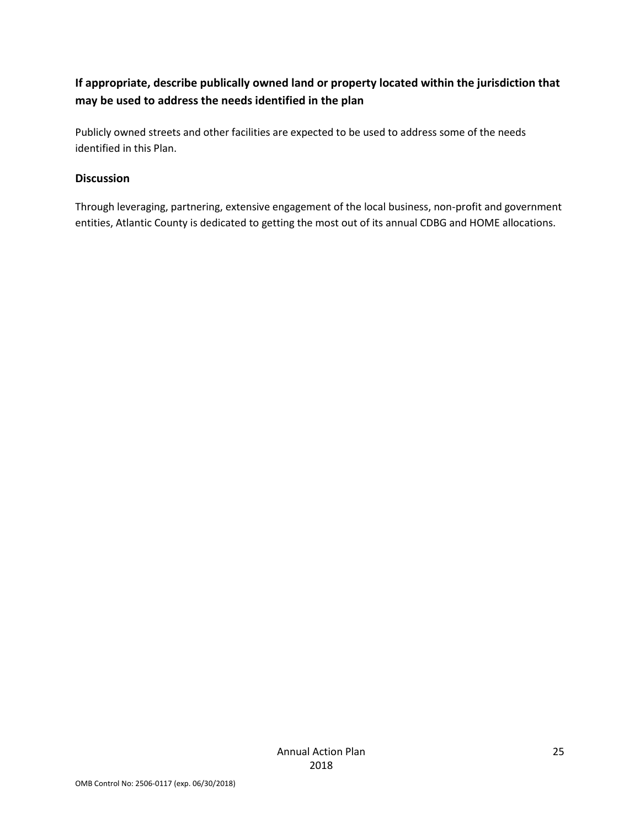# **If appropriate, describe publically owned land or property located within the jurisdiction that may be used to address the needs identified in the plan**

Publicly owned streets and other facilities are expected to be used to address some of the needs identified in this Plan.

#### **Discussion**

Through leveraging, partnering, extensive engagement of the local business, non-profit and government entities, Atlantic County is dedicated to getting the most out of its annual CDBG and HOME allocations.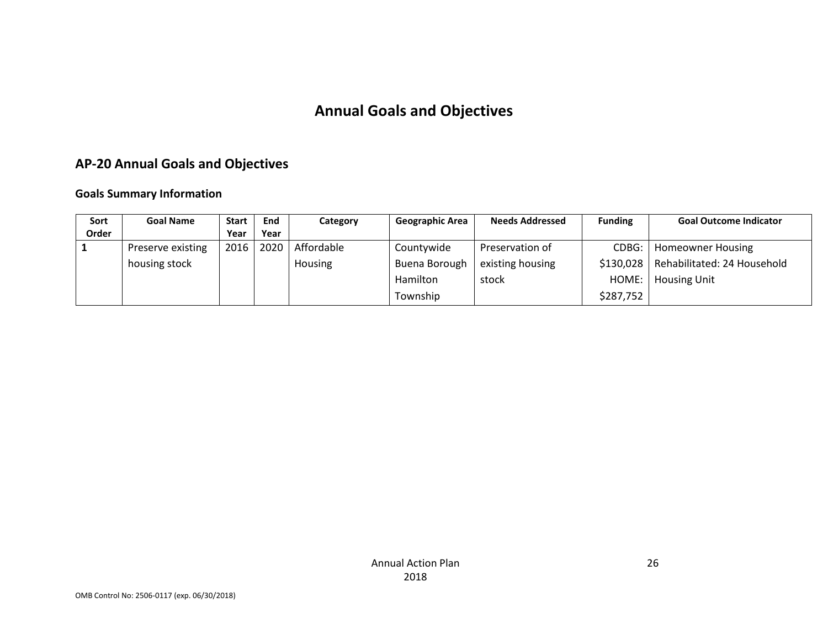# **Annual Goals and Objectives**

# **AP-20 Annual Goals and Objectives**

#### **Goals Summary Information**

| Sort  | <b>Goal Name</b>  | <b>Start</b> | End  | Category       | <b>Geographic Area</b> | <b>Needs Addressed</b> | <b>Funding</b> | <b>Goal Outcome Indicator</b> |
|-------|-------------------|--------------|------|----------------|------------------------|------------------------|----------------|-------------------------------|
| Order |                   | Year         | Year |                |                        |                        |                |                               |
|       | Preserve existing | 2016         | 2020 | Affordable     | Countywide             | Preservation of        | CDBG:          | Homeowner Housing             |
|       | housing stock     |              |      | <b>Housing</b> | Buena Borough          | existing housing       | \$130,028      | Rehabilitated: 24 Household   |
|       |                   |              |      |                | Hamilton               | stock                  | HOME:          | <b>Housing Unit</b>           |
|       |                   |              |      |                | Township               |                        | \$287,752      |                               |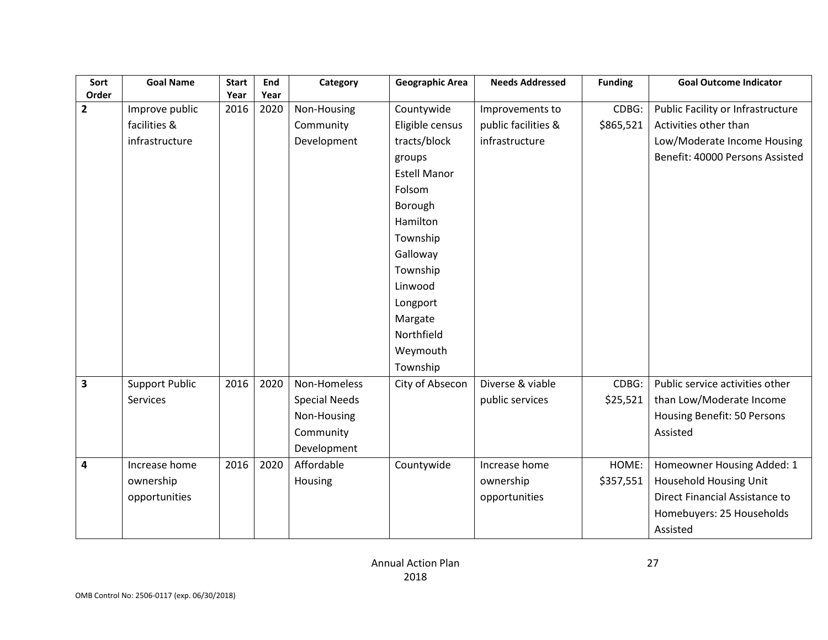| Sort                    | <b>Goal Name</b>      | <b>Start</b> | End  | Category             | <b>Geographic Area</b> | <b>Needs Addressed</b> | <b>Funding</b> | <b>Goal Outcome Indicator</b>     |
|-------------------------|-----------------------|--------------|------|----------------------|------------------------|------------------------|----------------|-----------------------------------|
| Order                   |                       | Year         | Year |                      |                        |                        |                |                                   |
| $\overline{\mathbf{c}}$ | Improve public        | 2016         | 2020 | Non-Housing          | Countywide             | Improvements to        | CDBG:          | Public Facility or Infrastructure |
|                         | facilities &          |              |      | Community            | Eligible census        | public facilities &    | \$865,521      | Activities other than             |
|                         | infrastructure        |              |      | Development          | tracts/block           | infrastructure         |                | Low/Moderate Income Housing       |
|                         |                       |              |      |                      | groups                 |                        |                | Benefit: 40000 Persons Assisted   |
|                         |                       |              |      |                      | <b>Estell Manor</b>    |                        |                |                                   |
|                         |                       |              |      |                      | Folsom                 |                        |                |                                   |
|                         |                       |              |      |                      | Borough                |                        |                |                                   |
|                         |                       |              |      |                      | Hamilton               |                        |                |                                   |
|                         |                       |              |      |                      | Township               |                        |                |                                   |
|                         |                       |              |      |                      | Galloway               |                        |                |                                   |
|                         |                       |              |      |                      | Township               |                        |                |                                   |
|                         |                       |              |      |                      | Linwood                |                        |                |                                   |
|                         |                       |              |      |                      | Longport               |                        |                |                                   |
|                         |                       |              |      |                      | Margate                |                        |                |                                   |
|                         |                       |              |      |                      | Northfield             |                        |                |                                   |
|                         |                       |              |      |                      | Weymouth               |                        |                |                                   |
|                         |                       |              |      |                      | Township               |                        |                |                                   |
| 3                       | <b>Support Public</b> | 2016         | 2020 | Non-Homeless         | City of Absecon        | Diverse & viable       | CDBG:          | Public service activities other   |
|                         | <b>Services</b>       |              |      | <b>Special Needs</b> |                        | public services        | \$25,521       | than Low/Moderate Income          |
|                         |                       |              |      | Non-Housing          |                        |                        |                | Housing Benefit: 50 Persons       |
|                         |                       |              |      | Community            |                        |                        |                | Assisted                          |
|                         |                       |              |      | Development          |                        |                        |                |                                   |
| 4                       | Increase home         | 2016         | 2020 | Affordable           | Countywide             | Increase home          | HOME:          | Homeowner Housing Added: 1        |
|                         | ownership             |              |      | Housing              |                        | ownership              | \$357,551      | Household Housing Unit            |
|                         | opportunities         |              |      |                      |                        | opportunities          |                | Direct Financial Assistance to    |
|                         |                       |              |      |                      |                        |                        |                | Homebuyers: 25 Households         |
|                         |                       |              |      |                      |                        |                        |                | Assisted                          |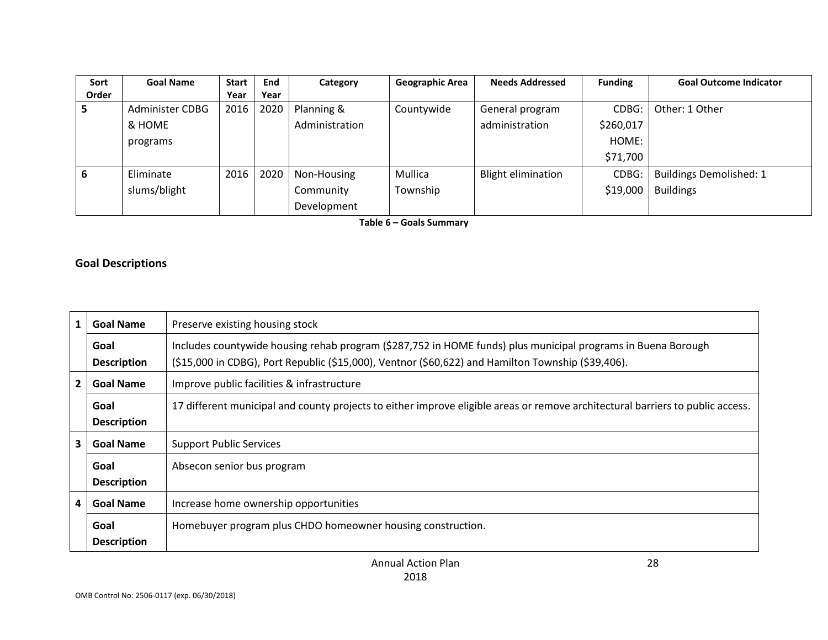| Sort  | <b>Goal Name</b> | <b>Start</b> | End  | Category       | <b>Geographic Area</b> | <b>Needs Addressed</b>    | <b>Funding</b> | <b>Goal Outcome Indicator</b>  |
|-------|------------------|--------------|------|----------------|------------------------|---------------------------|----------------|--------------------------------|
| Order |                  | Year         | Year |                |                        |                           |                |                                |
| ∍     | Administer CDBG  | 2016         | 2020 | Planning &     | Countywide             | General program           | CDBG:          | Other: 1 Other                 |
|       | & HOME           |              |      | Administration |                        | administration            | \$260,017      |                                |
|       | programs         |              |      |                |                        |                           | HOME:          |                                |
|       |                  |              |      |                |                        |                           | \$71,700       |                                |
| 6     | Eliminate        | 2016         | 2020 | Non-Housing    | Mullica                | <b>Blight elimination</b> | CDBG:          | <b>Buildings Demolished: 1</b> |
|       | slums/blight     |              |      | Community      | Township               |                           | \$19,000       | <b>Buildings</b>               |
|       |                  |              |      | Development    |                        |                           |                |                                |

**Table 6 – Goals Summary**

#### **Goal Descriptions**

| $\mathbf{1}$   | <b>Goal Name</b>           | Preserve existing housing stock                                                                                                                                                                                    |  |
|----------------|----------------------------|--------------------------------------------------------------------------------------------------------------------------------------------------------------------------------------------------------------------|--|
|                | Goal<br><b>Description</b> | Includes countywide housing rehab program (\$287,752 in HOME funds) plus municipal programs in Buena Borough<br>(\$15,000 in CDBG), Port Republic (\$15,000), Ventnor (\$60,622) and Hamilton Township (\$39,406). |  |
| $\overline{2}$ | <b>Goal Name</b>           | Improve public facilities & infrastructure                                                                                                                                                                         |  |
|                | Goal<br><b>Description</b> | 17 different municipal and county projects to either improve eligible areas or remove architectural barriers to public access.                                                                                     |  |
|                | <b>Goal Name</b>           | <b>Support Public Services</b>                                                                                                                                                                                     |  |
|                | Goal<br><b>Description</b> | Absecon senior bus program                                                                                                                                                                                         |  |
| 4              | <b>Goal Name</b>           | Increase home ownership opportunities                                                                                                                                                                              |  |
|                | Goal<br><b>Description</b> | Homebuyer program plus CHDO homeowner housing construction.                                                                                                                                                        |  |

28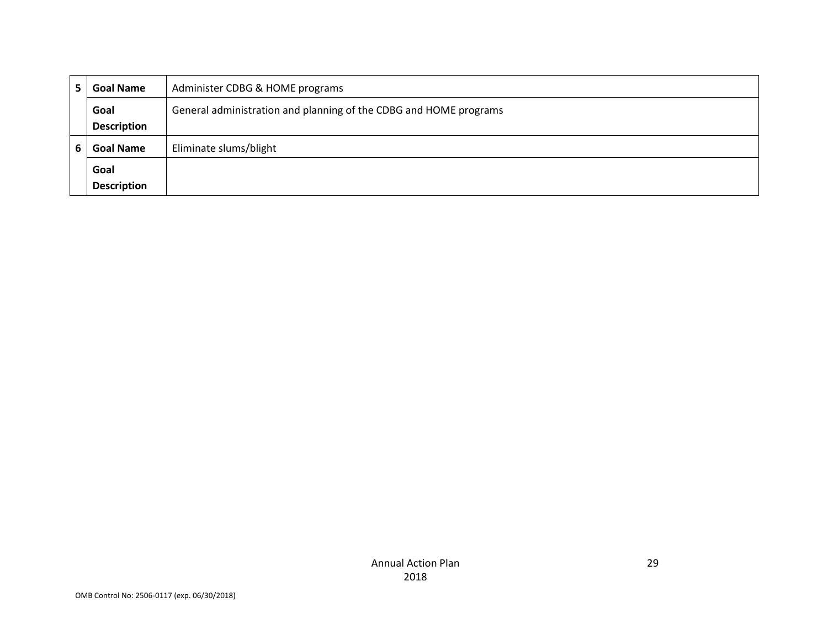| <b>Goal Name</b>   | Administer CDBG & HOME programs                                   |
|--------------------|-------------------------------------------------------------------|
| Goal               | General administration and planning of the CDBG and HOME programs |
| <b>Description</b> |                                                                   |
| <b>Goal Name</b>   | Eliminate slums/blight                                            |
| Goal               |                                                                   |
| <b>Description</b> |                                                                   |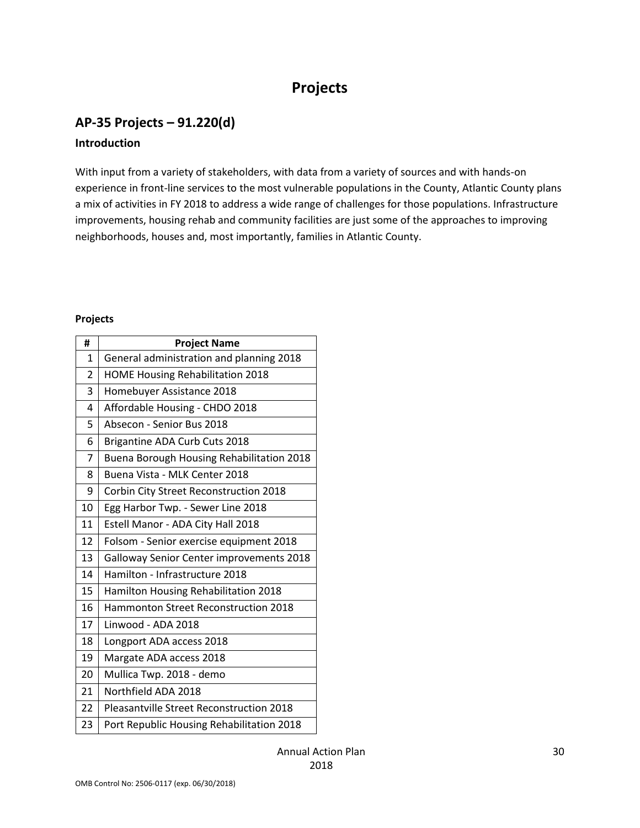# **Projects**

# **AP-35 Projects – 91.220(d)**

#### **Introduction**

With input from a variety of stakeholders, with data from a variety of sources and with hands-on experience in front-line services to the most vulnerable populations in the County, Atlantic County plans a mix of activities in FY 2018 to address a wide range of challenges for those populations. Infrastructure improvements, housing rehab and community facilities are just some of the approaches to improving neighborhoods, houses and, most importantly, families in Atlantic County.

#### **Projects**

| #  | <b>Project Name</b>                             |  |  |
|----|-------------------------------------------------|--|--|
| 1  | General administration and planning 2018        |  |  |
| 2  | <b>HOME Housing Rehabilitation 2018</b>         |  |  |
| 3  | Homebuyer Assistance 2018                       |  |  |
| 4  | Affordable Housing - CHDO 2018                  |  |  |
| 5  | Absecon - Senior Bus 2018                       |  |  |
| 6  | Brigantine ADA Curb Cuts 2018                   |  |  |
| 7  | Buena Borough Housing Rehabilitation 2018       |  |  |
| 8  | Buena Vista - MLK Center 2018                   |  |  |
| 9  | Corbin City Street Reconstruction 2018          |  |  |
| 10 | Egg Harbor Twp. - Sewer Line 2018               |  |  |
| 11 | Estell Manor - ADA City Hall 2018               |  |  |
| 12 | Folsom - Senior exercise equipment 2018         |  |  |
| 13 | Galloway Senior Center improvements 2018        |  |  |
| 14 | Hamilton - Infrastructure 2018                  |  |  |
| 15 | Hamilton Housing Rehabilitation 2018            |  |  |
| 16 | Hammonton Street Reconstruction 2018            |  |  |
| 17 | Linwood - ADA 2018                              |  |  |
| 18 | Longport ADA access 2018                        |  |  |
| 19 | Margate ADA access 2018                         |  |  |
| 20 | Mullica Twp. 2018 - demo                        |  |  |
| 21 | Northfield ADA 2018                             |  |  |
| 22 | <b>Pleasantville Street Reconstruction 2018</b> |  |  |
| 23 | Port Republic Housing Rehabilitation 2018       |  |  |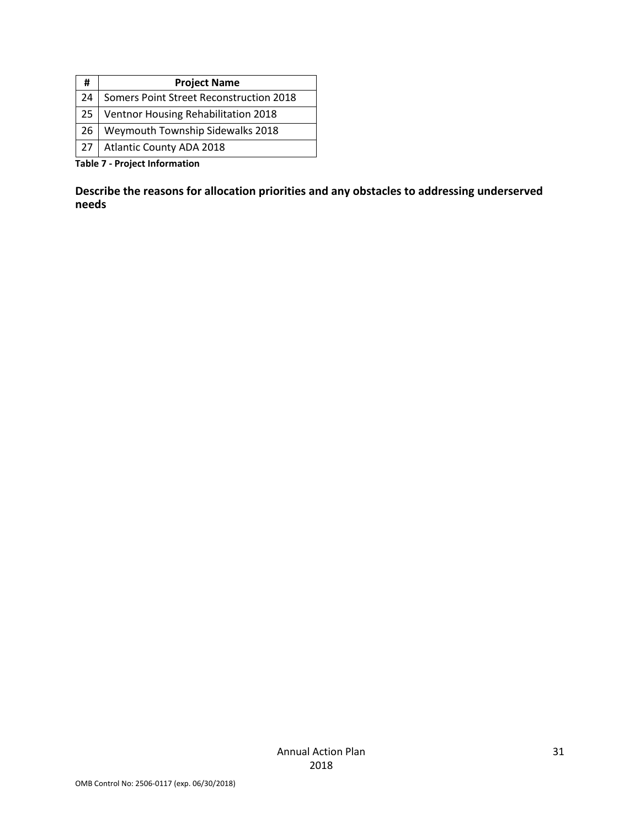| <b>Project Name</b>                     |
|-----------------------------------------|
| Somers Point Street Reconstruction 2018 |
| Ventnor Housing Rehabilitation 2018     |
| Weymouth Township Sidewalks 2018        |
| <b>Atlantic County ADA 2018</b>         |
|                                         |

**Table 7 - Project Information**

**Describe the reasons for allocation priorities and any obstacles to addressing underserved needs**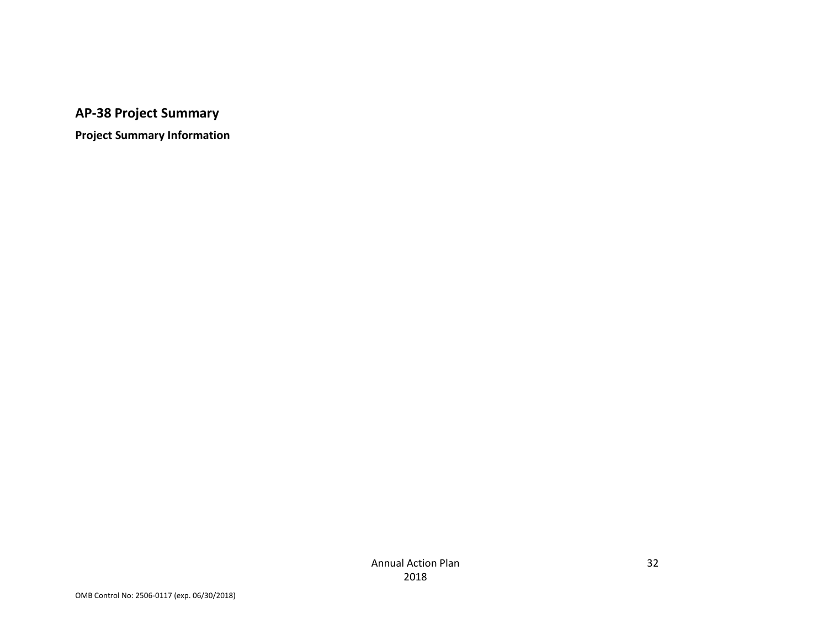# **AP-38 Project Summary**

**Project Summary Information**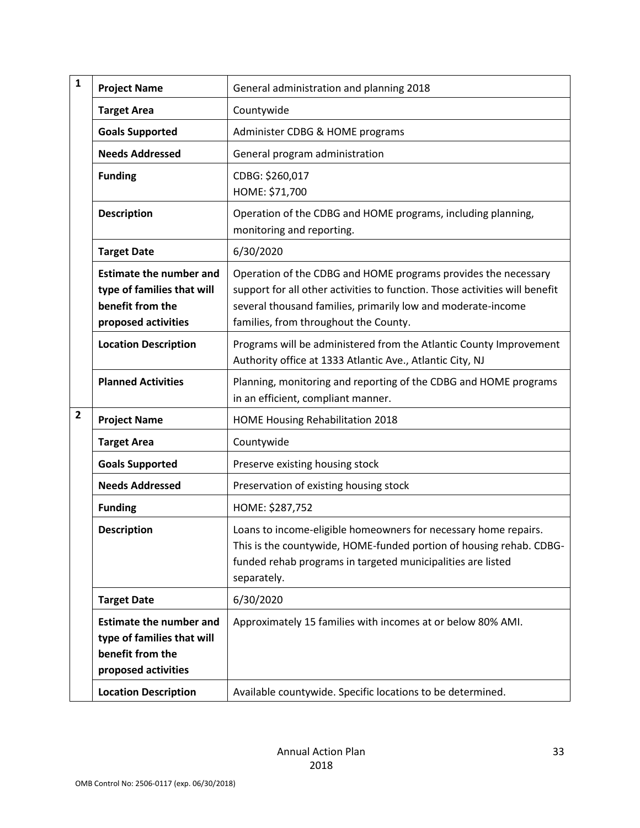| $\mathbf{1}$ | <b>Project Name</b>                                                                                     | General administration and planning 2018                                                                                                                                                                                                               |
|--------------|---------------------------------------------------------------------------------------------------------|--------------------------------------------------------------------------------------------------------------------------------------------------------------------------------------------------------------------------------------------------------|
|              | <b>Target Area</b>                                                                                      | Countywide                                                                                                                                                                                                                                             |
|              | <b>Goals Supported</b>                                                                                  | Administer CDBG & HOME programs                                                                                                                                                                                                                        |
|              | <b>Needs Addressed</b>                                                                                  | General program administration                                                                                                                                                                                                                         |
|              | <b>Funding</b>                                                                                          | CDBG: \$260,017<br>HOME: \$71,700                                                                                                                                                                                                                      |
|              | <b>Description</b>                                                                                      | Operation of the CDBG and HOME programs, including planning,<br>monitoring and reporting.                                                                                                                                                              |
|              | <b>Target Date</b>                                                                                      | 6/30/2020                                                                                                                                                                                                                                              |
|              | <b>Estimate the number and</b><br>type of families that will<br>benefit from the<br>proposed activities | Operation of the CDBG and HOME programs provides the necessary<br>support for all other activities to function. Those activities will benefit<br>several thousand families, primarily low and moderate-income<br>families, from throughout the County. |
|              | <b>Location Description</b>                                                                             | Programs will be administered from the Atlantic County Improvement<br>Authority office at 1333 Atlantic Ave., Atlantic City, NJ                                                                                                                        |
|              | <b>Planned Activities</b>                                                                               | Planning, monitoring and reporting of the CDBG and HOME programs<br>in an efficient, compliant manner.                                                                                                                                                 |
| $\mathbf{2}$ | <b>Project Name</b>                                                                                     | HOME Housing Rehabilitation 2018                                                                                                                                                                                                                       |
|              | <b>Target Area</b>                                                                                      | Countywide                                                                                                                                                                                                                                             |
|              | <b>Goals Supported</b>                                                                                  | Preserve existing housing stock                                                                                                                                                                                                                        |
|              | <b>Needs Addressed</b>                                                                                  | Preservation of existing housing stock                                                                                                                                                                                                                 |
|              | <b>Funding</b>                                                                                          | HOME: \$287,752                                                                                                                                                                                                                                        |
|              | <b>Description</b>                                                                                      | Loans to income-eligible homeowners for necessary home repairs.<br>This is the countywide, HOME-funded portion of housing rehab. CDBG-<br>funded rehab programs in targeted municipalities are listed<br>separately.                                   |
|              | <b>Target Date</b>                                                                                      | 6/30/2020                                                                                                                                                                                                                                              |
|              | <b>Estimate the number and</b><br>type of families that will<br>benefit from the<br>proposed activities | Approximately 15 families with incomes at or below 80% AMI.                                                                                                                                                                                            |
|              | <b>Location Description</b>                                                                             | Available countywide. Specific locations to be determined.                                                                                                                                                                                             |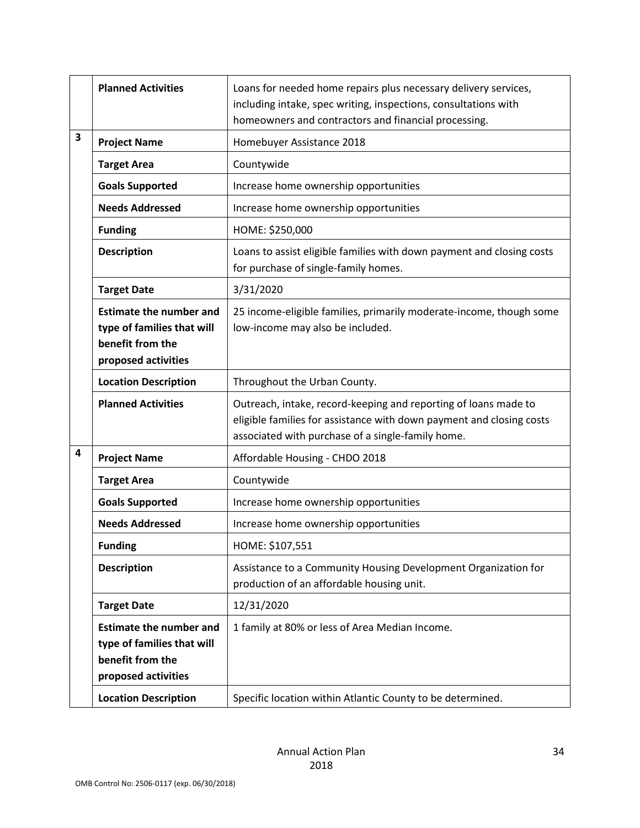|   | <b>Planned Activities</b>                                                                               | Loans for needed home repairs plus necessary delivery services,<br>including intake, spec writing, inspections, consultations with<br>homeowners and contractors and financial processing.   |
|---|---------------------------------------------------------------------------------------------------------|----------------------------------------------------------------------------------------------------------------------------------------------------------------------------------------------|
| 3 | <b>Project Name</b>                                                                                     | Homebuyer Assistance 2018                                                                                                                                                                    |
|   | <b>Target Area</b>                                                                                      | Countywide                                                                                                                                                                                   |
|   | <b>Goals Supported</b>                                                                                  | Increase home ownership opportunities                                                                                                                                                        |
|   | <b>Needs Addressed</b>                                                                                  | Increase home ownership opportunities                                                                                                                                                        |
|   | <b>Funding</b>                                                                                          | HOME: \$250,000                                                                                                                                                                              |
|   | <b>Description</b>                                                                                      | Loans to assist eligible families with down payment and closing costs<br>for purchase of single-family homes.                                                                                |
|   | <b>Target Date</b>                                                                                      | 3/31/2020                                                                                                                                                                                    |
|   | <b>Estimate the number and</b><br>type of families that will<br>benefit from the<br>proposed activities | 25 income-eligible families, primarily moderate-income, though some<br>low-income may also be included.                                                                                      |
|   | <b>Location Description</b>                                                                             | Throughout the Urban County.                                                                                                                                                                 |
|   | <b>Planned Activities</b>                                                                               | Outreach, intake, record-keeping and reporting of loans made to<br>eligible families for assistance with down payment and closing costs<br>associated with purchase of a single-family home. |
| 4 | <b>Project Name</b>                                                                                     | Affordable Housing - CHDO 2018                                                                                                                                                               |
|   | <b>Target Area</b>                                                                                      | Countywide                                                                                                                                                                                   |
|   | <b>Goals Supported</b>                                                                                  | Increase home ownership opportunities                                                                                                                                                        |
|   | <b>Needs Addressed</b>                                                                                  | Increase home ownership opportunities                                                                                                                                                        |
|   | <b>Funding</b>                                                                                          | HOME: \$107,551                                                                                                                                                                              |
|   | <b>Description</b>                                                                                      | Assistance to a Community Housing Development Organization for<br>production of an affordable housing unit.                                                                                  |
|   | <b>Target Date</b>                                                                                      | 12/31/2020                                                                                                                                                                                   |
|   | <b>Estimate the number and</b><br>type of families that will<br>benefit from the<br>proposed activities | 1 family at 80% or less of Area Median Income.                                                                                                                                               |
|   | <b>Location Description</b>                                                                             | Specific location within Atlantic County to be determined.                                                                                                                                   |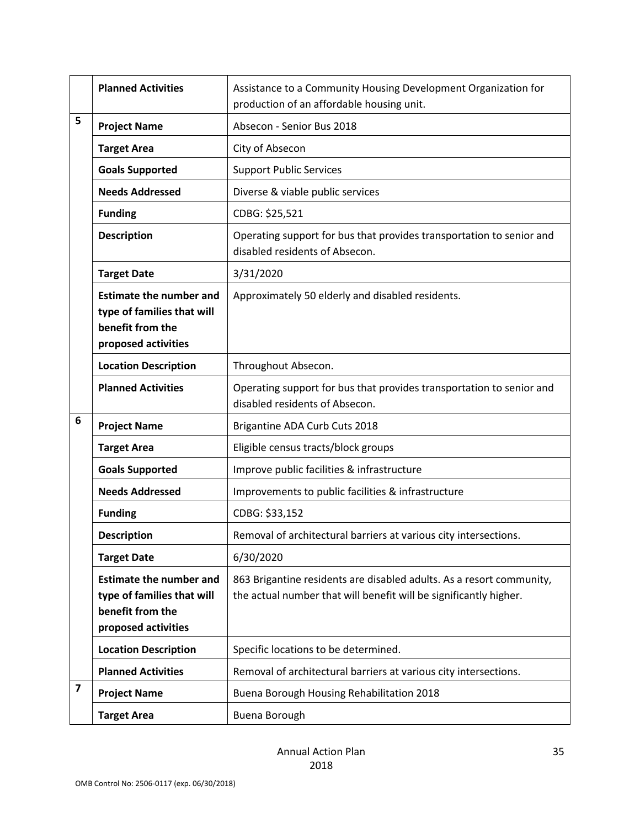|   | <b>Planned Activities</b>                                                                               | Assistance to a Community Housing Development Organization for<br>production of an affordable housing unit.                               |
|---|---------------------------------------------------------------------------------------------------------|-------------------------------------------------------------------------------------------------------------------------------------------|
| 5 | <b>Project Name</b>                                                                                     | Absecon - Senior Bus 2018                                                                                                                 |
|   | <b>Target Area</b>                                                                                      | City of Absecon                                                                                                                           |
|   | <b>Goals Supported</b>                                                                                  | <b>Support Public Services</b>                                                                                                            |
|   | <b>Needs Addressed</b>                                                                                  | Diverse & viable public services                                                                                                          |
|   | <b>Funding</b>                                                                                          | CDBG: \$25,521                                                                                                                            |
|   | <b>Description</b>                                                                                      | Operating support for bus that provides transportation to senior and<br>disabled residents of Absecon.                                    |
|   | <b>Target Date</b>                                                                                      | 3/31/2020                                                                                                                                 |
|   | <b>Estimate the number and</b><br>type of families that will<br>benefit from the<br>proposed activities | Approximately 50 elderly and disabled residents.                                                                                          |
|   | <b>Location Description</b>                                                                             | Throughout Absecon.                                                                                                                       |
|   | <b>Planned Activities</b>                                                                               | Operating support for bus that provides transportation to senior and<br>disabled residents of Absecon.                                    |
| 6 | <b>Project Name</b>                                                                                     | Brigantine ADA Curb Cuts 2018                                                                                                             |
|   | <b>Target Area</b>                                                                                      | Eligible census tracts/block groups                                                                                                       |
|   | <b>Goals Supported</b>                                                                                  | Improve public facilities & infrastructure                                                                                                |
|   | <b>Needs Addressed</b>                                                                                  | Improvements to public facilities & infrastructure                                                                                        |
|   | <b>Funding</b>                                                                                          | CDBG: \$33,152                                                                                                                            |
|   | <b>Description</b>                                                                                      | Removal of architectural barriers at various city intersections.                                                                          |
|   | <b>Target Date</b>                                                                                      | 6/30/2020                                                                                                                                 |
|   | <b>Estimate the number and</b><br>type of families that will<br>benefit from the<br>proposed activities | 863 Brigantine residents are disabled adults. As a resort community,<br>the actual number that will benefit will be significantly higher. |
|   | <b>Location Description</b>                                                                             | Specific locations to be determined.                                                                                                      |
|   | <b>Planned Activities</b>                                                                               | Removal of architectural barriers at various city intersections.                                                                          |
| 7 | <b>Project Name</b>                                                                                     | Buena Borough Housing Rehabilitation 2018                                                                                                 |
|   | <b>Target Area</b>                                                                                      | Buena Borough                                                                                                                             |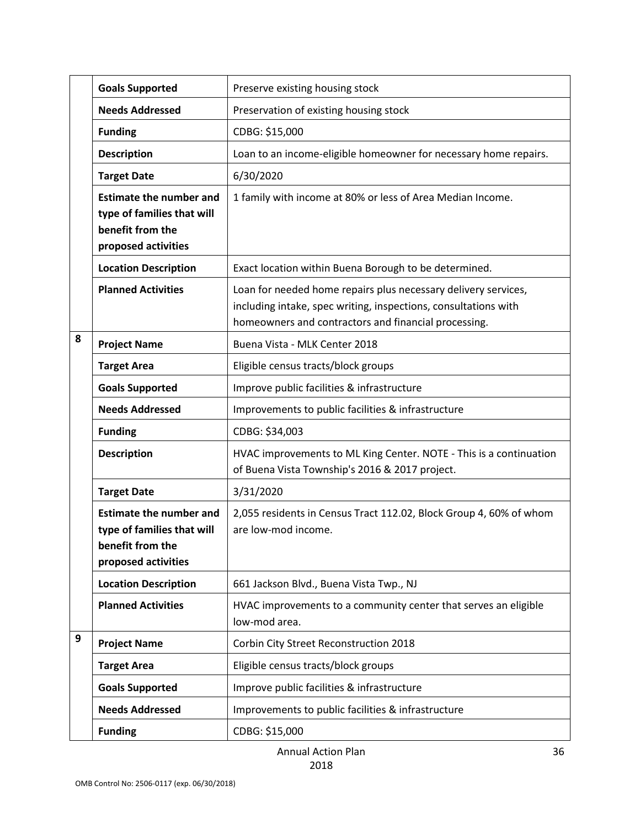|   | <b>Goals Supported</b>                                                                                  | Preserve existing housing stock                                                                                                                                                           |
|---|---------------------------------------------------------------------------------------------------------|-------------------------------------------------------------------------------------------------------------------------------------------------------------------------------------------|
|   | <b>Needs Addressed</b>                                                                                  | Preservation of existing housing stock                                                                                                                                                    |
|   | <b>Funding</b>                                                                                          | CDBG: \$15,000                                                                                                                                                                            |
|   | <b>Description</b>                                                                                      | Loan to an income-eligible homeowner for necessary home repairs.                                                                                                                          |
|   | <b>Target Date</b>                                                                                      | 6/30/2020                                                                                                                                                                                 |
|   | <b>Estimate the number and</b><br>type of families that will<br>benefit from the<br>proposed activities | 1 family with income at 80% or less of Area Median Income.                                                                                                                                |
|   | <b>Location Description</b>                                                                             | Exact location within Buena Borough to be determined.                                                                                                                                     |
|   | <b>Planned Activities</b>                                                                               | Loan for needed home repairs plus necessary delivery services,<br>including intake, spec writing, inspections, consultations with<br>homeowners and contractors and financial processing. |
| 8 | <b>Project Name</b>                                                                                     | Buena Vista - MLK Center 2018                                                                                                                                                             |
|   | <b>Target Area</b>                                                                                      | Eligible census tracts/block groups                                                                                                                                                       |
|   | <b>Goals Supported</b>                                                                                  | Improve public facilities & infrastructure                                                                                                                                                |
|   | <b>Needs Addressed</b>                                                                                  | Improvements to public facilities & infrastructure                                                                                                                                        |
|   | <b>Funding</b>                                                                                          | CDBG: \$34,003                                                                                                                                                                            |
|   | <b>Description</b>                                                                                      | HVAC improvements to ML King Center. NOTE - This is a continuation<br>of Buena Vista Township's 2016 & 2017 project.                                                                      |
|   | <b>Target Date</b>                                                                                      | 3/31/2020                                                                                                                                                                                 |
|   | <b>Estimate the number and</b><br>type of families that will<br>benefit from the<br>proposed activities | 2,055 residents in Census Tract 112.02, Block Group 4, 60% of whom<br>are low-mod income.                                                                                                 |
|   | <b>Location Description</b>                                                                             | 661 Jackson Blvd., Buena Vista Twp., NJ                                                                                                                                                   |
|   | <b>Planned Activities</b>                                                                               | HVAC improvements to a community center that serves an eligible<br>low-mod area.                                                                                                          |
| 9 | <b>Project Name</b>                                                                                     | Corbin City Street Reconstruction 2018                                                                                                                                                    |
|   | <b>Target Area</b>                                                                                      | Eligible census tracts/block groups                                                                                                                                                       |
|   | <b>Goals Supported</b>                                                                                  | Improve public facilities & infrastructure                                                                                                                                                |
|   | <b>Needs Addressed</b>                                                                                  | Improvements to public facilities & infrastructure                                                                                                                                        |
|   | <b>Funding</b>                                                                                          | CDBG: \$15,000                                                                                                                                                                            |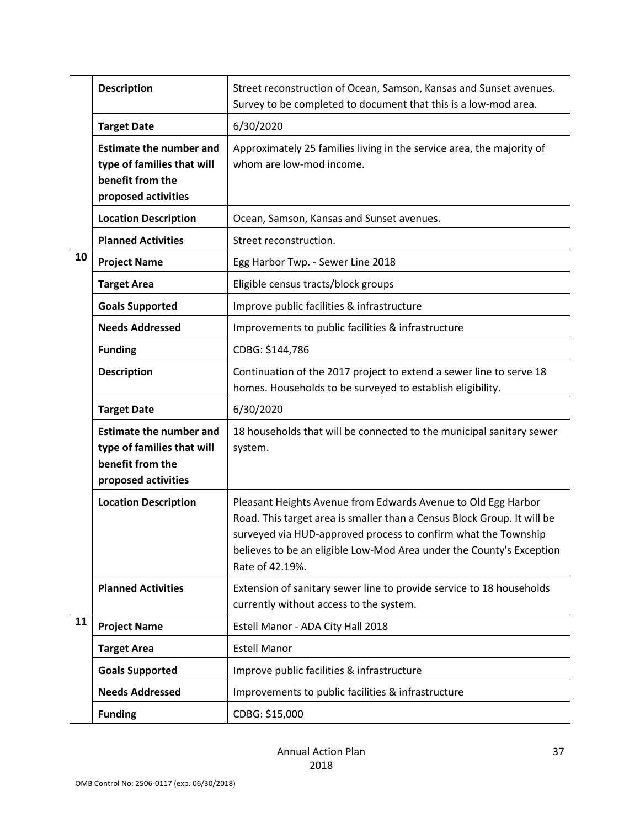|    | <b>Description</b>                                                                                      | Street reconstruction of Ocean, Samson, Kansas and Sunset avenues.<br>Survey to be completed to document that this is a low-mod area.                                                                                                                                                                 |
|----|---------------------------------------------------------------------------------------------------------|-------------------------------------------------------------------------------------------------------------------------------------------------------------------------------------------------------------------------------------------------------------------------------------------------------|
|    | <b>Target Date</b>                                                                                      | 6/30/2020                                                                                                                                                                                                                                                                                             |
|    | <b>Estimate the number and</b><br>type of families that will<br>benefit from the<br>proposed activities | Approximately 25 families living in the service area, the majority of<br>whom are low-mod income.                                                                                                                                                                                                     |
|    | <b>Location Description</b>                                                                             | Ocean, Samson, Kansas and Sunset avenues.                                                                                                                                                                                                                                                             |
|    | <b>Planned Activities</b>                                                                               | Street reconstruction.                                                                                                                                                                                                                                                                                |
| 10 | <b>Project Name</b>                                                                                     | Egg Harbor Twp. - Sewer Line 2018                                                                                                                                                                                                                                                                     |
|    | <b>Target Area</b>                                                                                      | Eligible census tracts/block groups                                                                                                                                                                                                                                                                   |
|    | <b>Goals Supported</b>                                                                                  | Improve public facilities & infrastructure                                                                                                                                                                                                                                                            |
|    | <b>Needs Addressed</b>                                                                                  | Improvements to public facilities & infrastructure                                                                                                                                                                                                                                                    |
|    | <b>Funding</b>                                                                                          | CDBG: \$144,786                                                                                                                                                                                                                                                                                       |
|    | <b>Description</b>                                                                                      | Continuation of the 2017 project to extend a sewer line to serve 18<br>homes. Households to be surveyed to establish eligibility.                                                                                                                                                                     |
|    | <b>Target Date</b>                                                                                      | 6/30/2020                                                                                                                                                                                                                                                                                             |
|    |                                                                                                         |                                                                                                                                                                                                                                                                                                       |
|    | <b>Estimate the number and</b><br>type of families that will<br>benefit from the<br>proposed activities | 18 households that will be connected to the municipal sanitary sewer<br>system.                                                                                                                                                                                                                       |
|    | <b>Location Description</b>                                                                             | Pleasant Heights Avenue from Edwards Avenue to Old Egg Harbor<br>Road. This target area is smaller than a Census Block Group. It will be<br>surveyed via HUD-approved process to confirm what the Township<br>believes to be an eligible Low-Mod Area under the County's Exception<br>Rate of 42.19%. |
|    | <b>Planned Activities</b>                                                                               | Extension of sanitary sewer line to provide service to 18 households<br>currently without access to the system.                                                                                                                                                                                       |
| 11 | <b>Project Name</b>                                                                                     | Estell Manor - ADA City Hall 2018                                                                                                                                                                                                                                                                     |
|    | <b>Target Area</b>                                                                                      | <b>Estell Manor</b>                                                                                                                                                                                                                                                                                   |
|    | <b>Goals Supported</b>                                                                                  | Improve public facilities & infrastructure                                                                                                                                                                                                                                                            |
|    | <b>Needs Addressed</b>                                                                                  | Improvements to public facilities & infrastructure                                                                                                                                                                                                                                                    |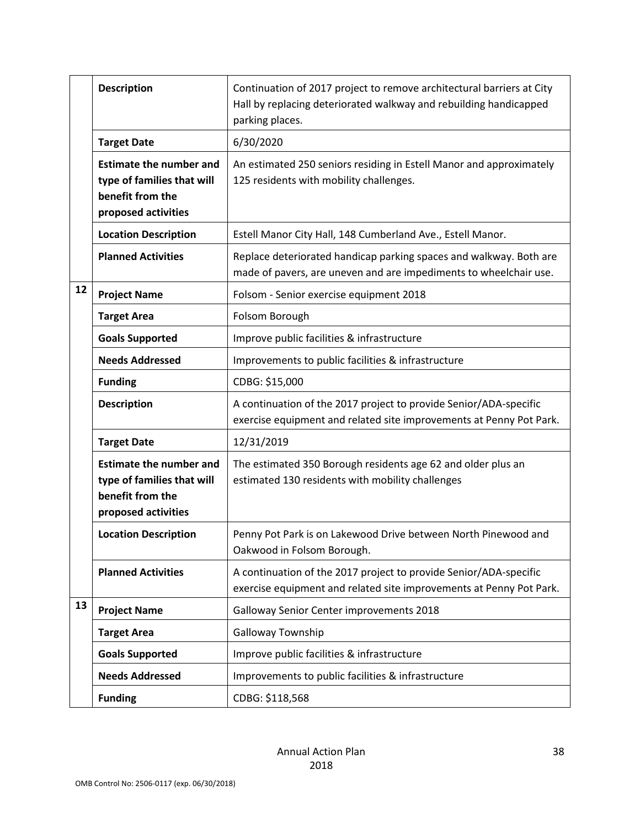|    | <b>Description</b>                                                                                      | Continuation of 2017 project to remove architectural barriers at City<br>Hall by replacing deteriorated walkway and rebuilding handicapped<br>parking places. |
|----|---------------------------------------------------------------------------------------------------------|---------------------------------------------------------------------------------------------------------------------------------------------------------------|
|    | <b>Target Date</b>                                                                                      | 6/30/2020                                                                                                                                                     |
|    | <b>Estimate the number and</b><br>type of families that will<br>benefit from the<br>proposed activities | An estimated 250 seniors residing in Estell Manor and approximately<br>125 residents with mobility challenges.                                                |
|    | <b>Location Description</b>                                                                             | Estell Manor City Hall, 148 Cumberland Ave., Estell Manor.                                                                                                    |
|    | <b>Planned Activities</b>                                                                               | Replace deteriorated handicap parking spaces and walkway. Both are<br>made of pavers, are uneven and are impediments to wheelchair use.                       |
| 12 | <b>Project Name</b>                                                                                     | Folsom - Senior exercise equipment 2018                                                                                                                       |
|    | <b>Target Area</b>                                                                                      | Folsom Borough                                                                                                                                                |
|    | <b>Goals Supported</b>                                                                                  | Improve public facilities & infrastructure                                                                                                                    |
|    | <b>Needs Addressed</b>                                                                                  | Improvements to public facilities & infrastructure                                                                                                            |
|    | <b>Funding</b>                                                                                          | CDBG: \$15,000                                                                                                                                                |
|    | <b>Description</b>                                                                                      | A continuation of the 2017 project to provide Senior/ADA-specific<br>exercise equipment and related site improvements at Penny Pot Park.                      |
|    | <b>Target Date</b>                                                                                      | 12/31/2019                                                                                                                                                    |
|    | <b>Estimate the number and</b><br>type of families that will<br>benefit from the<br>proposed activities | The estimated 350 Borough residents age 62 and older plus an<br>estimated 130 residents with mobility challenges                                              |
|    | <b>Location Description</b>                                                                             | Penny Pot Park is on Lakewood Drive between North Pinewood and<br>Oakwood in Folsom Borough.                                                                  |
|    | <b>Planned Activities</b>                                                                               | A continuation of the 2017 project to provide Senior/ADA-specific<br>exercise equipment and related site improvements at Penny Pot Park.                      |
| 13 | <b>Project Name</b>                                                                                     | Galloway Senior Center improvements 2018                                                                                                                      |
|    | <b>Target Area</b>                                                                                      | Galloway Township                                                                                                                                             |
|    | <b>Goals Supported</b>                                                                                  | Improve public facilities & infrastructure                                                                                                                    |
|    | <b>Needs Addressed</b>                                                                                  | Improvements to public facilities & infrastructure                                                                                                            |
|    | <b>Funding</b>                                                                                          | CDBG: \$118,568                                                                                                                                               |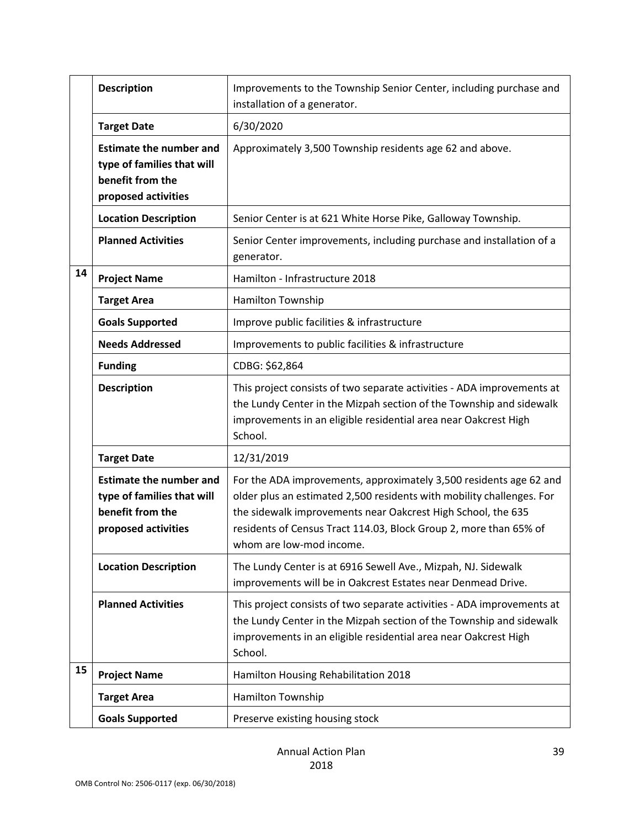|    | <b>Description</b>                                                                                      | Improvements to the Township Senior Center, including purchase and<br>installation of a generator.                                                                                                                                                                                                           |
|----|---------------------------------------------------------------------------------------------------------|--------------------------------------------------------------------------------------------------------------------------------------------------------------------------------------------------------------------------------------------------------------------------------------------------------------|
|    | <b>Target Date</b>                                                                                      | 6/30/2020                                                                                                                                                                                                                                                                                                    |
|    | <b>Estimate the number and</b><br>type of families that will<br>benefit from the<br>proposed activities | Approximately 3,500 Township residents age 62 and above.                                                                                                                                                                                                                                                     |
|    | <b>Location Description</b>                                                                             | Senior Center is at 621 White Horse Pike, Galloway Township.                                                                                                                                                                                                                                                 |
|    | <b>Planned Activities</b>                                                                               | Senior Center improvements, including purchase and installation of a<br>generator.                                                                                                                                                                                                                           |
| 14 | <b>Project Name</b>                                                                                     | Hamilton - Infrastructure 2018                                                                                                                                                                                                                                                                               |
|    | <b>Target Area</b>                                                                                      | Hamilton Township                                                                                                                                                                                                                                                                                            |
|    | <b>Goals Supported</b>                                                                                  | Improve public facilities & infrastructure                                                                                                                                                                                                                                                                   |
|    | <b>Needs Addressed</b>                                                                                  | Improvements to public facilities & infrastructure                                                                                                                                                                                                                                                           |
|    | <b>Funding</b>                                                                                          | CDBG: \$62,864                                                                                                                                                                                                                                                                                               |
|    | <b>Description</b>                                                                                      | This project consists of two separate activities - ADA improvements at<br>the Lundy Center in the Mizpah section of the Township and sidewalk<br>improvements in an eligible residential area near Oakcrest High<br>School.                                                                                  |
|    | <b>Target Date</b>                                                                                      | 12/31/2019                                                                                                                                                                                                                                                                                                   |
|    | <b>Estimate the number and</b><br>type of families that will<br>benefit from the<br>proposed activities | For the ADA improvements, approximately 3,500 residents age 62 and<br>older plus an estimated 2,500 residents with mobility challenges. For<br>the sidewalk improvements near Oakcrest High School, the 635<br>residents of Census Tract 114.03, Block Group 2, more than 65% of<br>whom are low-mod income. |
|    | <b>Location Description</b>                                                                             | The Lundy Center is at 6916 Sewell Ave., Mizpah, NJ. Sidewalk<br>improvements will be in Oakcrest Estates near Denmead Drive.                                                                                                                                                                                |
|    | <b>Planned Activities</b>                                                                               | This project consists of two separate activities - ADA improvements at<br>the Lundy Center in the Mizpah section of the Township and sidewalk<br>improvements in an eligible residential area near Oakcrest High<br>School.                                                                                  |
| 15 | <b>Project Name</b>                                                                                     | Hamilton Housing Rehabilitation 2018                                                                                                                                                                                                                                                                         |
|    | <b>Target Area</b>                                                                                      | Hamilton Township                                                                                                                                                                                                                                                                                            |
|    | <b>Goals Supported</b>                                                                                  | Preserve existing housing stock                                                                                                                                                                                                                                                                              |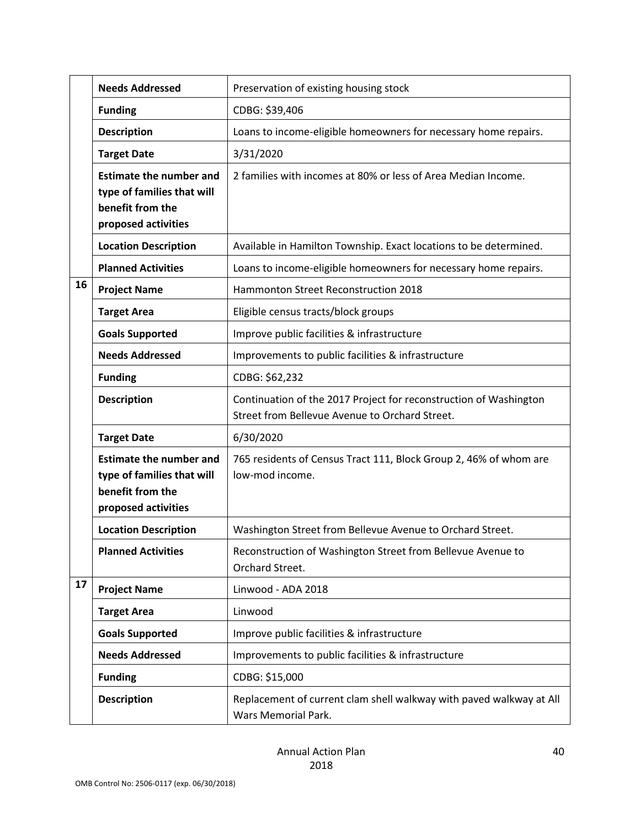|    | <b>Needs Addressed</b>                                                                                  | Preservation of existing housing stock                                                                              |
|----|---------------------------------------------------------------------------------------------------------|---------------------------------------------------------------------------------------------------------------------|
|    | <b>Funding</b>                                                                                          | CDBG: \$39,406                                                                                                      |
|    | <b>Description</b>                                                                                      | Loans to income-eligible homeowners for necessary home repairs.                                                     |
|    | <b>Target Date</b>                                                                                      | 3/31/2020                                                                                                           |
|    | <b>Estimate the number and</b><br>type of families that will<br>benefit from the<br>proposed activities | 2 families with incomes at 80% or less of Area Median Income.                                                       |
|    | <b>Location Description</b>                                                                             | Available in Hamilton Township. Exact locations to be determined.                                                   |
|    | <b>Planned Activities</b>                                                                               | Loans to income-eligible homeowners for necessary home repairs.                                                     |
| 16 | <b>Project Name</b>                                                                                     | Hammonton Street Reconstruction 2018                                                                                |
|    | <b>Target Area</b>                                                                                      | Eligible census tracts/block groups                                                                                 |
|    | <b>Goals Supported</b>                                                                                  | Improve public facilities & infrastructure                                                                          |
|    | <b>Needs Addressed</b>                                                                                  | Improvements to public facilities & infrastructure                                                                  |
|    | <b>Funding</b>                                                                                          | CDBG: \$62,232                                                                                                      |
|    | <b>Description</b>                                                                                      | Continuation of the 2017 Project for reconstruction of Washington<br>Street from Bellevue Avenue to Orchard Street. |
|    | <b>Target Date</b>                                                                                      | 6/30/2020                                                                                                           |
|    | <b>Estimate the number and</b><br>type of families that will<br>benefit from the<br>proposed activities | 765 residents of Census Tract 111, Block Group 2, 46% of whom are<br>low-mod income.                                |
|    | <b>Location Description</b>                                                                             | Washington Street from Bellevue Avenue to Orchard Street.                                                           |
|    | <b>Planned Activities</b>                                                                               | Reconstruction of Washington Street from Bellevue Avenue to<br>Orchard Street.                                      |
| 17 | <b>Project Name</b>                                                                                     | Linwood - ADA 2018                                                                                                  |
|    | <b>Target Area</b>                                                                                      | Linwood                                                                                                             |
|    | <b>Goals Supported</b>                                                                                  | Improve public facilities & infrastructure                                                                          |
|    | <b>Needs Addressed</b>                                                                                  | Improvements to public facilities & infrastructure                                                                  |
|    | <b>Funding</b>                                                                                          | CDBG: \$15,000                                                                                                      |
|    | <b>Description</b>                                                                                      | Replacement of current clam shell walkway with paved walkway at All<br>Wars Memorial Park.                          |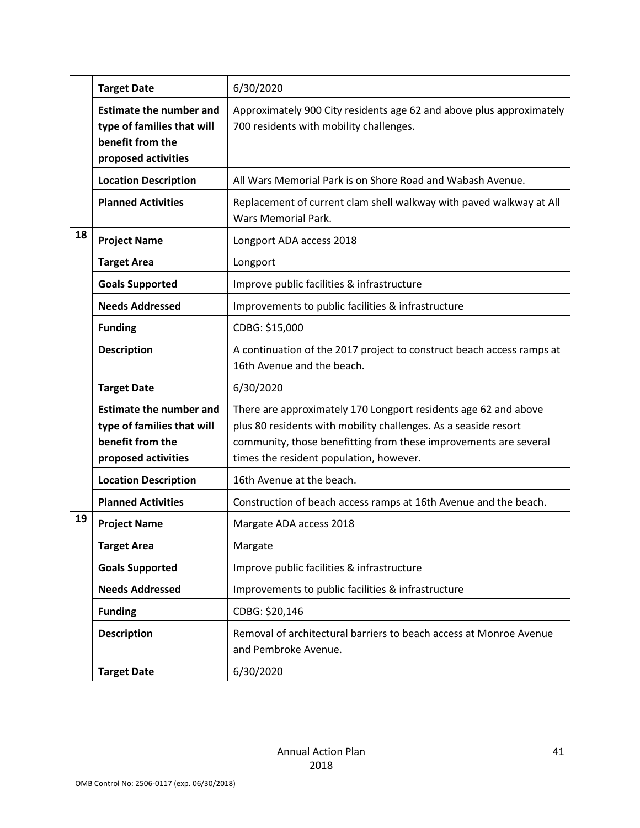|    | <b>Target Date</b>                                                                                      | 6/30/2020                                                                                                                          |
|----|---------------------------------------------------------------------------------------------------------|------------------------------------------------------------------------------------------------------------------------------------|
|    | <b>Estimate the number and</b><br>type of families that will<br>benefit from the<br>proposed activities | Approximately 900 City residents age 62 and above plus approximately<br>700 residents with mobility challenges.                    |
|    | <b>Location Description</b>                                                                             | All Wars Memorial Park is on Shore Road and Wabash Avenue.                                                                         |
|    | <b>Planned Activities</b>                                                                               | Replacement of current clam shell walkway with paved walkway at All<br><b>Wars Memorial Park.</b>                                  |
| 18 | <b>Project Name</b>                                                                                     | Longport ADA access 2018                                                                                                           |
|    | <b>Target Area</b>                                                                                      | Longport                                                                                                                           |
|    | <b>Goals Supported</b>                                                                                  | Improve public facilities & infrastructure                                                                                         |
|    | <b>Needs Addressed</b>                                                                                  | Improvements to public facilities & infrastructure                                                                                 |
|    | <b>Funding</b>                                                                                          | CDBG: \$15,000                                                                                                                     |
|    | <b>Description</b>                                                                                      | A continuation of the 2017 project to construct beach access ramps at<br>16th Avenue and the beach.                                |
|    | <b>Target Date</b>                                                                                      | 6/30/2020                                                                                                                          |
|    | <b>Estimate the number and</b><br>type of families that will                                            | There are approximately 170 Longport residents age 62 and above<br>plus 80 residents with mobility challenges. As a seaside resort |
|    | benefit from the<br>proposed activities                                                                 | community, those benefitting from these improvements are several<br>times the resident population, however.                        |
|    | <b>Location Description</b>                                                                             | 16th Avenue at the beach.                                                                                                          |
|    | <b>Planned Activities</b>                                                                               | Construction of beach access ramps at 16th Avenue and the beach.                                                                   |
| 19 | <b>Project Name</b>                                                                                     | Margate ADA access 2018                                                                                                            |
|    | <b>Target Area</b>                                                                                      | Margate                                                                                                                            |
|    | <b>Goals Supported</b>                                                                                  | Improve public facilities & infrastructure                                                                                         |
|    | <b>Needs Addressed</b>                                                                                  | Improvements to public facilities & infrastructure                                                                                 |
|    | <b>Funding</b>                                                                                          | CDBG: \$20,146                                                                                                                     |
|    | <b>Description</b>                                                                                      | Removal of architectural barriers to beach access at Monroe Avenue<br>and Pembroke Avenue.                                         |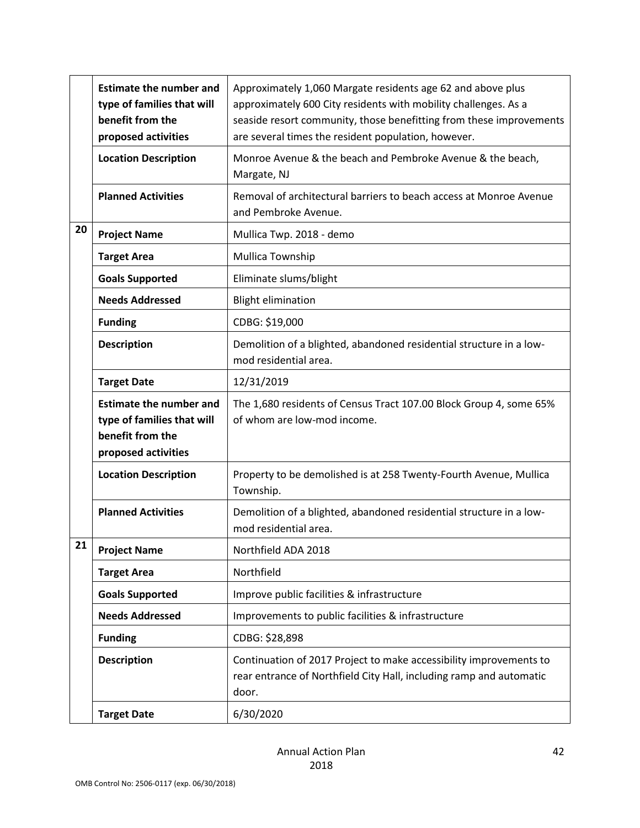|    | <b>Estimate the number and</b><br>type of families that will<br>benefit from the<br>proposed activities | Approximately 1,060 Margate residents age 62 and above plus<br>approximately 600 City residents with mobility challenges. As a<br>seaside resort community, those benefitting from these improvements<br>are several times the resident population, however. |
|----|---------------------------------------------------------------------------------------------------------|--------------------------------------------------------------------------------------------------------------------------------------------------------------------------------------------------------------------------------------------------------------|
|    | <b>Location Description</b>                                                                             | Monroe Avenue & the beach and Pembroke Avenue & the beach,<br>Margate, NJ                                                                                                                                                                                    |
|    | <b>Planned Activities</b>                                                                               | Removal of architectural barriers to beach access at Monroe Avenue<br>and Pembroke Avenue.                                                                                                                                                                   |
| 20 | <b>Project Name</b>                                                                                     | Mullica Twp. 2018 - demo                                                                                                                                                                                                                                     |
|    | <b>Target Area</b>                                                                                      | Mullica Township                                                                                                                                                                                                                                             |
|    | <b>Goals Supported</b>                                                                                  | Eliminate slums/blight                                                                                                                                                                                                                                       |
|    | <b>Needs Addressed</b>                                                                                  | <b>Blight elimination</b>                                                                                                                                                                                                                                    |
|    | <b>Funding</b>                                                                                          | CDBG: \$19,000                                                                                                                                                                                                                                               |
|    | <b>Description</b>                                                                                      | Demolition of a blighted, abandoned residential structure in a low-<br>mod residential area.                                                                                                                                                                 |
|    | <b>Target Date</b>                                                                                      | 12/31/2019                                                                                                                                                                                                                                                   |
|    | <b>Estimate the number and</b><br>type of families that will<br>benefit from the<br>proposed activities | The 1,680 residents of Census Tract 107.00 Block Group 4, some 65%<br>of whom are low-mod income.                                                                                                                                                            |
|    | <b>Location Description</b>                                                                             | Property to be demolished is at 258 Twenty-Fourth Avenue, Mullica<br>Township.                                                                                                                                                                               |
|    | <b>Planned Activities</b>                                                                               | Demolition of a blighted, abandoned residential structure in a low-<br>mod residential area.                                                                                                                                                                 |
| 21 | <b>Project Name</b>                                                                                     | Northfield ADA 2018                                                                                                                                                                                                                                          |
|    | <b>Target Area</b>                                                                                      | Northfield                                                                                                                                                                                                                                                   |
|    | <b>Goals Supported</b>                                                                                  | Improve public facilities & infrastructure                                                                                                                                                                                                                   |
|    | <b>Needs Addressed</b>                                                                                  | Improvements to public facilities & infrastructure                                                                                                                                                                                                           |
|    | <b>Funding</b>                                                                                          | CDBG: \$28,898                                                                                                                                                                                                                                               |
|    | <b>Description</b>                                                                                      | Continuation of 2017 Project to make accessibility improvements to<br>rear entrance of Northfield City Hall, including ramp and automatic<br>door.                                                                                                           |
|    | <b>Target Date</b>                                                                                      | 6/30/2020                                                                                                                                                                                                                                                    |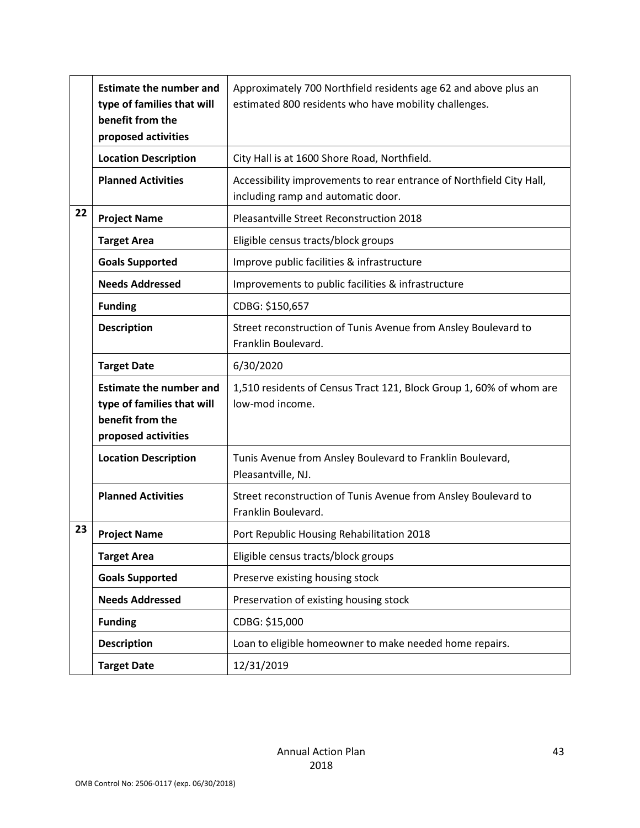|    | <b>Estimate the number and</b><br>type of families that will<br>benefit from the<br>proposed activities | Approximately 700 Northfield residents age 62 and above plus an<br>estimated 800 residents who have mobility challenges. |
|----|---------------------------------------------------------------------------------------------------------|--------------------------------------------------------------------------------------------------------------------------|
|    | <b>Location Description</b>                                                                             | City Hall is at 1600 Shore Road, Northfield.                                                                             |
|    | <b>Planned Activities</b>                                                                               | Accessibility improvements to rear entrance of Northfield City Hall,<br>including ramp and automatic door.               |
| 22 | <b>Project Name</b>                                                                                     | Pleasantville Street Reconstruction 2018                                                                                 |
|    | <b>Target Area</b>                                                                                      | Eligible census tracts/block groups                                                                                      |
|    | <b>Goals Supported</b>                                                                                  | Improve public facilities & infrastructure                                                                               |
|    | <b>Needs Addressed</b>                                                                                  | Improvements to public facilities & infrastructure                                                                       |
|    | <b>Funding</b>                                                                                          | CDBG: \$150,657                                                                                                          |
|    | <b>Description</b>                                                                                      | Street reconstruction of Tunis Avenue from Ansley Boulevard to<br>Franklin Boulevard.                                    |
|    | <b>Target Date</b>                                                                                      | 6/30/2020                                                                                                                |
|    | <b>Estimate the number and</b><br>type of families that will<br>benefit from the<br>proposed activities | 1,510 residents of Census Tract 121, Block Group 1, 60% of whom are<br>low-mod income.                                   |
|    | <b>Location Description</b>                                                                             | Tunis Avenue from Ansley Boulevard to Franklin Boulevard,<br>Pleasantville, NJ.                                          |
|    | <b>Planned Activities</b>                                                                               | Street reconstruction of Tunis Avenue from Ansley Boulevard to<br>Franklin Boulevard.                                    |
| 23 | <b>Project Name</b>                                                                                     | Port Republic Housing Rehabilitation 2018                                                                                |
|    | <b>Target Area</b>                                                                                      | Eligible census tracts/block groups                                                                                      |
|    | <b>Goals Supported</b>                                                                                  | Preserve existing housing stock                                                                                          |
|    | <b>Needs Addressed</b>                                                                                  | Preservation of existing housing stock                                                                                   |
|    | <b>Funding</b>                                                                                          | CDBG: \$15,000                                                                                                           |
|    | <b>Description</b>                                                                                      | Loan to eligible homeowner to make needed home repairs.                                                                  |
|    | <b>Target Date</b>                                                                                      | 12/31/2019                                                                                                               |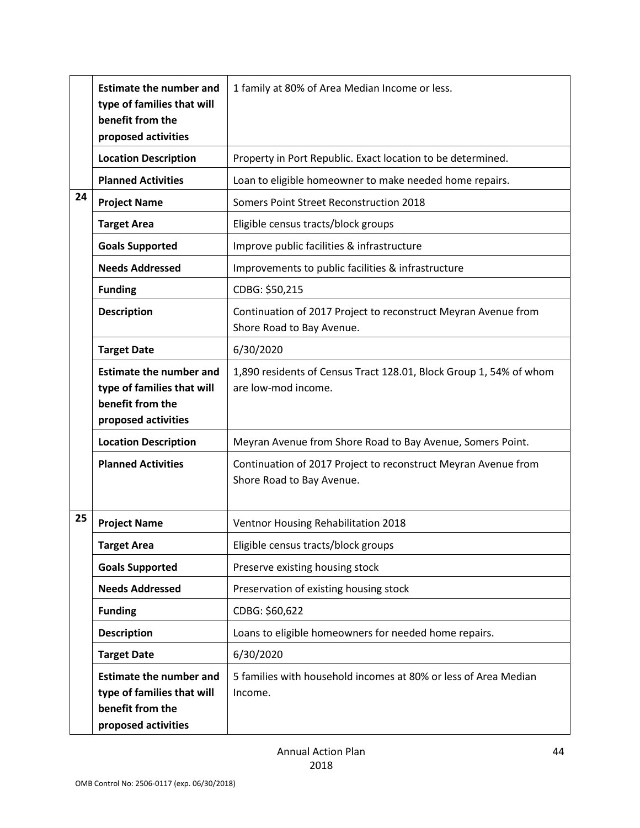|    | <b>Estimate the number and</b><br>type of families that will<br>benefit from the<br>proposed activities | 1 family at 80% of Area Median Income or less.                                              |
|----|---------------------------------------------------------------------------------------------------------|---------------------------------------------------------------------------------------------|
|    | <b>Location Description</b>                                                                             | Property in Port Republic. Exact location to be determined.                                 |
|    | <b>Planned Activities</b>                                                                               | Loan to eligible homeowner to make needed home repairs.                                     |
| 24 | <b>Project Name</b>                                                                                     | Somers Point Street Reconstruction 2018                                                     |
|    | <b>Target Area</b>                                                                                      | Eligible census tracts/block groups                                                         |
|    | <b>Goals Supported</b>                                                                                  | Improve public facilities & infrastructure                                                  |
|    | <b>Needs Addressed</b>                                                                                  | Improvements to public facilities & infrastructure                                          |
|    | <b>Funding</b>                                                                                          | CDBG: \$50,215                                                                              |
|    | <b>Description</b>                                                                                      | Continuation of 2017 Project to reconstruct Meyran Avenue from<br>Shore Road to Bay Avenue. |
|    | <b>Target Date</b>                                                                                      | 6/30/2020                                                                                   |
|    | <b>Estimate the number and</b><br>type of families that will<br>benefit from the<br>proposed activities | 1,890 residents of Census Tract 128.01, Block Group 1, 54% of whom<br>are low-mod income.   |
|    | <b>Location Description</b>                                                                             | Meyran Avenue from Shore Road to Bay Avenue, Somers Point.                                  |
|    | <b>Planned Activities</b>                                                                               | Continuation of 2017 Project to reconstruct Meyran Avenue from<br>Shore Road to Bay Avenue. |
| 25 | <b>Project Name</b>                                                                                     | Ventnor Housing Rehabilitation 2018                                                         |
|    | <b>Target Area</b>                                                                                      | Eligible census tracts/block groups                                                         |
|    | <b>Goals Supported</b>                                                                                  | Preserve existing housing stock                                                             |
|    | <b>Needs Addressed</b>                                                                                  | Preservation of existing housing stock                                                      |
|    | <b>Funding</b>                                                                                          | CDBG: \$60,622                                                                              |
|    | <b>Description</b>                                                                                      | Loans to eligible homeowners for needed home repairs.                                       |
|    | <b>Target Date</b>                                                                                      | 6/30/2020                                                                                   |
|    | <b>Estimate the number and</b><br>type of families that will<br>benefit from the<br>proposed activities | 5 families with household incomes at 80% or less of Area Median<br>Income.                  |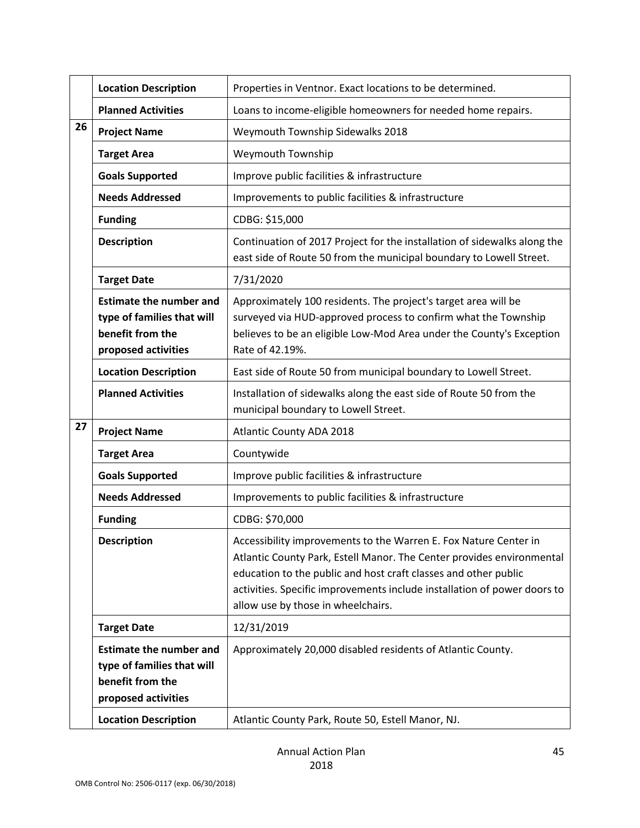|    | <b>Location Description</b>                                                                             | Properties in Ventnor. Exact locations to be determined.                                                                                                                                                                                                                                                                       |  |
|----|---------------------------------------------------------------------------------------------------------|--------------------------------------------------------------------------------------------------------------------------------------------------------------------------------------------------------------------------------------------------------------------------------------------------------------------------------|--|
|    | <b>Planned Activities</b>                                                                               | Loans to income-eligible homeowners for needed home repairs.                                                                                                                                                                                                                                                                   |  |
| 26 | <b>Project Name</b>                                                                                     | Weymouth Township Sidewalks 2018                                                                                                                                                                                                                                                                                               |  |
|    | <b>Target Area</b>                                                                                      | Weymouth Township                                                                                                                                                                                                                                                                                                              |  |
|    | <b>Goals Supported</b>                                                                                  | Improve public facilities & infrastructure                                                                                                                                                                                                                                                                                     |  |
|    | <b>Needs Addressed</b>                                                                                  | Improvements to public facilities & infrastructure                                                                                                                                                                                                                                                                             |  |
|    | <b>Funding</b>                                                                                          | CDBG: \$15,000                                                                                                                                                                                                                                                                                                                 |  |
|    | <b>Description</b>                                                                                      | Continuation of 2017 Project for the installation of sidewalks along the<br>east side of Route 50 from the municipal boundary to Lowell Street.                                                                                                                                                                                |  |
|    | <b>Target Date</b>                                                                                      | 7/31/2020                                                                                                                                                                                                                                                                                                                      |  |
|    | <b>Estimate the number and</b><br>type of families that will<br>benefit from the<br>proposed activities | Approximately 100 residents. The project's target area will be<br>surveyed via HUD-approved process to confirm what the Township<br>believes to be an eligible Low-Mod Area under the County's Exception<br>Rate of 42.19%.                                                                                                    |  |
|    | <b>Location Description</b>                                                                             | East side of Route 50 from municipal boundary to Lowell Street.                                                                                                                                                                                                                                                                |  |
|    | <b>Planned Activities</b>                                                                               | Installation of sidewalks along the east side of Route 50 from the<br>municipal boundary to Lowell Street.                                                                                                                                                                                                                     |  |
| 27 | <b>Project Name</b>                                                                                     | Atlantic County ADA 2018                                                                                                                                                                                                                                                                                                       |  |
|    | <b>Target Area</b>                                                                                      | Countywide                                                                                                                                                                                                                                                                                                                     |  |
|    | <b>Goals Supported</b>                                                                                  | Improve public facilities & infrastructure                                                                                                                                                                                                                                                                                     |  |
|    | <b>Needs Addressed</b>                                                                                  | Improvements to public facilities & infrastructure                                                                                                                                                                                                                                                                             |  |
|    | <b>Funding</b>                                                                                          | CDBG: \$70,000                                                                                                                                                                                                                                                                                                                 |  |
|    | <b>Description</b>                                                                                      | Accessibility improvements to the Warren E. Fox Nature Center in<br>Atlantic County Park, Estell Manor. The Center provides environmental<br>education to the public and host craft classes and other public<br>activities. Specific improvements include installation of power doors to<br>allow use by those in wheelchairs. |  |
|    | <b>Target Date</b>                                                                                      | 12/31/2019                                                                                                                                                                                                                                                                                                                     |  |
|    | <b>Estimate the number and</b><br>type of families that will<br>benefit from the<br>proposed activities | Approximately 20,000 disabled residents of Atlantic County.                                                                                                                                                                                                                                                                    |  |
|    | <b>Location Description</b>                                                                             | Atlantic County Park, Route 50, Estell Manor, NJ.                                                                                                                                                                                                                                                                              |  |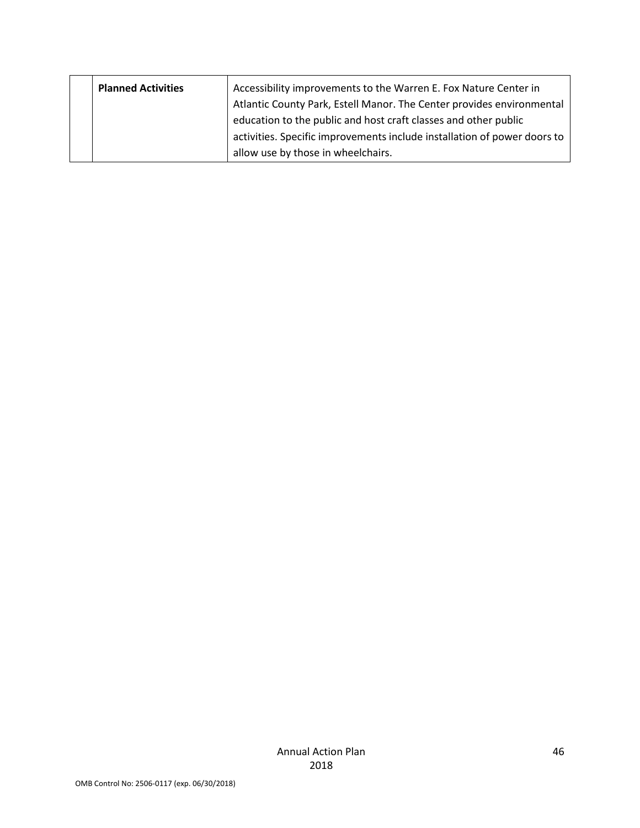|  | <b>Planned Activities</b> | Accessibility improvements to the Warren E. Fox Nature Center in         |
|--|---------------------------|--------------------------------------------------------------------------|
|  |                           | Atlantic County Park, Estell Manor. The Center provides environmental    |
|  |                           | education to the public and host craft classes and other public          |
|  |                           | activities. Specific improvements include installation of power doors to |
|  |                           | allow use by those in wheelchairs.                                       |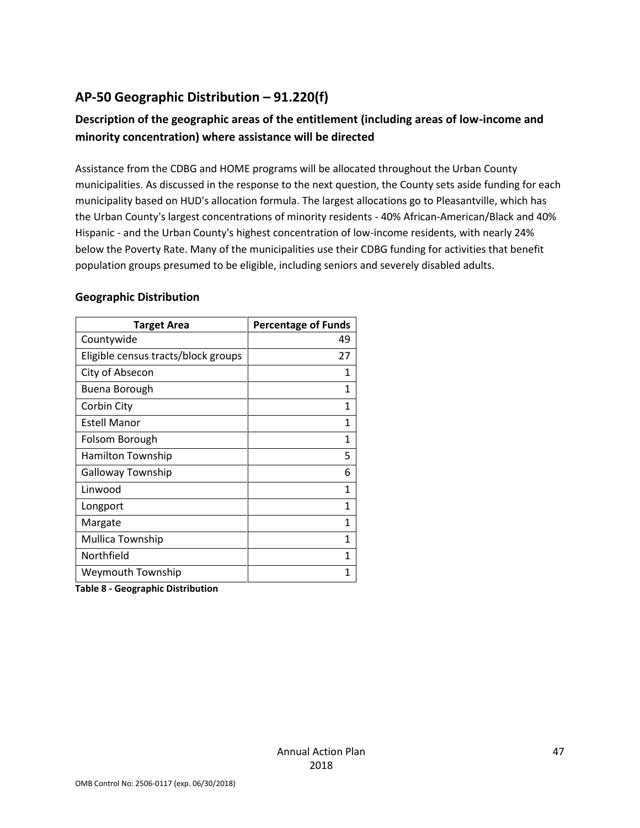# **AP-50 Geographic Distribution – 91.220(f)**

# **Description of the geographic areas of the entitlement (including areas of low-income and minority concentration) where assistance will be directed**

Assistance from the CDBG and HOME programs will be allocated throughout the Urban County municipalities. As discussed in the response to the next question, the County sets aside funding for each municipality based on HUD's allocation formula. The largest allocations go to Pleasantville, which has the Urban County's largest concentrations of minority residents - 40% African-American/Black and 40% Hispanic - and the Urban County's highest concentration of low-income residents, with nearly 24% below the Poverty Rate. Many of the municipalities use their CDBG funding for activities that benefit population groups presumed to be eligible, including seniors and severely disabled adults.

#### **Geographic Distribution**

| <b>Target Area</b>                  | <b>Percentage of Funds</b> |
|-------------------------------------|----------------------------|
| Countywide                          | 49                         |
| Eligible census tracts/block groups | 27                         |
| City of Absecon                     | 1                          |
| <b>Buena Borough</b>                | 1                          |
| Corbin City                         | 1                          |
| <b>Estell Manor</b>                 | 1                          |
| Folsom Borough                      | 1                          |
| <b>Hamilton Township</b>            | 5                          |
| <b>Galloway Township</b>            | 6                          |
| Linwood                             | 1                          |
| Longport                            | 1                          |
| Margate                             | 1                          |
| Mullica Township                    | 1                          |
| Northfield                          | 1                          |
| Weymouth Township                   | 1                          |
| .<br>$\cdot$ .<br>.                 |                            |

**Table 8 - Geographic Distribution**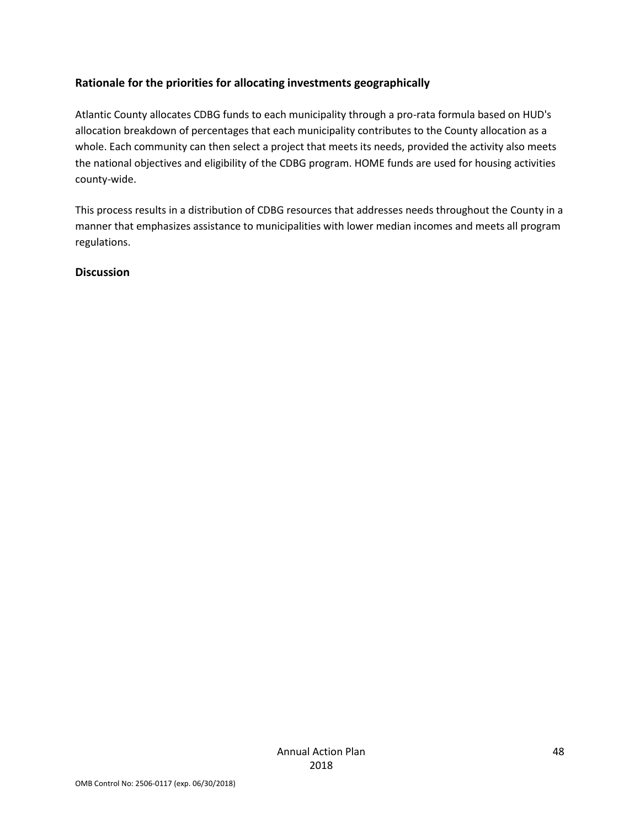## **Rationale for the priorities for allocating investments geographically**

Atlantic County allocates CDBG funds to each municipality through a pro-rata formula based on HUD's allocation breakdown of percentages that each municipality contributes to the County allocation as a whole. Each community can then select a project that meets its needs, provided the activity also meets the national objectives and eligibility of the CDBG program. HOME funds are used for housing activities county-wide.

This process results in a distribution of CDBG resources that addresses needs throughout the County in a manner that emphasizes assistance to municipalities with lower median incomes and meets all program regulations.

#### **Discussion**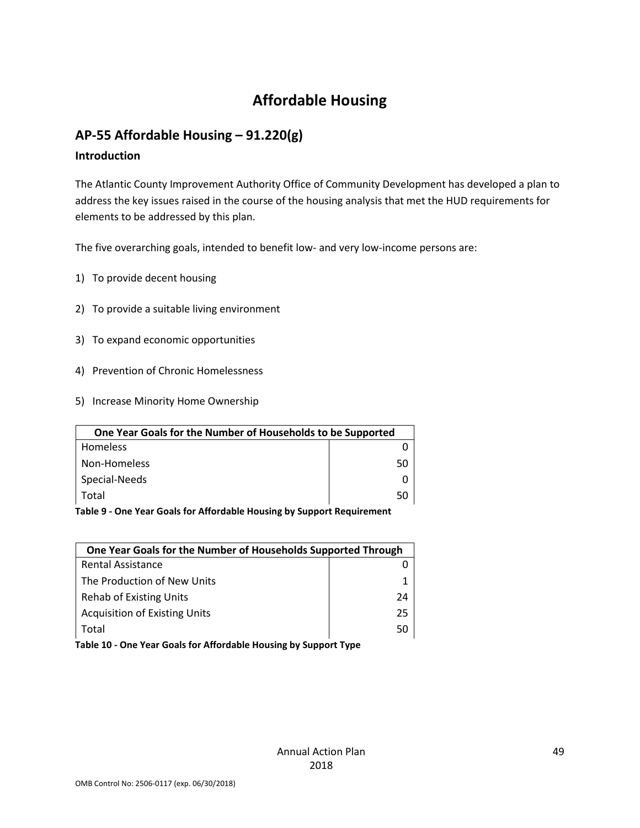# **Affordable Housing**

# **AP-55 Affordable Housing – 91.220(g)**

#### **Introduction**

The Atlantic County Improvement Authority Office of Community Development has developed a plan to address the key issues raised in the course of the housing analysis that met the HUD requirements for elements to be addressed by this plan.

The five overarching goals, intended to benefit low- and very low-income persons are:

- 1) To provide decent housing
- 2) To provide a suitable living environment
- 3) To expand economic opportunities
- 4) Prevention of Chronic Homelessness
- 5) Increase Minority Home Ownership

| One Year Goals for the Number of Households to be Supported |    |
|-------------------------------------------------------------|----|
| <b>Homeless</b>                                             |    |
| Non-Homeless                                                | 50 |
| Special-Needs                                               |    |
| Total                                                       | 50 |

**Table 9 - One Year Goals for Affordable Housing by Support Requirement**

| One Year Goals for the Number of Households Supported Through |    |
|---------------------------------------------------------------|----|
| <b>Rental Assistance</b>                                      |    |
| The Production of New Units                                   |    |
| Rehab of Existing Units                                       | 24 |
| <b>Acquisition of Existing Units</b>                          | 25 |
| Total                                                         | 50 |
|                                                               |    |

**Table 10 - One Year Goals for Affordable Housing by Support Type**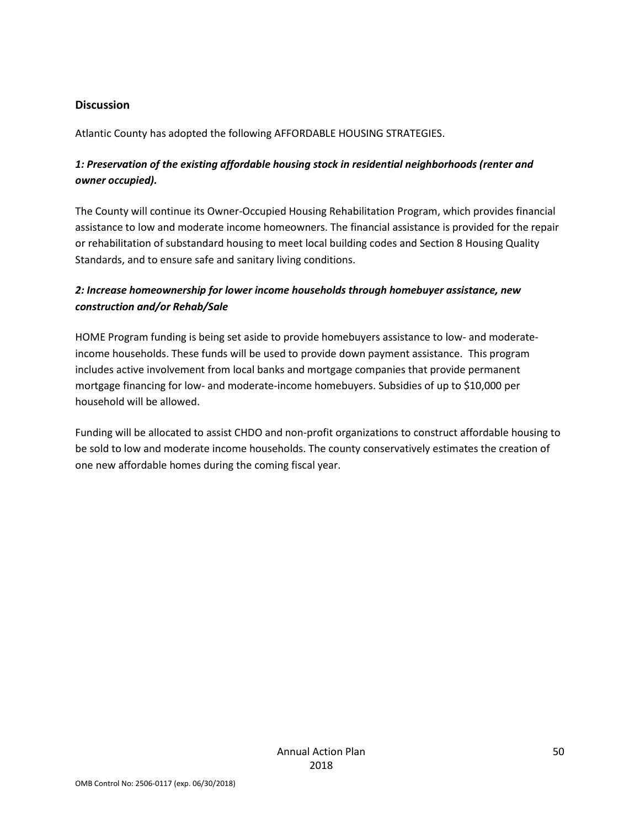#### **Discussion**

Atlantic County has adopted the following AFFORDABLE HOUSING STRATEGIES.

# *1: Preservation of the existing affordable housing stock in residential neighborhoods (renter and owner occupied).*

The County will continue its Owner-Occupied Housing Rehabilitation Program, which provides financial assistance to low and moderate income homeowners. The financial assistance is provided for the repair or rehabilitation of substandard housing to meet local building codes and Section 8 Housing Quality Standards, and to ensure safe and sanitary living conditions.

## *2: Increase homeownership for lower income households through homebuyer assistance, new construction and/or Rehab/Sale*

HOME Program funding is being set aside to provide homebuyers assistance to low- and moderateincome households. These funds will be used to provide down payment assistance. This program includes active involvement from local banks and mortgage companies that provide permanent mortgage financing for low- and moderate-income homebuyers. Subsidies of up to \$10,000 per household will be allowed.

Funding will be allocated to assist CHDO and non-profit organizations to construct affordable housing to be sold to low and moderate income households. The county conservatively estimates the creation of one new affordable homes during the coming fiscal year.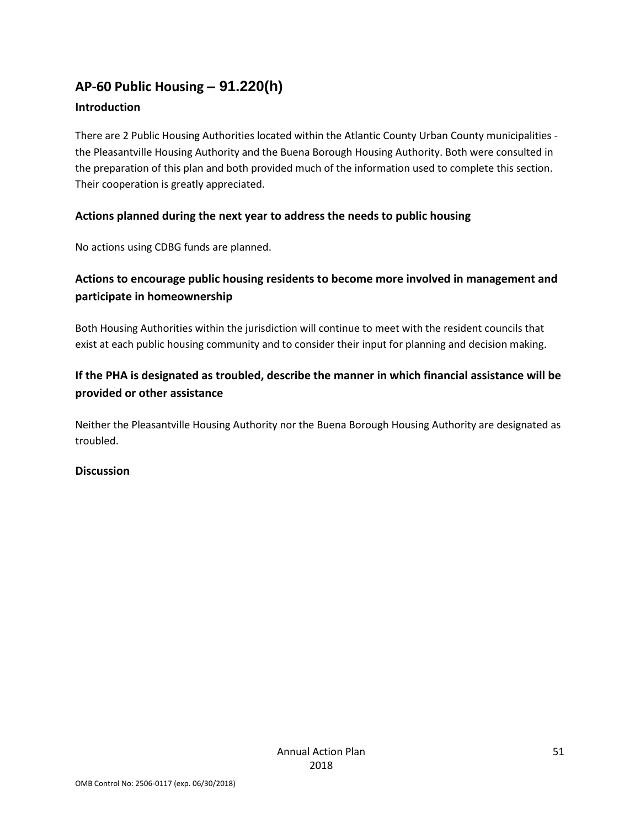# **AP-60 Public Housing** *–* **91.220(h)**

## **Introduction**

There are 2 Public Housing Authorities located within the Atlantic County Urban County municipalities the Pleasantville Housing Authority and the Buena Borough Housing Authority. Both were consulted in the preparation of this plan and both provided much of the information used to complete this section. Their cooperation is greatly appreciated.

# **Actions planned during the next year to address the needs to public housing**

No actions using CDBG funds are planned.

# **Actions to encourage public housing residents to become more involved in management and participate in homeownership**

Both Housing Authorities within the jurisdiction will continue to meet with the resident councils that exist at each public housing community and to consider their input for planning and decision making.

# **If the PHA is designated as troubled, describe the manner in which financial assistance will be provided or other assistance**

Neither the Pleasantville Housing Authority nor the Buena Borough Housing Authority are designated as troubled.

## **Discussion**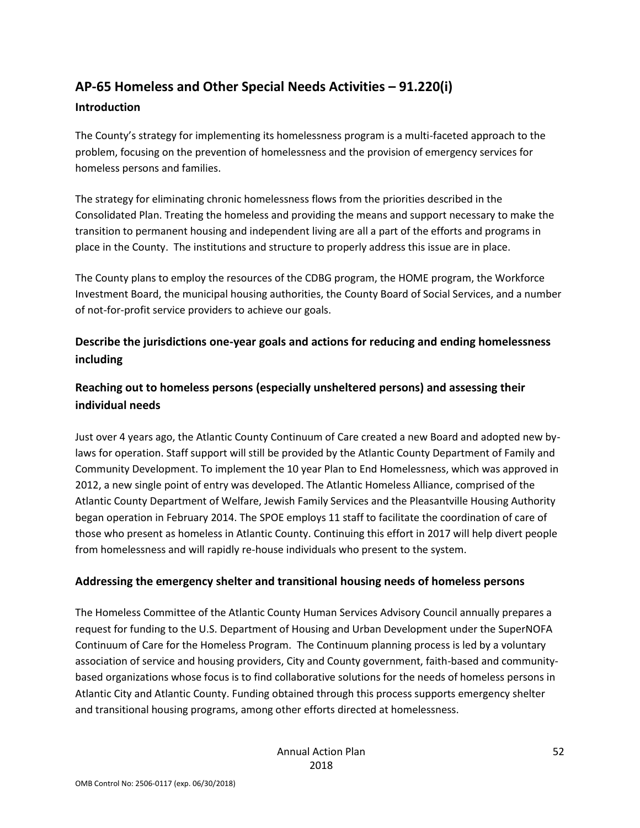# **AP-65 Homeless and Other Special Needs Activities – 91.220(i)**

#### **Introduction**

The County's strategy for implementing its homelessness program is a multi-faceted approach to the problem, focusing on the prevention of homelessness and the provision of emergency services for homeless persons and families.

The strategy for eliminating chronic homelessness flows from the priorities described in the Consolidated Plan. Treating the homeless and providing the means and support necessary to make the transition to permanent housing and independent living are all a part of the efforts and programs in place in the County. The institutions and structure to properly address this issue are in place.

The County plans to employ the resources of the CDBG program, the HOME program, the Workforce Investment Board, the municipal housing authorities, the County Board of Social Services, and a number of not-for-profit service providers to achieve our goals.

# **Describe the jurisdictions one-year goals and actions for reducing and ending homelessness including**

# **Reaching out to homeless persons (especially unsheltered persons) and assessing their individual needs**

Just over 4 years ago, the Atlantic County Continuum of Care created a new Board and adopted new bylaws for operation. Staff support will still be provided by the Atlantic County Department of Family and Community Development. To implement the 10 year Plan to End Homelessness, which was approved in 2012, a new single point of entry was developed. The Atlantic Homeless Alliance, comprised of the Atlantic County Department of Welfare, Jewish Family Services and the Pleasantville Housing Authority began operation in February 2014. The SPOE employs 11 staff to facilitate the coordination of care of those who present as homeless in Atlantic County. Continuing this effort in 2017 will help divert people from homelessness and will rapidly re-house individuals who present to the system.

## **Addressing the emergency shelter and transitional housing needs of homeless persons**

The Homeless Committee of the Atlantic County Human Services Advisory Council annually prepares a request for funding to the U.S. Department of Housing and Urban Development under the SuperNOFA Continuum of Care for the Homeless Program. The Continuum planning process is led by a voluntary association of service and housing providers, City and County government, faith-based and communitybased organizations whose focus is to find collaborative solutions for the needs of homeless persons in Atlantic City and Atlantic County. Funding obtained through this process supports emergency shelter and transitional housing programs, among other efforts directed at homelessness.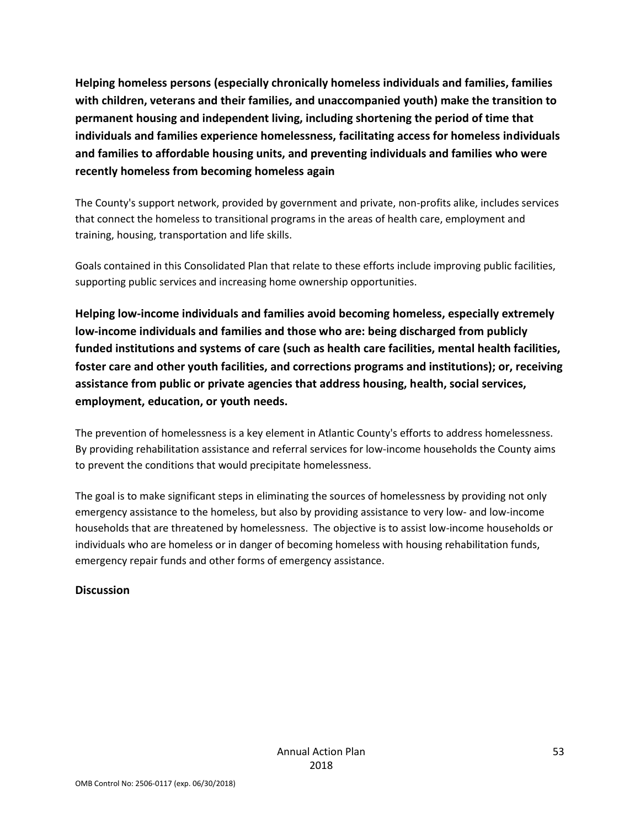**Helping homeless persons (especially chronically homeless individuals and families, families with children, veterans and their families, and unaccompanied youth) make the transition to permanent housing and independent living, including shortening the period of time that individuals and families experience homelessness, facilitating access for homeless individuals and families to affordable housing units, and preventing individuals and families who were recently homeless from becoming homeless again**

The County's support network, provided by government and private, non-profits alike, includes services that connect the homeless to transitional programs in the areas of health care, employment and training, housing, transportation and life skills.

Goals contained in this Consolidated Plan that relate to these efforts include improving public facilities, supporting public services and increasing home ownership opportunities.

**Helping low-income individuals and families avoid becoming homeless, especially extremely low-income individuals and families and those who are: being discharged from publicly funded institutions and systems of care (such as health care facilities, mental health facilities, foster care and other youth facilities, and corrections programs and institutions); or, receiving assistance from public or private agencies that address housing, health, social services, employment, education, or youth needs.**

The prevention of homelessness is a key element in Atlantic County's efforts to address homelessness. By providing rehabilitation assistance and referral services for low-income households the County aims to prevent the conditions that would precipitate homelessness.

The goal is to make significant steps in eliminating the sources of homelessness by providing not only emergency assistance to the homeless, but also by providing assistance to very low- and low-income households that are threatened by homelessness. The objective is to assist low-income households or individuals who are homeless or in danger of becoming homeless with housing rehabilitation funds, emergency repair funds and other forms of emergency assistance.

#### **Discussion**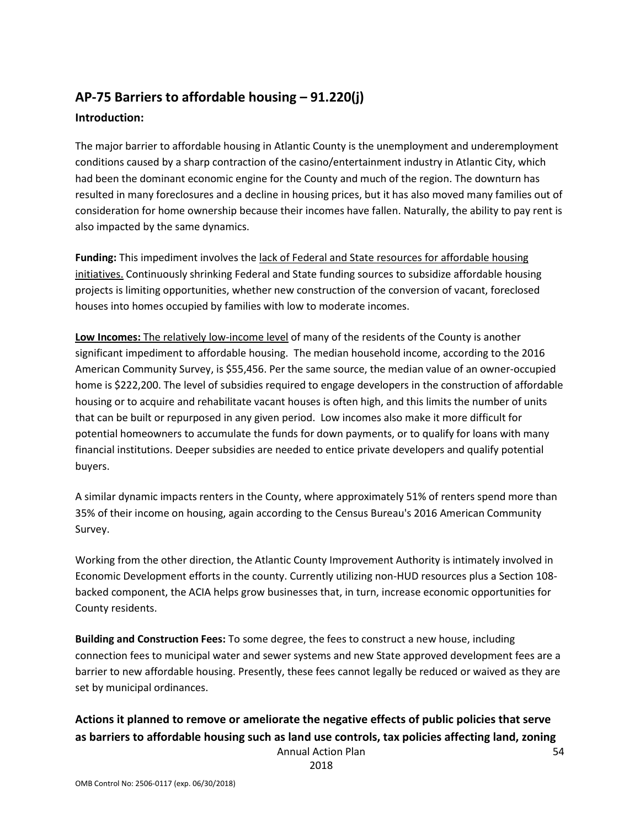# **AP-75 Barriers to affordable housing – 91.220(j) Introduction:**

The major barrier to affordable housing in Atlantic County is the unemployment and underemployment conditions caused by a sharp contraction of the casino/entertainment industry in Atlantic City, which had been the dominant economic engine for the County and much of the region. The downturn has resulted in many foreclosures and a decline in housing prices, but it has also moved many families out of consideration for home ownership because their incomes have fallen. Naturally, the ability to pay rent is also impacted by the same dynamics.

**Funding:** This impediment involves the lack of Federal and State resources for affordable housing initiatives. Continuously shrinking Federal and State funding sources to subsidize affordable housing projects is limiting opportunities, whether new construction of the conversion of vacant, foreclosed houses into homes occupied by families with low to moderate incomes.

**Low Incomes:** The relatively low-income level of many of the residents of the County is another significant impediment to affordable housing. The median household income, according to the 2016 American Community Survey, is \$55,456. Per the same source, the median value of an owner-occupied home is \$222,200. The level of subsidies required to engage developers in the construction of affordable housing or to acquire and rehabilitate vacant houses is often high, and this limits the number of units that can be built or repurposed in any given period. Low incomes also make it more difficult for potential homeowners to accumulate the funds for down payments, or to qualify for loans with many financial institutions. Deeper subsidies are needed to entice private developers and qualify potential buyers.

A similar dynamic impacts renters in the County, where approximately 51% of renters spend more than 35% of their income on housing, again according to the Census Bureau's 2016 American Community Survey.

Working from the other direction, the Atlantic County Improvement Authority is intimately involved in Economic Development efforts in the county. Currently utilizing non-HUD resources plus a Section 108 backed component, the ACIA helps grow businesses that, in turn, increase economic opportunities for County residents.

**Building and Construction Fees:** To some degree, the fees to construct a new house, including connection fees to municipal water and sewer systems and new State approved development fees are a barrier to new affordable housing. Presently, these fees cannot legally be reduced or waived as they are set by municipal ordinances.

#### Annual Action Plan **Actions it planned to remove or ameliorate the negative effects of public policies that serve as barriers to affordable housing such as land use controls, tax policies affecting land, zoning**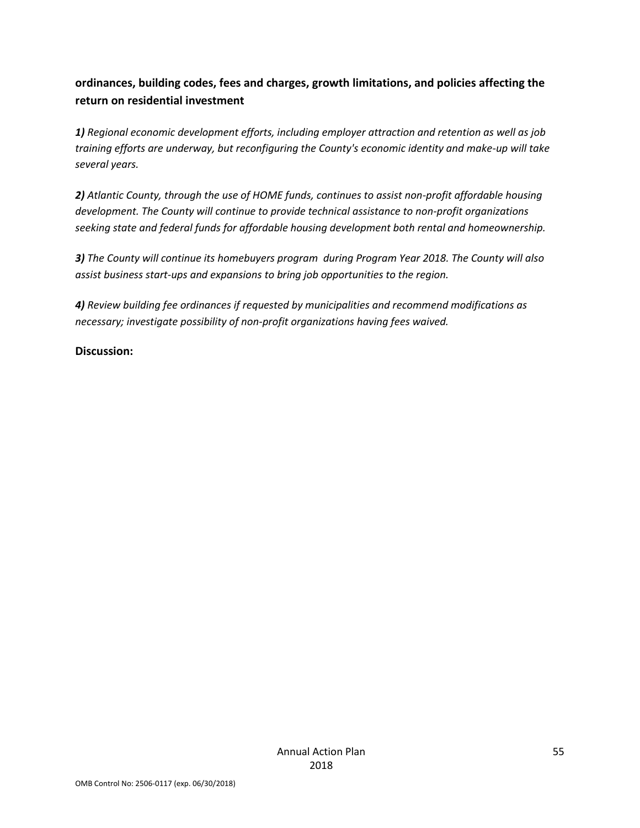# **ordinances, building codes, fees and charges, growth limitations, and policies affecting the return on residential investment**

*1) Regional economic development efforts, including employer attraction and retention as well as job training efforts are underway, but reconfiguring the County's economic identity and make-up will take several years.*

*2) Atlantic County, through the use of HOME funds, continues to assist non-profit affordable housing development. The County will continue to provide technical assistance to non-profit organizations seeking state and federal funds for affordable housing development both rental and homeownership.*

*3) The County will continue its homebuyers program during Program Year 2018. The County will also assist business start-ups and expansions to bring job opportunities to the region.*

*4) Review building fee ordinances if requested by municipalities and recommend modifications as necessary; investigate possibility of non-profit organizations having fees waived.*

# **Discussion:**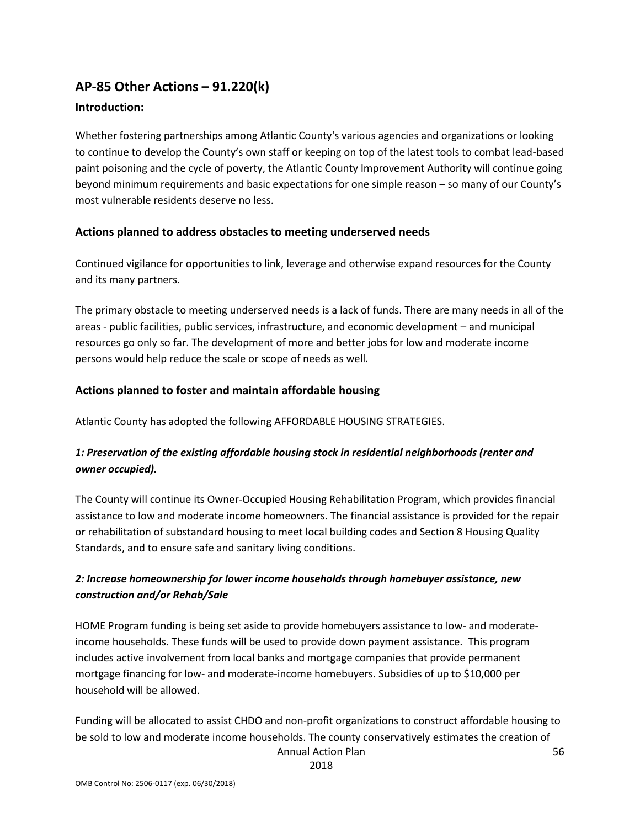# **AP-85 Other Actions – 91.220(k)**

### **Introduction:**

Whether fostering partnerships among Atlantic County's various agencies and organizations or looking to continue to develop the County's own staff or keeping on top of the latest tools to combat lead-based paint poisoning and the cycle of poverty, the Atlantic County Improvement Authority will continue going beyond minimum requirements and basic expectations for one simple reason – so many of our County's most vulnerable residents deserve no less.

#### **Actions planned to address obstacles to meeting underserved needs**

Continued vigilance for opportunities to link, leverage and otherwise expand resources for the County and its many partners.

The primary obstacle to meeting underserved needs is a lack of funds. There are many needs in all of the areas - public facilities, public services, infrastructure, and economic development – and municipal resources go only so far. The development of more and better jobs for low and moderate income persons would help reduce the scale or scope of needs as well.

#### **Actions planned to foster and maintain affordable housing**

Atlantic County has adopted the following AFFORDABLE HOUSING STRATEGIES.

# *1: Preservation of the existing affordable housing stock in residential neighborhoods (renter and owner occupied).*

The County will continue its Owner-Occupied Housing Rehabilitation Program, which provides financial assistance to low and moderate income homeowners. The financial assistance is provided for the repair or rehabilitation of substandard housing to meet local building codes and Section 8 Housing Quality Standards, and to ensure safe and sanitary living conditions.

## *2: Increase homeownership for lower income households through homebuyer assistance, new construction and/or Rehab/Sale*

HOME Program funding is being set aside to provide homebuyers assistance to low- and moderateincome households. These funds will be used to provide down payment assistance. This program includes active involvement from local banks and mortgage companies that provide permanent mortgage financing for low- and moderate-income homebuyers. Subsidies of up to \$10,000 per household will be allowed.

Annual Action Plan Funding will be allocated to assist CHDO and non-profit organizations to construct affordable housing to be sold to low and moderate income households. The county conservatively estimates the creation of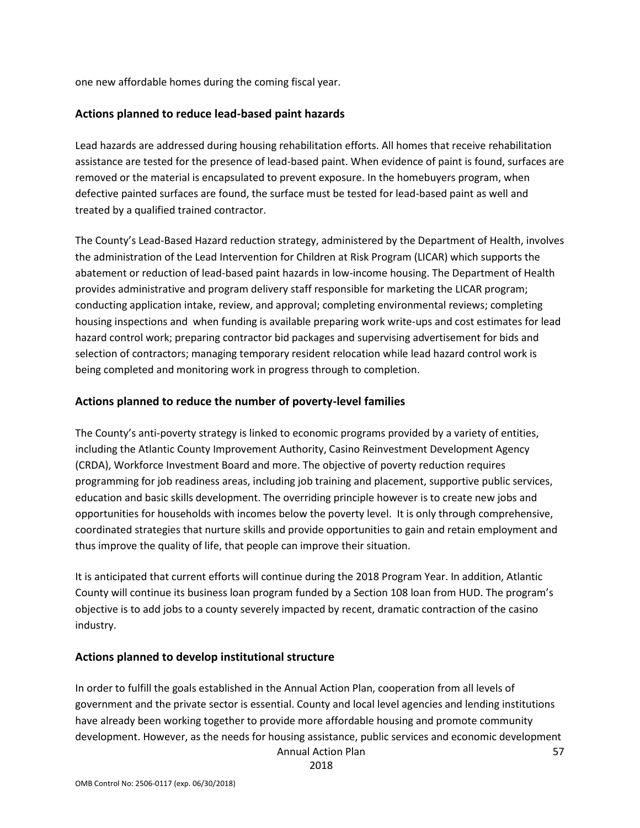one new affordable homes during the coming fiscal year.

#### **Actions planned to reduce lead-based paint hazards**

Lead hazards are addressed during housing rehabilitation efforts. All homes that receive rehabilitation assistance are tested for the presence of lead-based paint. When evidence of paint is found, surfaces are removed or the material is encapsulated to prevent exposure. In the homebuyers program, when defective painted surfaces are found, the surface must be tested for lead-based paint as well and treated by a qualified trained contractor.

The County's Lead-Based Hazard reduction strategy, administered by the Department of Health, involves the administration of the Lead Intervention for Children at Risk Program (LICAR) which supports the abatement or reduction of lead-based paint hazards in low-income housing. The Department of Health provides administrative and program delivery staff responsible for marketing the LICAR program; conducting application intake, review, and approval; completing environmental reviews; completing housing inspections and when funding is available preparing work write-ups and cost estimates for lead hazard control work; preparing contractor bid packages and supervising advertisement for bids and selection of contractors; managing temporary resident relocation while lead hazard control work is being completed and monitoring work in progress through to completion.

#### **Actions planned to reduce the number of poverty-level families**

The County's anti-poverty strategy is linked to economic programs provided by a variety of entities, including the Atlantic County Improvement Authority, Casino Reinvestment Development Agency (CRDA), Workforce Investment Board and more. The objective of poverty reduction requires programming for job readiness areas, including job training and placement, supportive public services, education and basic skills development. The overriding principle however is to create new jobs and opportunities for households with incomes below the poverty level. It is only through comprehensive, coordinated strategies that nurture skills and provide opportunities to gain and retain employment and thus improve the quality of life, that people can improve their situation.

It is anticipated that current efforts will continue during the 2018 Program Year. In addition, Atlantic County will continue its business loan program funded by a Section 108 loan from HUD. The program's objective is to add jobs to a county severely impacted by recent, dramatic contraction of the casino industry.

#### **Actions planned to develop institutional structure**

In order to fulfill the goals established in the Annual Action Plan, cooperation from all levels of government and the private sector is essential. County and local level agencies and lending institutions have already been working together to provide more affordable housing and promote community development. However, as the needs for housing assistance, public services and economic development

Annual Action Plan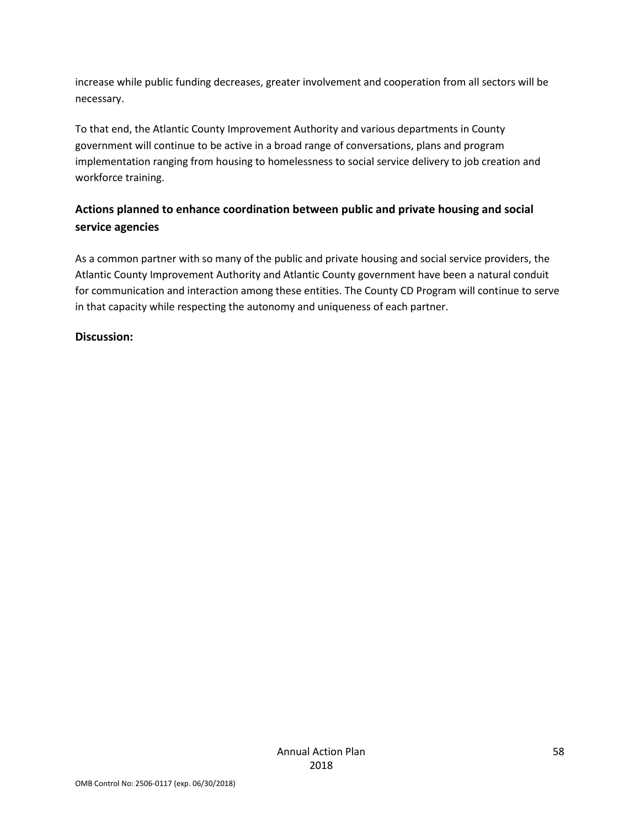increase while public funding decreases, greater involvement and cooperation from all sectors will be necessary.

To that end, the Atlantic County Improvement Authority and various departments in County government will continue to be active in a broad range of conversations, plans and program implementation ranging from housing to homelessness to social service delivery to job creation and workforce training.

# **Actions planned to enhance coordination between public and private housing and social service agencies**

As a common partner with so many of the public and private housing and social service providers, the Atlantic County Improvement Authority and Atlantic County government have been a natural conduit for communication and interaction among these entities. The County CD Program will continue to serve in that capacity while respecting the autonomy and uniqueness of each partner.

## **Discussion:**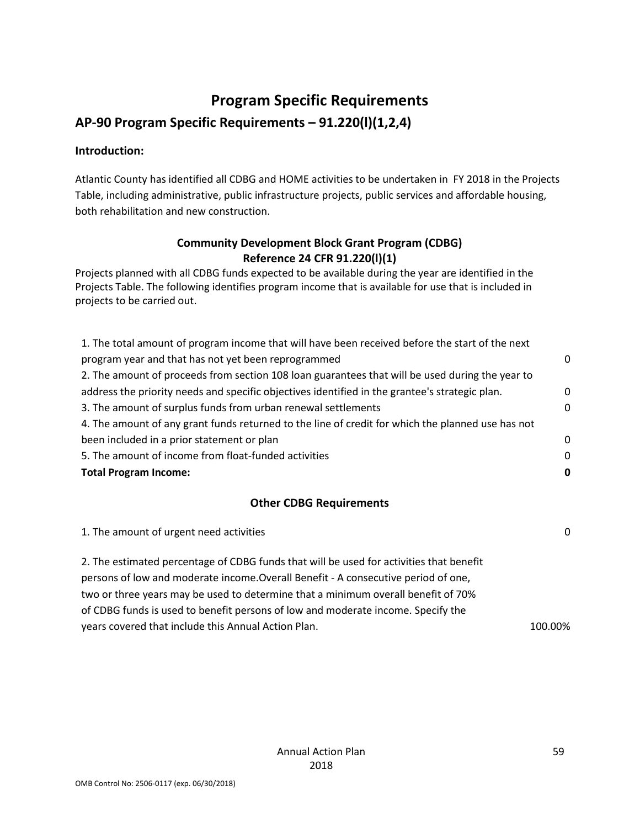# **Program Specific Requirements**

# **AP-90 Program Specific Requirements – 91.220(l)(1,2,4)**

## **Introduction:**

Atlantic County has identified all CDBG and HOME activities to be undertaken in FY 2018 in the Projects Table, including administrative, public infrastructure projects, public services and affordable housing, both rehabilitation and new construction.

# **Community Development Block Grant Program (CDBG) Reference 24 CFR 91.220(l)(1)**

Projects planned with all CDBG funds expected to be available during the year are identified in the Projects Table. The following identifies program income that is available for use that is included in projects to be carried out.

| 1. The total amount of program income that will have been received before the start of the next   |          |
|---------------------------------------------------------------------------------------------------|----------|
| program year and that has not yet been reprogrammed                                               | 0        |
| 2. The amount of proceeds from section 108 loan guarantees that will be used during the year to   |          |
| address the priority needs and specific objectives identified in the grantee's strategic plan.    | 0        |
| 3. The amount of surplus funds from urban renewal settlements                                     | $\Omega$ |
| 4. The amount of any grant funds returned to the line of credit for which the planned use has not |          |
| been included in a prior statement or plan                                                        | $\Omega$ |
| 5. The amount of income from float-funded activities                                              | $\Omega$ |
| <b>Total Program Income:</b>                                                                      | 0        |

# **Other CDBG Requirements**

| 1. The amount of urgent need activities                                                 | $\Omega$ |
|-----------------------------------------------------------------------------------------|----------|
| 2. The estimated percentage of CDBG funds that will be used for activities that benefit |          |
| persons of low and moderate income. Overall Benefit - A consecutive period of one,      |          |
| two or three years may be used to determine that a minimum overall benefit of 70%       |          |
| of CDBG funds is used to benefit persons of low and moderate income. Specify the        |          |
| years covered that include this Annual Action Plan.                                     | 100.00%  |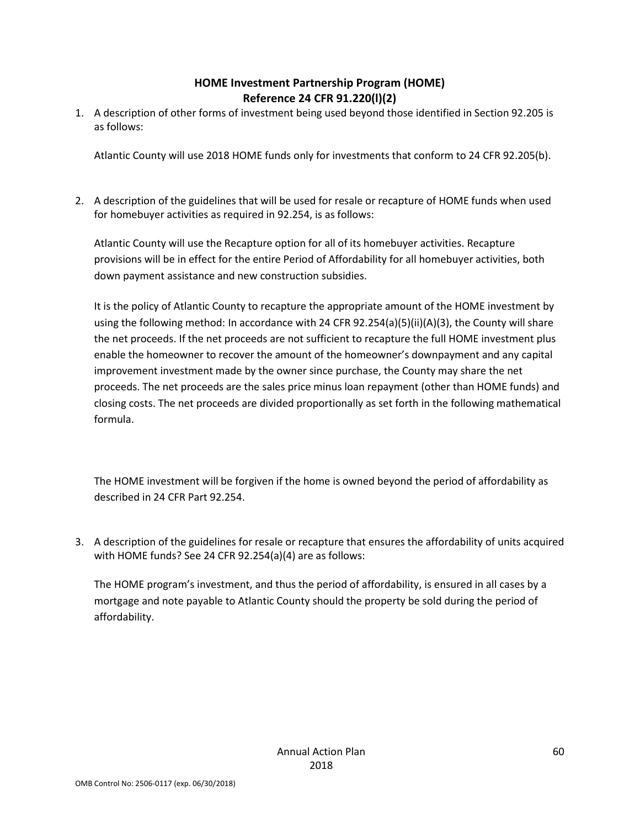# **HOME Investment Partnership Program (HOME) Reference 24 CFR 91.220(l)(2)**

1. A description of other forms of investment being used beyond those identified in Section 92.205 is as follows:

Atlantic County will use 2018 HOME funds only for investments that conform to 24 CFR 92.205(b).

2. A description of the guidelines that will be used for resale or recapture of HOME funds when used for homebuyer activities as required in 92.254, is as follows:

Atlantic County will use the Recapture option for all of its homebuyer activities. Recapture provisions will be in effect for the entire Period of Affordability for all homebuyer activities, both down payment assistance and new construction subsidies.

It is the policy of Atlantic County to recapture the appropriate amount of the HOME investment by using the following method: In accordance with 24 CFR 92.254(a)(5)(ii)(A)(3), the County will share the net proceeds. If the net proceeds are not sufficient to recapture the full HOME investment plus enable the homeowner to recover the amount of the homeowner's downpayment and any capital improvement investment made by the owner since purchase, the County may share the net proceeds. The net proceeds are the sales price minus loan repayment (other than HOME funds) and closing costs. The net proceeds are divided proportionally as set forth in the following mathematical formula.

The HOME investment will be forgiven if the home is owned beyond the period of affordability as described in 24 CFR Part 92.254.

3. A description of the guidelines for resale or recapture that ensures the affordability of units acquired with HOME funds? See 24 CFR 92.254(a)(4) are as follows:

The HOME program's investment, and thus the period of affordability, is ensured in all cases by a mortgage and note payable to Atlantic County should the property be sold during the period of affordability.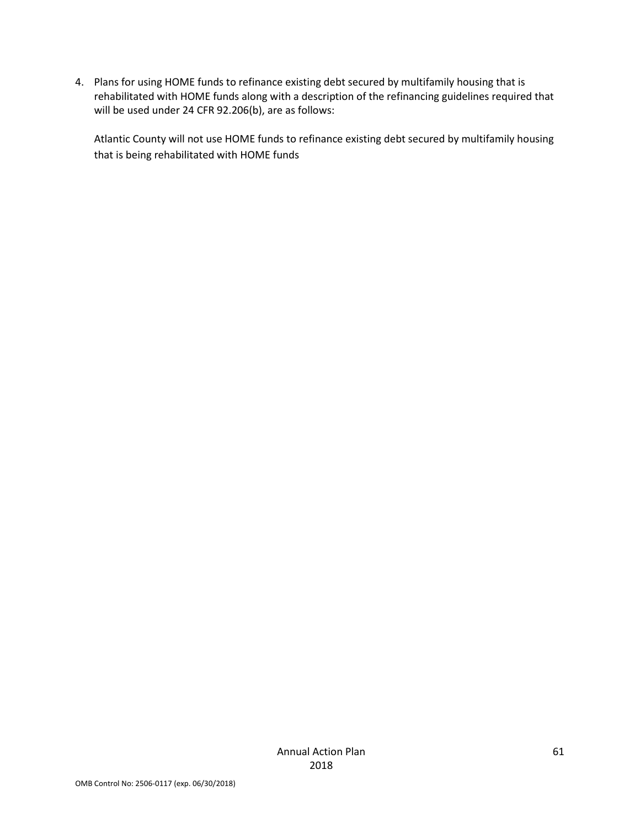4. Plans for using HOME funds to refinance existing debt secured by multifamily housing that is rehabilitated with HOME funds along with a description of the refinancing guidelines required that will be used under 24 CFR 92.206(b), are as follows:

Atlantic County will not use HOME funds to refinance existing debt secured by multifamily housing that is being rehabilitated with HOME funds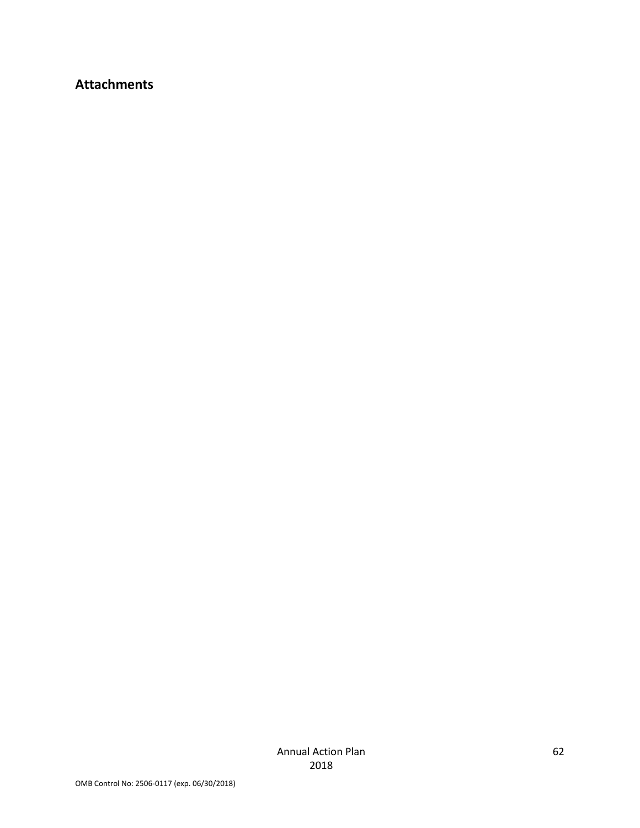# **Attachments**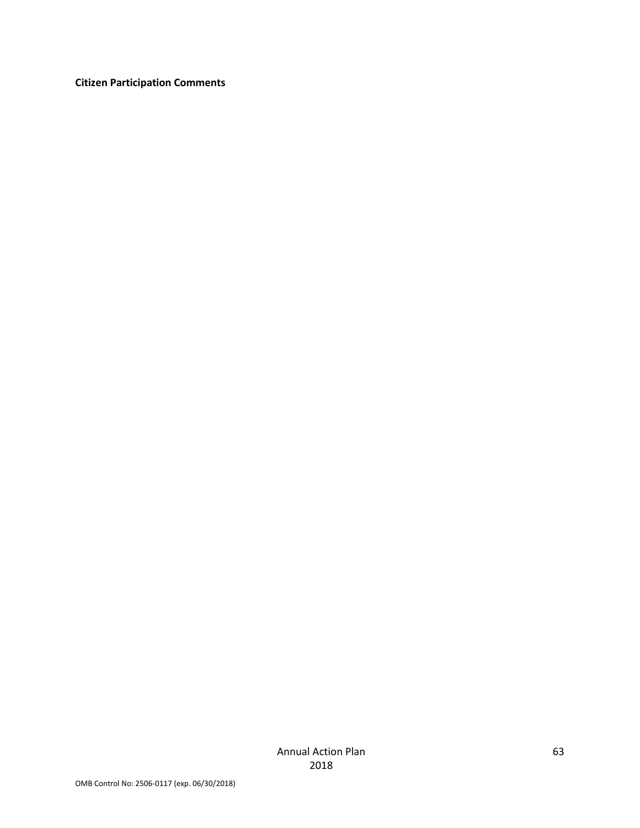**Citizen Participation Comments**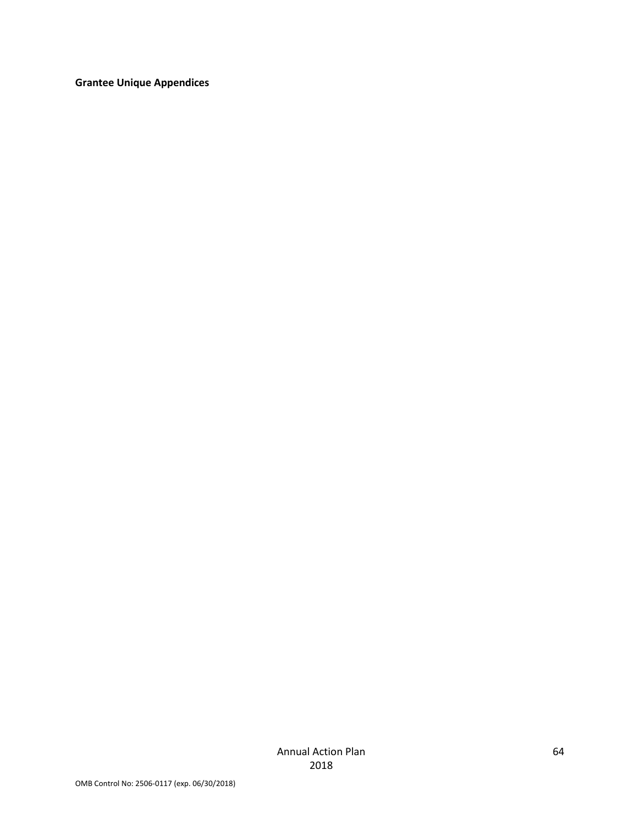**Grantee Unique Appendices**